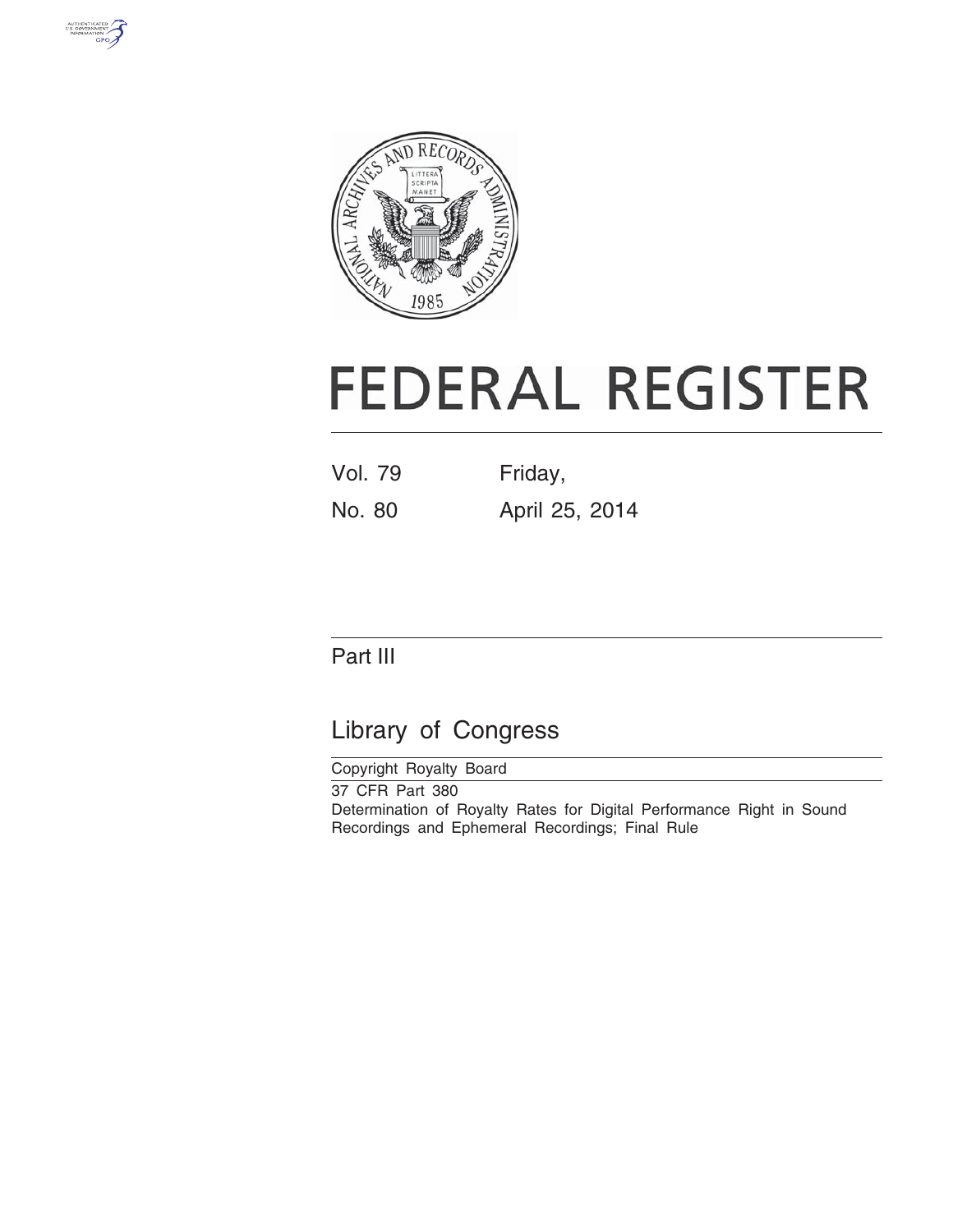



# **FEDERAL REGISTER**

Vol. 79 Friday, No. 80 April 25, 2014

# Part III

# Library of Congress

Copyright Royalty Board 37 CFR Part 380 Determination of Royalty Rates for Digital Performance Right in Sound Recordings and Ephemeral Recordings; Final Rule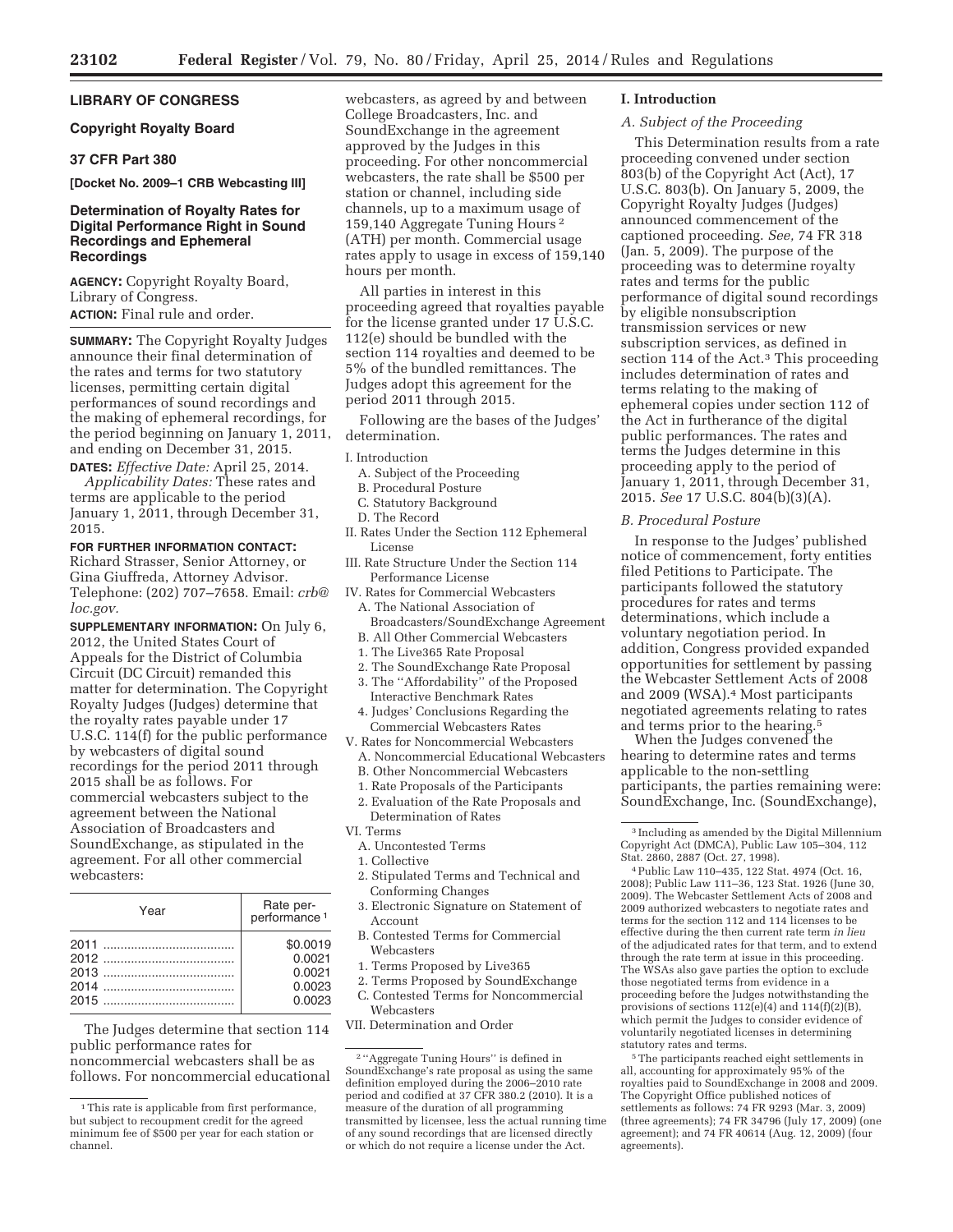# **LIBRARY OF CONGRESS**

# **Copyright Royalty Board**

# **37 CFR Part 380**

**[Docket No. 2009–1 CRB Webcasting III]** 

# **Determination of Royalty Rates for Digital Performance Right in Sound Recordings and Ephemeral Recordings**

**AGENCY:** Copyright Royalty Board, Library of Congress.

**ACTION:** Final rule and order.

**SUMMARY:** The Copyright Royalty Judges announce their final determination of the rates and terms for two statutory licenses, permitting certain digital performances of sound recordings and the making of ephemeral recordings, for the period beginning on January 1, 2011, and ending on December 31, 2015.

**DATES:** *Effective Date:* April 25, 2014. *Applicability Dates:* These rates and terms are applicable to the period January 1, 2011, through December 31, 2015.

# **FOR FURTHER INFORMATION CONTACT:**

Richard Strasser, Senior Attorney, or Gina Giuffreda, Attorney Advisor. Telephone: (202) 707–7658. Email: *crb@ loc.gov.* 

**SUPPLEMENTARY INFORMATION:** On July 6, 2012, the United States Court of Appeals for the District of Columbia Circuit (DC Circuit) remanded this matter for determination. The Copyright Royalty Judges (Judges) determine that the royalty rates payable under 17 U.S.C. 114(f) for the public performance by webcasters of digital sound recordings for the period 2011 through 2015 shall be as follows. For commercial webcasters subject to the agreement between the National Association of Broadcasters and SoundExchange, as stipulated in the agreement. For all other commercial webcasters:

| Year | Rate per-<br>performance <sup>1</sup> |
|------|---------------------------------------|
|      | \$0.0019                              |
|      | 0.0021                                |
|      | 0.0021                                |
|      | 0.0023                                |
|      | 0.0023                                |

The Judges determine that section 114 public performance rates for noncommercial webcasters shall be as follows. For noncommercial educational webcasters, as agreed by and between College Broadcasters, Inc. and SoundExchange in the agreement approved by the Judges in this proceeding. For other noncommercial webcasters, the rate shall be \$500 per station or channel, including side channels, up to a maximum usage of 159,140 Aggregate Tuning Hours 2 (ATH) per month. Commercial usage rates apply to usage in excess of 159,140 hours per month.

All parties in interest in this proceeding agreed that royalties payable for the license granted under 17 U.S.C. 112(e) should be bundled with the section 114 royalties and deemed to be 5% of the bundled remittances. The Judges adopt this agreement for the period 2011 through 2015.

Following are the bases of the Judges' determination.

## I. Introduction

- A. Subject of the Proceeding
- B. Procedural Posture
- C. Statutory Background
- D. The Record
- II. Rates Under the Section 112 Ephemeral License
- III. Rate Structure Under the Section 114 Performance License
- IV. Rates for Commercial Webcasters A. The National Association of Broadcasters/SoundExchange Agreement
- B. All Other Commercial Webcasters
- 1. The Live365 Rate Proposal
- 2. The SoundExchange Rate Proposal
- 3. The ''Affordability'' of the Proposed Interactive Benchmark Rates
- 4. Judges' Conclusions Regarding the Commercial Webcasters Rates
- V. Rates for Noncommercial Webcasters A. Noncommercial Educational Webcasters
- 
- B. Other Noncommercial Webcasters
- 1. Rate Proposals of the Participants 2. Evaluation of the Rate Proposals and
- Determination of Rates VI. Terms
- A. Uncontested Terms
- 1. Collective
- 
- 2. Stipulated Terms and Technical and Conforming Changes
- 3. Electronic Signature on Statement of Account
- B. Contested Terms for Commercial Webcasters
- 1. Terms Proposed by Live365
- 2. Terms Proposed by SoundExchange
- C. Contested Terms for Noncommercial Webcasters
- VII. Determination and Order

# **I. Introduction**

# *A. Subject of the Proceeding*

This Determination results from a rate proceeding convened under section 803(b) of the Copyright Act (Act), 17 U.S.C. 803(b). On January 5, 2009, the Copyright Royalty Judges (Judges) announced commencement of the captioned proceeding. *See,* 74 FR 318 (Jan. 5, 2009). The purpose of the proceeding was to determine royalty rates and terms for the public performance of digital sound recordings by eligible nonsubscription transmission services or new subscription services, as defined in section 114 of the Act.<sup>3</sup> This proceeding includes determination of rates and terms relating to the making of ephemeral copies under section 112 of the Act in furtherance of the digital public performances. The rates and terms the Judges determine in this proceeding apply to the period of January 1, 2011, through December 31, 2015. *See* 17 U.S.C. 804(b)(3)(A).

#### *B. Procedural Posture*

In response to the Judges' published notice of commencement, forty entities filed Petitions to Participate. The participants followed the statutory procedures for rates and terms determinations, which include a voluntary negotiation period. In addition, Congress provided expanded opportunities for settlement by passing the Webcaster Settlement Acts of 2008 and 2009 (WSA).4 Most participants negotiated agreements relating to rates and terms prior to the hearing.5

When the Judges convened the hearing to determine rates and terms applicable to the non-settling participants, the parties remaining were: SoundExchange, Inc. (SoundExchange),

4Public Law 110–435, 122 Stat. 4974 (Oct. 16, 2008); Public Law 111–36, 123 Stat. 1926 (June 30, 2009). The Webcaster Settlement Acts of 2008 and 2009 authorized webcasters to negotiate rates and terms for the section 112 and 114 licenses to be effective during the then current rate term *in lieu*  of the adjudicated rates for that term, and to extend through the rate term at issue in this proceeding. The WSAs also gave parties the option to exclude those negotiated terms from evidence in a proceeding before the Judges notwithstanding the provisions of sections  $112(e)(4)$  and  $114(f)(2)(B)$ , which permit the Judges to consider evidence of voluntarily negotiated licenses in determining statutory rates and terms.

5The participants reached eight settlements in all, accounting for approximately 95% of the royalties paid to SoundExchange in 2008 and 2009. The Copyright Office published notices of settlements as follows: 74 FR 9293 (Mar. 3, 2009) (three agreements); 74 FR 34796 (July 17, 2009) (one agreement); and 74 FR 40614 (Aug. 12, 2009) (four agreements).

<sup>&</sup>lt;sup>1</sup>This rate is applicable from first performance, but subject to recoupment credit for the agreed minimum fee of \$500 per year for each station or channel.

 $^{\rm 2\,\prime\prime}$  Aggregate Tuning Hours'' is defined in SoundExchange's rate proposal as using the same definition employed during the 2006–2010 rate period and codified at 37 CFR 380.2 (2010). It is a measure of the duration of all programming transmitted by licensee, less the actual running time of any sound recordings that are licensed directly or which do not require a license under the Act.

<sup>3</sup> Including as amended by the Digital Millennium Copyright Act (DMCA), Public Law 105–304, 112 Stat. 2860, 2887 (Oct. 27, 1998).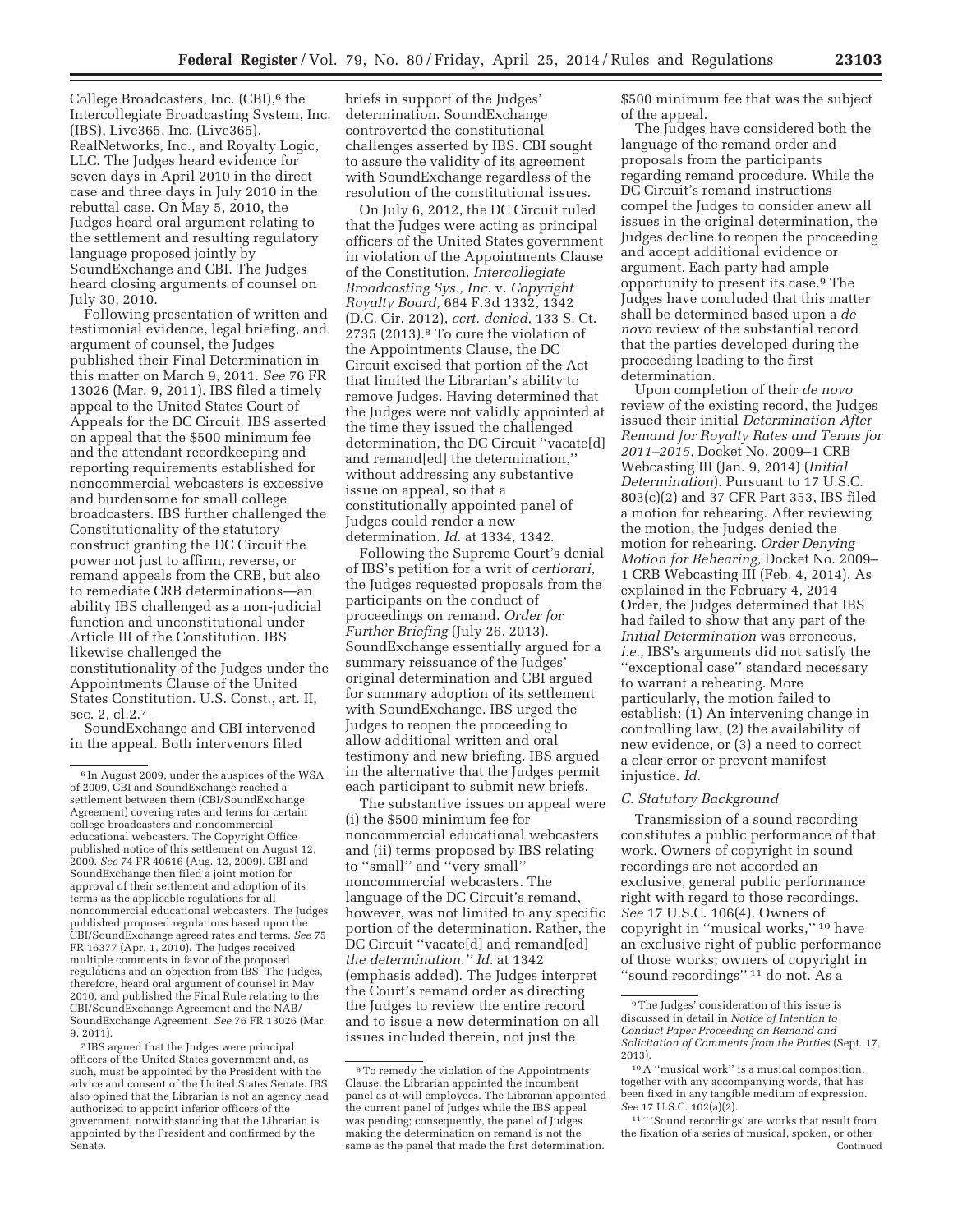College Broadcasters, Inc.  $(CBI)$ <sup>6</sup>, the Intercollegiate Broadcasting System, Inc. (IBS), Live365, Inc. (Live365), RealNetworks, Inc., and Royalty Logic, LLC. The Judges heard evidence for seven days in April 2010 in the direct case and three days in July 2010 in the rebuttal case. On May 5, 2010, the Judges heard oral argument relating to the settlement and resulting regulatory language proposed jointly by SoundExchange and CBI. The Judges heard closing arguments of counsel on July 30, 2010.

Following presentation of written and testimonial evidence, legal briefing, and argument of counsel, the Judges published their Final Determination in this matter on March 9, 2011. *See* 76 FR 13026 (Mar. 9, 2011). IBS filed a timely appeal to the United States Court of Appeals for the DC Circuit. IBS asserted on appeal that the \$500 minimum fee and the attendant recordkeeping and reporting requirements established for noncommercial webcasters is excessive and burdensome for small college broadcasters. IBS further challenged the Constitutionality of the statutory construct granting the DC Circuit the power not just to affirm, reverse, or remand appeals from the CRB, but also to remediate CRB determinations—an ability IBS challenged as a non-judicial function and unconstitutional under Article III of the Constitution. IBS likewise challenged the constitutionality of the Judges under the Appointments Clause of the United States Constitution. U.S. Const., art. II, sec. 2, cl.2.7

SoundExchange and CBI intervened in the appeal. Both intervenors filed

7 IBS argued that the Judges were principal officers of the United States government and, as such, must be appointed by the President with the advice and consent of the United States Senate. IBS also opined that the Librarian is not an agency head authorized to appoint inferior officers of the government, notwithstanding that the Librarian is appointed by the President and confirmed by the Senate.

briefs in support of the Judges' determination. SoundExchange controverted the constitutional challenges asserted by IBS. CBI sought to assure the validity of its agreement with SoundExchange regardless of the resolution of the constitutional issues.

On July 6, 2012, the DC Circuit ruled that the Judges were acting as principal officers of the United States government in violation of the Appointments Clause of the Constitution. *Intercollegiate Broadcasting Sys., Inc.* v. *Copyright Royalty Board,* 684 F.3d 1332, 1342 (D.C. Cir. 2012), *cert. denied,* 133 S. Ct. 2735 (2013).8 To cure the violation of the Appointments Clause, the DC Circuit excised that portion of the Act that limited the Librarian's ability to remove Judges. Having determined that the Judges were not validly appointed at the time they issued the challenged determination, the DC Circuit ''vacate[d] and remand[ed] the determination,'' without addressing any substantive issue on appeal, so that a constitutionally appointed panel of Judges could render a new determination. *Id.* at 1334, 1342.

Following the Supreme Court's denial of IBS's petition for a writ of *certiorari,*  the Judges requested proposals from the participants on the conduct of proceedings on remand. *Order for Further Briefing* (July 26, 2013). SoundExchange essentially argued for a summary reissuance of the Judges' original determination and CBI argued for summary adoption of its settlement with SoundExchange. IBS urged the Judges to reopen the proceeding to allow additional written and oral testimony and new briefing. IBS argued in the alternative that the Judges permit each participant to submit new briefs.

The substantive issues on appeal were (i) the \$500 minimum fee for noncommercial educational webcasters and (ii) terms proposed by IBS relating to ''small'' and ''very small'' noncommercial webcasters. The language of the DC Circuit's remand, however, was not limited to any specific portion of the determination. Rather, the DC Circuit ''vacate[d] and remand[ed] *the determination.'' Id.* at 1342 (emphasis added). The Judges interpret the Court's remand order as directing the Judges to review the entire record and to issue a new determination on all issues included therein, not just the

\$500 minimum fee that was the subject of the appeal.

The Judges have considered both the language of the remand order and proposals from the participants regarding remand procedure. While the DC Circuit's remand instructions compel the Judges to consider anew all issues in the original determination, the Judges decline to reopen the proceeding and accept additional evidence or argument. Each party had ample opportunity to present its case.9 The Judges have concluded that this matter shall be determined based upon a *de novo* review of the substantial record that the parties developed during the proceeding leading to the first determination.

Upon completion of their *de novo*  review of the existing record, the Judges issued their initial *Determination After Remand for Royalty Rates and Terms for 2011–2015,* Docket No. 2009–1 CRB Webcasting III (Jan. 9, 2014) (*Initial Determination*). Pursuant to 17 U.S.C. 803(c)(2) and 37 CFR Part 353, IBS filed a motion for rehearing. After reviewing the motion, the Judges denied the motion for rehearing. *Order Denying Motion for Rehearing,* Docket No. 2009– 1 CRB Webcasting III (Feb. 4, 2014). As explained in the February 4, 2014 Order, the Judges determined that IBS had failed to show that any part of the *Initial Determination* was erroneous, *i.e.,* IBS's arguments did not satisfy the ''exceptional case'' standard necessary to warrant a rehearing. More particularly, the motion failed to establish: (1) An intervening change in controlling law, (2) the availability of new evidence, or (3) a need to correct a clear error or prevent manifest injustice. *Id.* 

#### *C. Statutory Background*

Transmission of a sound recording constitutes a public performance of that work. Owners of copyright in sound recordings are not accorded an exclusive, general public performance right with regard to those recordings. *See* 17 U.S.C. 106(4). Owners of copyright in ''musical works,'' 10 have an exclusive right of public performance of those works; owners of copyright in ''sound recordings'' 11 do not. As a

<sup>6</sup> In August 2009, under the auspices of the WSA of 2009, CBI and SoundExchange reached a settlement between them (CBI/SoundExchange Agreement) covering rates and terms for certain college broadcasters and noncommercial educational webcasters. The Copyright Office published notice of this settlement on August 12, 2009. *See* 74 FR 40616 (Aug. 12, 2009). CBI and SoundExchange then filed a joint motion for approval of their settlement and adoption of its terms as the applicable regulations for all noncommercial educational webcasters. The Judges published proposed regulations based upon the CBI/SoundExchange agreed rates and terms. *See* 75 FR 16377 (Apr. 1, 2010). The Judges received multiple comments in favor of the proposed regulations and an objection from IBS. The Judges, therefore, heard oral argument of counsel in May 2010, and published the Final Rule relating to the CBI/SoundExchange Agreement and the NAB/ SoundExchange Agreement. *See* 76 FR 13026 (Mar. 9, 2011).

<sup>8</sup>To remedy the violation of the Appointments Clause, the Librarian appointed the incumbent panel as at-will employees. The Librarian appointed the current panel of Judges while the IBS appeal was pending; consequently, the panel of Judges making the determination on remand is not the same as the panel that made the first determination.

<sup>9</sup>The Judges' consideration of this issue is discussed in detail in *Notice of Intention to Conduct Paper Proceeding on Remand and Solicitation of Comments from the Parties* (Sept. 17, 2013).

 $^{10}\mathrm{A}$  ''musical work'' is a musical composition, together with any accompanying words, that has been fixed in any tangible medium of expression. *See* 17 U.S.C. 102(a)(2).

 $^{\rm 11\, \prime\prime}$  'Sound recordings' are works that result from the fixation of a series of musical, spoken, or other Continued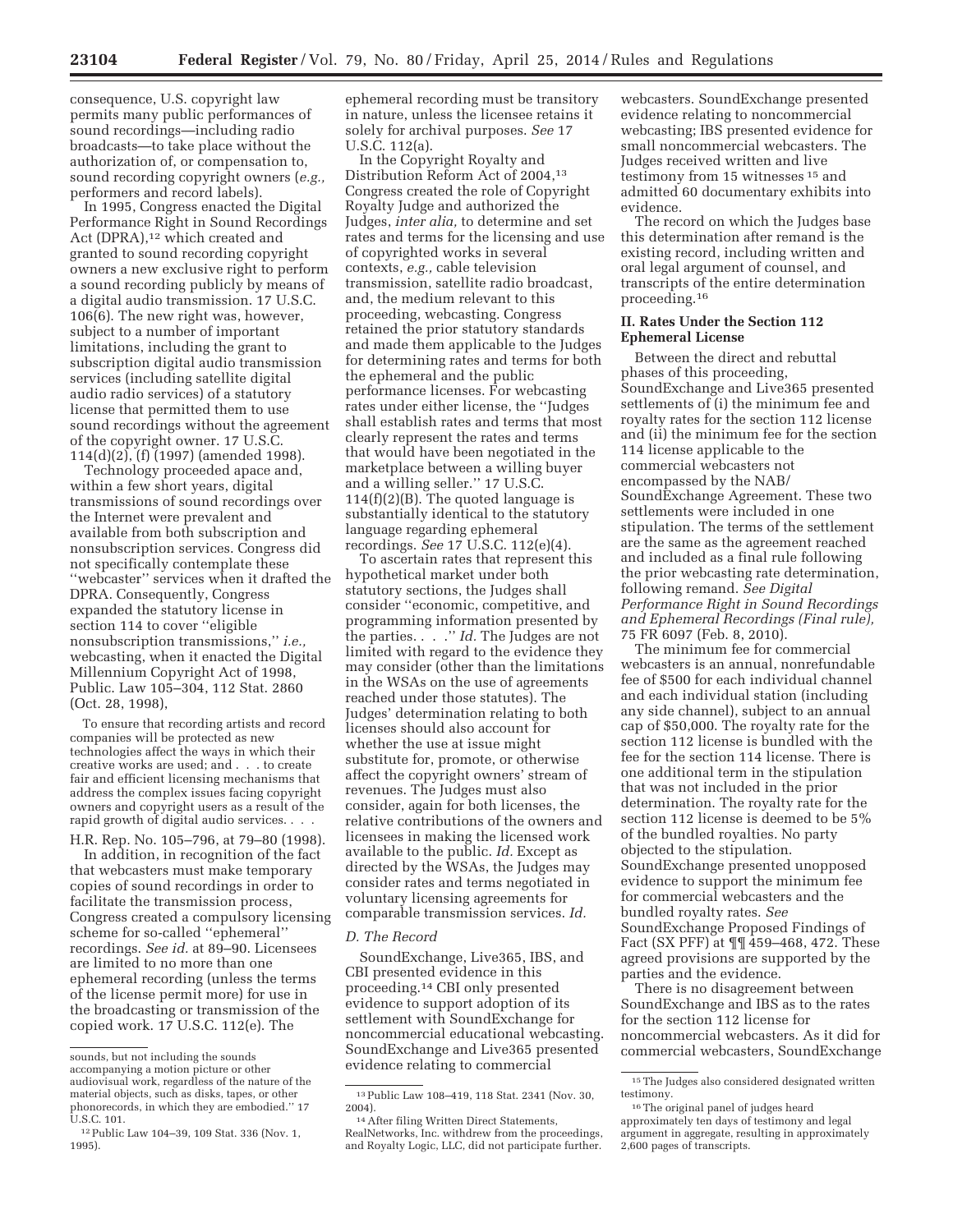consequence, U.S. copyright law permits many public performances of sound recordings—including radio broadcasts—to take place without the authorization of, or compensation to, sound recording copyright owners (*e.g.,*  performers and record labels).

In 1995, Congress enacted the Digital Performance Right in Sound Recordings Act (DPRA),<sup>12</sup> which created and granted to sound recording copyright owners a new exclusive right to perform a sound recording publicly by means of a digital audio transmission. 17 U.S.C. 106(6). The new right was, however, subject to a number of important limitations, including the grant to subscription digital audio transmission services (including satellite digital audio radio services) of a statutory license that permitted them to use sound recordings without the agreement of the copyright owner. 17 U.S.C. 114(d)(2), (f) (1997) (amended 1998).

Technology proceeded apace and, within a few short years, digital transmissions of sound recordings over the Internet were prevalent and available from both subscription and nonsubscription services. Congress did not specifically contemplate these ''webcaster'' services when it drafted the DPRA. Consequently, Congress expanded the statutory license in section 114 to cover ''eligible nonsubscription transmissions,'' *i.e.,*  webcasting, when it enacted the Digital Millennium Copyright Act of 1998, Public. Law 105–304, 112 Stat. 2860 (Oct. 28, 1998),

To ensure that recording artists and record companies will be protected as new technologies affect the ways in which their creative works are used; and . . . to create fair and efficient licensing mechanisms that address the complex issues facing copyright owners and copyright users as a result of the rapid growth of digital audio services. . . .

H.R. Rep. No. 105–796, at 79–80 (1998).

In addition, in recognition of the fact that webcasters must make temporary copies of sound recordings in order to facilitate the transmission process, Congress created a compulsory licensing scheme for so-called ''ephemeral'' recordings. *See id.* at 89–90. Licensees are limited to no more than one ephemeral recording (unless the terms of the license permit more) for use in the broadcasting or transmission of the copied work. 17 U.S.C. 112(e). The

ephemeral recording must be transitory in nature, unless the licensee retains it solely for archival purposes. *See* 17 U.S.C. 112(a).

In the Copyright Royalty and Distribution Reform Act of 2004,13 Congress created the role of Copyright Royalty Judge and authorized the Judges, *inter alia,* to determine and set rates and terms for the licensing and use of copyrighted works in several contexts, *e.g.,* cable television transmission, satellite radio broadcast, and, the medium relevant to this proceeding, webcasting. Congress retained the prior statutory standards and made them applicable to the Judges for determining rates and terms for both the ephemeral and the public performance licenses. For webcasting rates under either license, the ''Judges shall establish rates and terms that most clearly represent the rates and terms that would have been negotiated in the marketplace between a willing buyer and a willing seller.'' 17 U.S.C. 114(f)(2)(B). The quoted language is substantially identical to the statutory language regarding ephemeral recordings. *See* 17 U.S.C. 112(e)(4).

To ascertain rates that represent this hypothetical market under both statutory sections, the Judges shall consider ''economic, competitive, and programming information presented by the parties. . . .'' *Id.* The Judges are not limited with regard to the evidence they may consider (other than the limitations in the WSAs on the use of agreements reached under those statutes). The Judges' determination relating to both licenses should also account for whether the use at issue might substitute for, promote, or otherwise affect the copyright owners' stream of revenues. The Judges must also consider, again for both licenses, the relative contributions of the owners and licensees in making the licensed work available to the public. *Id.* Except as directed by the WSAs, the Judges may consider rates and terms negotiated in voluntary licensing agreements for comparable transmission services. *Id.* 

#### *D. The Record*

SoundExchange, Live365, IBS, and CBI presented evidence in this proceeding.14 CBI only presented evidence to support adoption of its settlement with SoundExchange for noncommercial educational webcasting. SoundExchange and Live365 presented evidence relating to commercial

webcasters. SoundExchange presented evidence relating to noncommercial webcasting; IBS presented evidence for small noncommercial webcasters. The Judges received written and live testimony from 15 witnesses<sup>15</sup> and admitted 60 documentary exhibits into evidence.

The record on which the Judges base this determination after remand is the existing record, including written and oral legal argument of counsel, and transcripts of the entire determination proceeding.16

# **II. Rates Under the Section 112 Ephemeral License**

Between the direct and rebuttal phases of this proceeding, SoundExchange and Live365 presented settlements of (i) the minimum fee and royalty rates for the section 112 license and (ii) the minimum fee for the section 114 license applicable to the commercial webcasters not encompassed by the NAB/ SoundExchange Agreement. These two settlements were included in one stipulation. The terms of the settlement are the same as the agreement reached and included as a final rule following the prior webcasting rate determination, following remand. *See Digital Performance Right in Sound Recordings and Ephemeral Recordings (Final rule),*  75 FR 6097 (Feb. 8, 2010).

The minimum fee for commercial webcasters is an annual, nonrefundable fee of \$500 for each individual channel and each individual station (including any side channel), subject to an annual cap of \$50,000. The royalty rate for the section 112 license is bundled with the fee for the section 114 license. There is one additional term in the stipulation that was not included in the prior determination. The royalty rate for the section 112 license is deemed to be 5% of the bundled royalties. No party objected to the stipulation. SoundExchange presented unopposed evidence to support the minimum fee for commercial webcasters and the bundled royalty rates. *See*  SoundExchange Proposed Findings of Fact (SX PFF) at ¶¶ 459–468, 472. These agreed provisions are supported by the parties and the evidence.

There is no disagreement between SoundExchange and IBS as to the rates for the section 112 license for noncommercial webcasters. As it did for commercial webcasters, SoundExchange

sounds, but not including the sounds accompanying a motion picture or other audiovisual work, regardless of the nature of the material objects, such as disks, tapes, or other phonorecords, in which they are embodied.'' 17 U.S.C. 101.

<sup>12</sup>Public Law 104–39, 109 Stat. 336 (Nov. 1, 1995).

<sup>13</sup>Public Law 108–419, 118 Stat. 2341 (Nov. 30,

<sup>2004). 14</sup>After filing Written Direct Statements, RealNetworks, Inc. withdrew from the proceedings, and Royalty Logic, LLC, did not participate further.

 $^{\rm 15}\!$  The Judges also considered designated written testimony.

<sup>16</sup>The original panel of judges heard approximately ten days of testimony and legal argument in aggregate, resulting in approximately 2,600 pages of transcripts.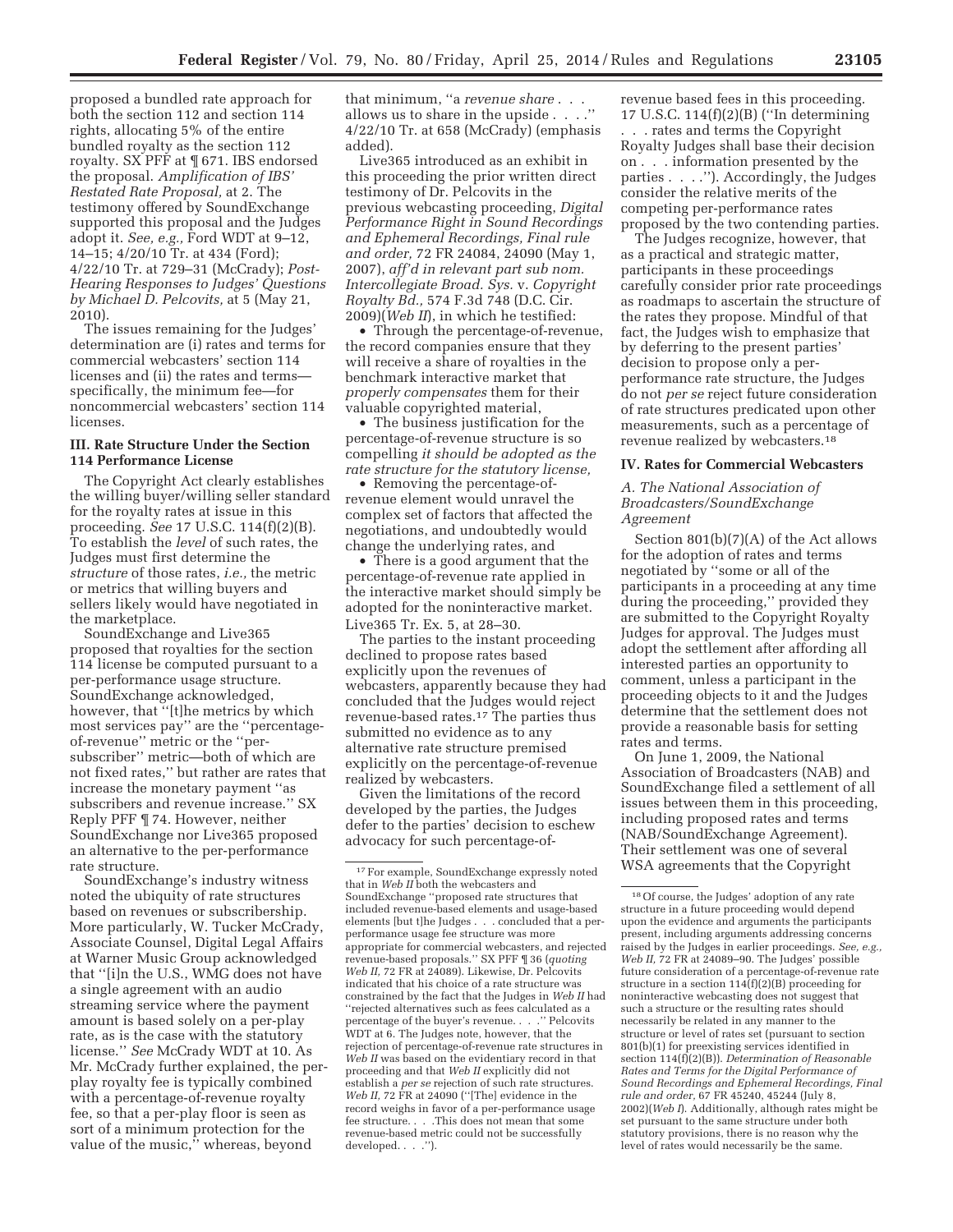proposed a bundled rate approach for both the section 112 and section 114 rights, allocating 5% of the entire bundled royalty as the section 112 royalty. SX PFF at ¶ 671. IBS endorsed the proposal. *Amplification of IBS' Restated Rate Proposal,* at 2. The testimony offered by SoundExchange supported this proposal and the Judges adopt it. *See, e.g.,* Ford WDT at 9–12, 14–15; 4/20/10 Tr. at 434 (Ford); 4/22/10 Tr. at 729–31 (McCrady); *Post-Hearing Responses to Judges' Questions by Michael D. Pelcovits,* at 5 (May 21, 2010).

The issues remaining for the Judges' determination are (i) rates and terms for commercial webcasters' section 114 licenses and (ii) the rates and terms specifically, the minimum fee—for noncommercial webcasters' section 114 licenses.

# **III. Rate Structure Under the Section 114 Performance License**

The Copyright Act clearly establishes the willing buyer/willing seller standard for the royalty rates at issue in this proceeding. *See* 17 U.S.C. 114(f)(2)(B). To establish the *level* of such rates, the Judges must first determine the *structure* of those rates, *i.e.,* the metric or metrics that willing buyers and sellers likely would have negotiated in the marketplace.

SoundExchange and Live365 proposed that royalties for the section 114 license be computed pursuant to a per-performance usage structure. SoundExchange acknowledged, however, that ''[t]he metrics by which most services pay'' are the ''percentageof-revenue'' metric or the ''persubscriber'' metric—both of which are not fixed rates,'' but rather are rates that increase the monetary payment ''as subscribers and revenue increase.'' SX Reply PFF ¶ 74. However, neither SoundExchange nor Live365 proposed an alternative to the per-performance rate structure.

SoundExchange's industry witness noted the ubiquity of rate structures based on revenues or subscribership. More particularly, W. Tucker McCrady, Associate Counsel, Digital Legal Affairs at Warner Music Group acknowledged that ''[i]n the U.S., WMG does not have a single agreement with an audio streaming service where the payment amount is based solely on a per-play rate, as is the case with the statutory license.'' *See* McCrady WDT at 10. As Mr. McCrady further explained, the perplay royalty fee is typically combined with a percentage-of-revenue royalty fee, so that a per-play floor is seen as sort of a minimum protection for the value of the music,'' whereas, beyond

that minimum, ''a *revenue share* . . . allows us to share in the upside . . . .'' 4/22/10 Tr. at 658 (McCrady) (emphasis added).

Live365 introduced as an exhibit in this proceeding the prior written direct testimony of Dr. Pelcovits in the previous webcasting proceeding, *Digital Performance Right in Sound Recordings and Ephemeral Recordings, Final rule and order,* 72 FR 24084, 24090 (May 1, 2007), *aff'd in relevant part sub nom. Intercollegiate Broad. Sys.* v. *Copyright Royalty Bd.,* 574 F.3d 748 (D.C. Cir. 2009)(*Web II*), in which he testified:

• Through the percentage-of-revenue, the record companies ensure that they will receive a share of royalties in the benchmark interactive market that *properly compensates* them for their valuable copyrighted material,

• The business justification for the percentage-of-revenue structure is so compelling *it should be adopted as the rate structure for the statutory license,* 

• Removing the percentage-ofrevenue element would unravel the complex set of factors that affected the negotiations, and undoubtedly would change the underlying rates, and

• There is a good argument that the percentage-of-revenue rate applied in the interactive market should simply be adopted for the noninteractive market. Live365 Tr. Ex. 5, at 28–30.

The parties to the instant proceeding declined to propose rates based explicitly upon the revenues of webcasters, apparently because they had concluded that the Judges would reject revenue-based rates.17 The parties thus submitted no evidence as to any alternative rate structure premised explicitly on the percentage-of-revenue realized by webcasters.

Given the limitations of the record developed by the parties, the Judges defer to the parties' decision to eschew advocacy for such percentage-ofrevenue based fees in this proceeding. 17 U.S.C. 114(f)(2)(B) (''In determining

. . . rates and terms the Copyright Royalty Judges shall base their decision on . . . information presented by the parties . . . .''). Accordingly, the Judges consider the relative merits of the competing per-performance rates proposed by the two contending parties.

The Judges recognize, however, that as a practical and strategic matter, participants in these proceedings carefully consider prior rate proceedings as roadmaps to ascertain the structure of the rates they propose. Mindful of that fact, the Judges wish to emphasize that by deferring to the present parties' decision to propose only a perperformance rate structure, the Judges do not *per se* reject future consideration of rate structures predicated upon other measurements, such as a percentage of revenue realized by webcasters.18

#### **IV. Rates for Commercial Webcasters**

*A. The National Association of Broadcasters/SoundExchange Agreement* 

Section 801(b)(7)(A) of the Act allows for the adoption of rates and terms negotiated by ''some or all of the participants in a proceeding at any time during the proceeding,'' provided they are submitted to the Copyright Royalty Judges for approval. The Judges must adopt the settlement after affording all interested parties an opportunity to comment, unless a participant in the proceeding objects to it and the Judges determine that the settlement does not provide a reasonable basis for setting rates and terms.

On June 1, 2009, the National Association of Broadcasters (NAB) and SoundExchange filed a settlement of all issues between them in this proceeding, including proposed rates and terms (NAB/SoundExchange Agreement). Their settlement was one of several WSA agreements that the Copyright

 $\rm ^{17}$  For example, SoundExchange expressly noted that in *Web II* both the webcasters and SoundExchange ''proposed rate structures that included revenue-based elements and usage-based elements [but t]he Judges . . . concluded that a perperformance usage fee structure was more appropriate for commercial webcasters, and rejected revenue-based proposals.'' SX PFF ¶ 36 (*quoting Web II,* 72 FR at 24089). Likewise, Dr. Pelcovits indicated that his choice of a rate structure was constrained by the fact that the Judges in *Web II* had ''rejected alternatives such as fees calculated as a percentage of the buyer's revenue. . . .'' Pelcovits WDT at 6. The Judges note, however, that the rejection of percentage-of-revenue rate structures in *Web II* was based on the evidentiary record in that proceeding and that *Web II* explicitly did not establish a *per se* rejection of such rate structures. *Web II,* 72 FR at 24090 (''[The] evidence in the record weighs in favor of a per-performance usage fee structure. . . .This does not mean that some revenue-based metric could not be successfully developed. . . .'').

<sup>18</sup>Of course, the Judges' adoption of any rate structure in a future proceeding would depend upon the evidence and arguments the participants present, including arguments addressing concerns raised by the Judges in earlier proceedings. *See, e.g., Web II,* 72 FR at 24089–90. The Judges' possible future consideration of a percentage-of-revenue rate structure in a section  $114(f)(2)(B)$  proceeding for noninteractive webcasting does not suggest that such a structure or the resulting rates should necessarily be related in any manner to the structure or level of rates set (pursuant to section 801(b)(1) for preexisting services identified in section 114(f)(2)(B)). *Determination of Reasonable Rates and Terms for the Digital Performance of Sound Recordings and Ephemeral Recordings, Final rule and order,* 67 FR 45240, 45244 (July 8, 2002)(*Web I*). Additionally, although rates might be set pursuant to the same structure under both statutory provisions, there is no reason why the level of rates would necessarily be the same.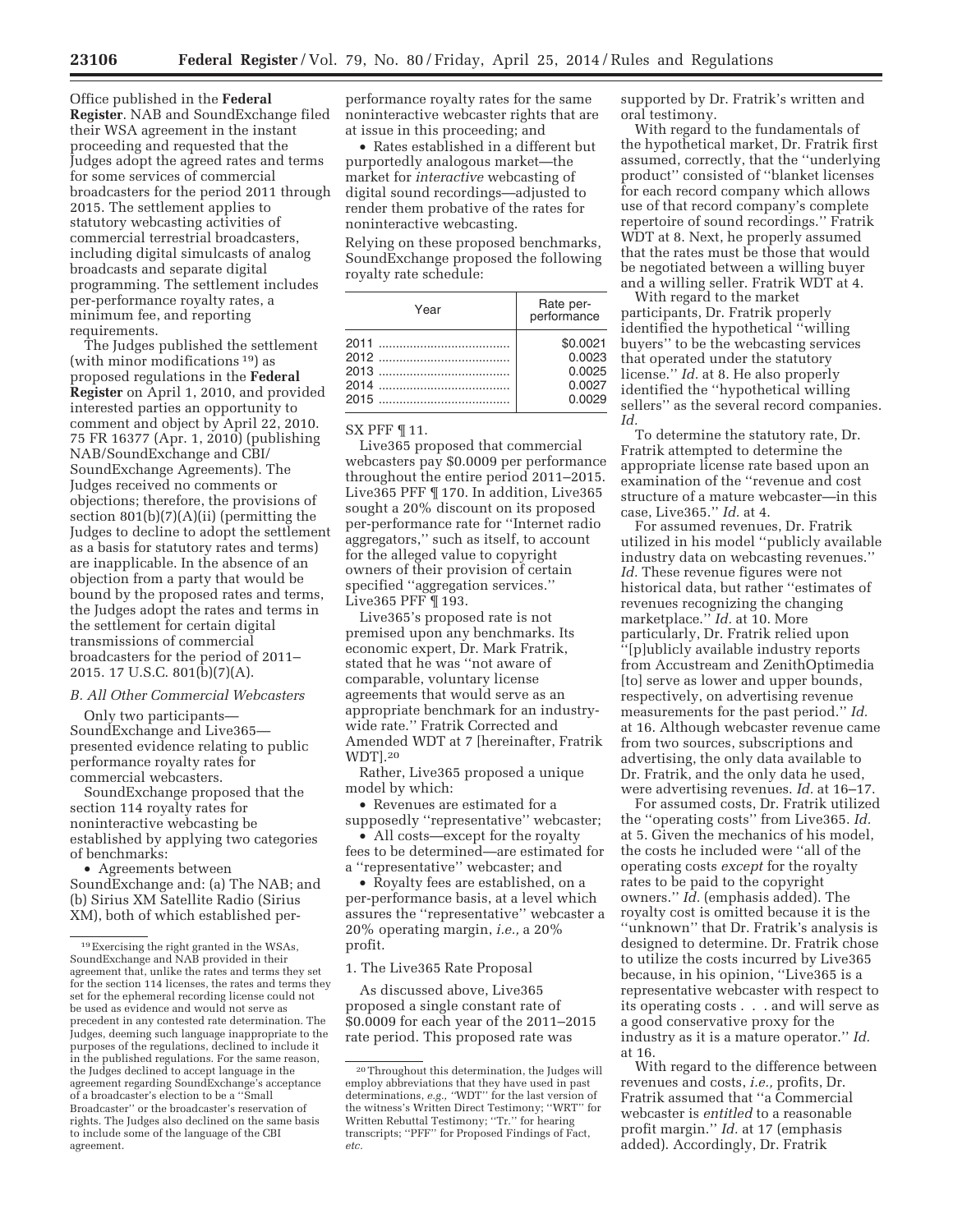Office published in the **Federal Register**. NAB and SoundExchange filed their WSA agreement in the instant proceeding and requested that the Judges adopt the agreed rates and terms for some services of commercial broadcasters for the period 2011 through 2015. The settlement applies to statutory webcasting activities of commercial terrestrial broadcasters, including digital simulcasts of analog broadcasts and separate digital programming. The settlement includes per-performance royalty rates, a minimum fee, and reporting requirements.

The Judges published the settlement (with minor modifications 19) as proposed regulations in the **Federal Register** on April 1, 2010, and provided interested parties an opportunity to comment and object by April 22, 2010. 75 FR 16377 (Apr. 1, 2010) (publishing NAB/SoundExchange and CBI/ SoundExchange Agreements). The Judges received no comments or objections; therefore, the provisions of section 801(b)(7)(A)(ii) (permitting the Judges to decline to adopt the settlement as a basis for statutory rates and terms) are inapplicable. In the absence of an objection from a party that would be bound by the proposed rates and terms, the Judges adopt the rates and terms in the settlement for certain digital transmissions of commercial broadcasters for the period of 2011– 2015. 17 U.S.C. 801(b)(7)(A).

# *B. All Other Commercial Webcasters*

Only two participants— SoundExchange and Live365 presented evidence relating to public performance royalty rates for commercial webcasters.

SoundExchange proposed that the section 114 royalty rates for noninteractive webcasting be established by applying two categories of benchmarks:

• Agreements between SoundExchange and: (a) The NAB; and (b) Sirius XM Satellite Radio (Sirius XM), both of which established per-

performance royalty rates for the same noninteractive webcaster rights that are at issue in this proceeding; and

• Rates established in a different but purportedly analogous market—the market for *interactive* webcasting of digital sound recordings—adjusted to render them probative of the rates for noninteractive webcasting.

Relying on these proposed benchmarks, SoundExchange proposed the following royalty rate schedule:

| Year | Rate per-<br>performance |
|------|--------------------------|
|      | \$0.0021                 |
|      | 0.0023                   |
|      | 0.0025                   |
|      | 0.0027                   |
|      | 0.0029                   |

SX PFF ¶ 11.

Live365 proposed that commercial webcasters pay \$0.0009 per performance throughout the entire period 2011–2015. Live365 PFF ¶ 170. In addition, Live365 sought a 20% discount on its proposed per-performance rate for ''Internet radio aggregators,'' such as itself, to account for the alleged value to copyright owners of their provision of certain specified ''aggregation services.'' Live365 PFF ¶ 193.

Live365's proposed rate is not premised upon any benchmarks. Its economic expert, Dr. Mark Fratrik, stated that he was ''not aware of comparable, voluntary license agreements that would serve as an appropriate benchmark for an industrywide rate.'' Fratrik Corrected and Amended WDT at 7 [hereinafter, Fratrik WDT].20

Rather, Live365 proposed a unique model by which:

• Revenues are estimated for a supposedly ''representative'' webcaster;

• All costs—except for the royalty fees to be determined—are estimated for a ''representative'' webcaster; and

• Royalty fees are established, on a per-performance basis, at a level which assures the ''representative'' webcaster a 20% operating margin, *i.e.,* a 20% profit.

#### 1. The Live365 Rate Proposal

As discussed above, Live365 proposed a single constant rate of \$0.0009 for each year of the 2011–2015 rate period. This proposed rate was

supported by Dr. Fratrik's written and oral testimony.

With regard to the fundamentals of the hypothetical market, Dr. Fratrik first assumed, correctly, that the ''underlying product'' consisted of ''blanket licenses for each record company which allows use of that record company's complete repertoire of sound recordings.'' Fratrik WDT at 8. Next, he properly assumed that the rates must be those that would be negotiated between a willing buyer and a willing seller. Fratrik WDT at 4.

With regard to the market participants, Dr. Fratrik properly identified the hypothetical ''willing buyers'' to be the webcasting services that operated under the statutory license.'' *Id.* at 8. He also properly identified the ''hypothetical willing sellers'' as the several record companies. *Id.* 

To determine the statutory rate, Dr. Fratrik attempted to determine the appropriate license rate based upon an examination of the ''revenue and cost structure of a mature webcaster—in this case, Live365.'' *Id.* at 4.

For assumed revenues, Dr. Fratrik utilized in his model ''publicly available industry data on webcasting revenues.'' *Id.* These revenue figures were not historical data, but rather ''estimates of revenues recognizing the changing marketplace.'' *Id.* at 10. More particularly, Dr. Fratrik relied upon ''[p]ublicly available industry reports from Accustream and ZenithOptimedia [to] serve as lower and upper bounds, respectively, on advertising revenue measurements for the past period.'' *Id.*  at 16. Although webcaster revenue came from two sources, subscriptions and advertising, the only data available to Dr. Fratrik, and the only data he used, were advertising revenues. *Id.* at 16–17.

For assumed costs, Dr. Fratrik utilized the ''operating costs'' from Live365. *Id.*  at 5. Given the mechanics of his model, the costs he included were ''all of the operating costs *except* for the royalty rates to be paid to the copyright owners.'' *Id.* (emphasis added). The royalty cost is omitted because it is the ''unknown'' that Dr. Fratrik's analysis is designed to determine. Dr. Fratrik chose to utilize the costs incurred by Live365 because, in his opinion, ''Live365 is a representative webcaster with respect to its operating costs . . . and will serve as a good conservative proxy for the industry as it is a mature operator.'' *Id.*  at 16.

With regard to the difference between revenues and costs, *i.e.,* profits, Dr. Fratrik assumed that ''a Commercial webcaster is *entitled* to a reasonable profit margin.'' *Id.* at 17 (emphasis added). Accordingly, Dr. Fratrik

<sup>19</sup>Exercising the right granted in the WSAs, SoundExchange and NAB provided in their agreement that, unlike the rates and terms they set for the section 114 licenses, the rates and terms they set for the ephemeral recording license could not be used as evidence and would not serve as precedent in any contested rate determination. The Judges, deeming such language inappropriate to the purposes of the regulations, declined to include it in the published regulations. For the same reason, the Judges declined to accept language in the agreement regarding SoundExchange's acceptance of a broadcaster's election to be a ''Small Broadcaster'' or the broadcaster's reservation of rights. The Judges also declined on the same basis to include some of the language of the CBI agreement.

<sup>20</sup>Throughout this determination, the Judges will employ abbreviations that they have used in past determinations, *e.g., ''*WDT'' for the last version of the witness's Written Direct Testimony; ''WRT'' for Written Rebuttal Testimony; ''Tr.'' for hearing transcripts; ''PFF'' for Proposed Findings of Fact, *etc.*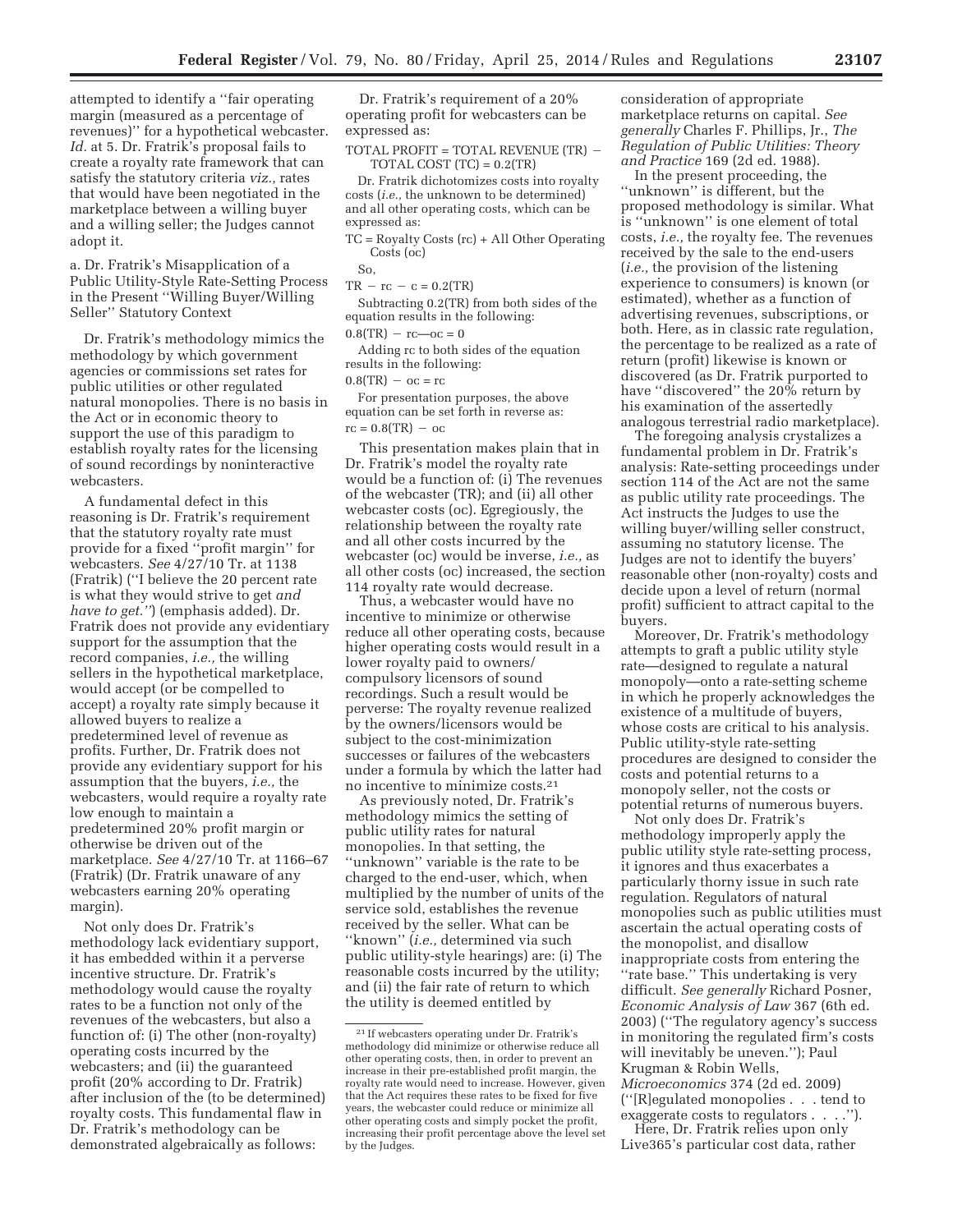attempted to identify a ''fair operating margin (measured as a percentage of revenues)'' for a hypothetical webcaster. *Id.* at 5. Dr. Fratrik's proposal fails to create a royalty rate framework that can satisfy the statutory criteria *viz.,* rates that would have been negotiated in the marketplace between a willing buyer and a willing seller; the Judges cannot adopt it.

a. Dr. Fratrik's Misapplication of a Public Utility-Style Rate-Setting Process in the Present ''Willing Buyer/Willing Seller'' Statutory Context

Dr. Fratrik's methodology mimics the methodology by which government agencies or commissions set rates for public utilities or other regulated natural monopolies. There is no basis in the Act or in economic theory to support the use of this paradigm to establish royalty rates for the licensing of sound recordings by noninteractive webcasters.

A fundamental defect in this reasoning is Dr. Fratrik's requirement that the statutory royalty rate must provide for a fixed ''profit margin'' for webcasters. *See* 4/27/10 Tr. at 1138 (Fratrik) (''I believe the 20 percent rate is what they would strive to get *and have to get.''*) (emphasis added). Dr. Fratrik does not provide any evidentiary support for the assumption that the record companies, *i.e.,* the willing sellers in the hypothetical marketplace, would accept (or be compelled to accept) a royalty rate simply because it allowed buyers to realize a predetermined level of revenue as profits. Further, Dr. Fratrik does not provide any evidentiary support for his assumption that the buyers, *i.e.,* the webcasters, would require a royalty rate low enough to maintain a predetermined 20% profit margin or otherwise be driven out of the marketplace. *See* 4/27/10 Tr. at 1166–67 (Fratrik) (Dr. Fratrik unaware of any webcasters earning 20% operating margin).

Not only does Dr. Fratrik's methodology lack evidentiary support, it has embedded within it a perverse incentive structure. Dr. Fratrik's methodology would cause the royalty rates to be a function not only of the revenues of the webcasters, but also a function of: (i) The other (non-royalty) operating costs incurred by the webcasters; and (ii) the guaranteed profit (20% according to Dr. Fratrik) after inclusion of the (to be determined) royalty costs. This fundamental flaw in Dr. Fratrik's methodology can be demonstrated algebraically as follows:

Dr. Fratrik's requirement of a 20% operating profit for webcasters can be expressed as:

TOTAL PROFIT = TOTAL REVENUE (TR) - $TOTAL COST (TC) = 0.2 (TR)$ 

Dr. Fratrik dichotomizes costs into royalty costs (*i.e.,* the unknown to be determined) and all other operating costs, which can be expressed as:

TC = Royalty Costs (rc) + All Other Operating Costs (oc) and an other operating<br>expressed as:<br>TC = Royalty Costs (rc)<br>Costs (oc)<br>So,<br>TR - rc - c = 0.2(TR)

So,

Subtracting 0.2(TR) from both sides of the equation results in the following: So,<br>  $TR - rc - c = 0.2(TR)$ <br>
Subtracting 0.2(TR)<br>
equation results in the 0.8(TR) –  $rc$ — $oc = 0$ 

Adding rc to both sides of the equation results in the following: oubtacting  $0.2($ <br>equation results in<br> $0.8(TR) - rc - oc$ <br>Adding rc to bo<br>results in the follo<br> $0.8(TR) - oc = rc$ 

For presentation purposes, the above equation can be set forth in reverse as: results in the following it to both<br>  $0.8(TR) - 0c = rc$ <br>
For presentation<br>
equation can be se<br>  $rc = 0.8(TR) - oc$ 

This presentation makes plain that in Dr. Fratrik's model the royalty rate would be a function of: (i) The revenues of the webcaster (TR); and (ii) all other webcaster costs (oc). Egregiously, the relationship between the royalty rate and all other costs incurred by the webcaster (oc) would be inverse, *i.e.,* as all other costs (oc) increased, the section 114 royalty rate would decrease.

Thus, a webcaster would have no incentive to minimize or otherwise reduce all other operating costs, because higher operating costs would result in a lower royalty paid to owners/ compulsory licensors of sound recordings. Such a result would be perverse: The royalty revenue realized by the owners/licensors would be subject to the cost-minimization successes or failures of the webcasters under a formula by which the latter had no incentive to minimize costs.21

As previously noted, Dr. Fratrik's methodology mimics the setting of public utility rates for natural monopolies. In that setting, the ''unknown'' variable is the rate to be charged to the end-user, which, when multiplied by the number of units of the service sold, establishes the revenue received by the seller. What can be ''known'' (*i.e.,* determined via such public utility-style hearings) are: (i) The reasonable costs incurred by the utility; and (ii) the fair rate of return to which the utility is deemed entitled by

consideration of appropriate marketplace returns on capital. *See generally* Charles F. Phillips, Jr., *The Regulation of Public Utilities: Theory and Practice* 169 (2d ed. 1988).

In the present proceeding, the ''unknown'' is different, but the proposed methodology is similar. What is ''unknown'' is one element of total costs, *i.e.,* the royalty fee. The revenues received by the sale to the end-users (*i.e.,* the provision of the listening experience to consumers) is known (or estimated), whether as a function of advertising revenues, subscriptions, or both. Here, as in classic rate regulation, the percentage to be realized as a rate of return (profit) likewise is known or discovered (as Dr. Fratrik purported to have "discovered" the 20% return by his examination of the assertedly analogous terrestrial radio marketplace).

The foregoing analysis crystalizes a fundamental problem in Dr. Fratrik's analysis: Rate-setting proceedings under section 114 of the Act are not the same as public utility rate proceedings. The Act instructs the Judges to use the willing buyer/willing seller construct, assuming no statutory license. The Judges are not to identify the buyers' reasonable other (non-royalty) costs and decide upon a level of return (normal profit) sufficient to attract capital to the buyers.

Moreover, Dr. Fratrik's methodology attempts to graft a public utility style rate—designed to regulate a natural monopoly—onto a rate-setting scheme in which he properly acknowledges the existence of a multitude of buyers, whose costs are critical to his analysis. Public utility-style rate-setting procedures are designed to consider the costs and potential returns to a monopoly seller, not the costs or potential returns of numerous buyers.

Not only does Dr. Fratrik's methodology improperly apply the public utility style rate-setting process, it ignores and thus exacerbates a particularly thorny issue in such rate regulation. Regulators of natural monopolies such as public utilities must ascertain the actual operating costs of the monopolist, and disallow inappropriate costs from entering the "rate base." This undertaking is very difficult. *See generally* Richard Posner, *Economic Analysis of Law* 367 (6th ed. 2003) (''The regulatory agency's success in monitoring the regulated firm's costs will inevitably be uneven.''); Paul Krugman & Robin Wells, *Microeconomics* 374 (2d ed. 2009) (''[R]egulated monopolies . . . tend to exaggerate costs to regulators . . . .'').

Here, Dr. Fratrik relies upon only Live365's particular cost data, rather

<sup>21</sup> If webcasters operating under Dr. Fratrik's methodology did minimize or otherwise reduce all other operating costs, then, in order to prevent an increase in their pre-established profit margin, the royalty rate would need to increase. However, given that the Act requires these rates to be fixed for five years, the webcaster could reduce or minimize all other operating costs and simply pocket the profit, increasing their profit percentage above the level set by the Judges.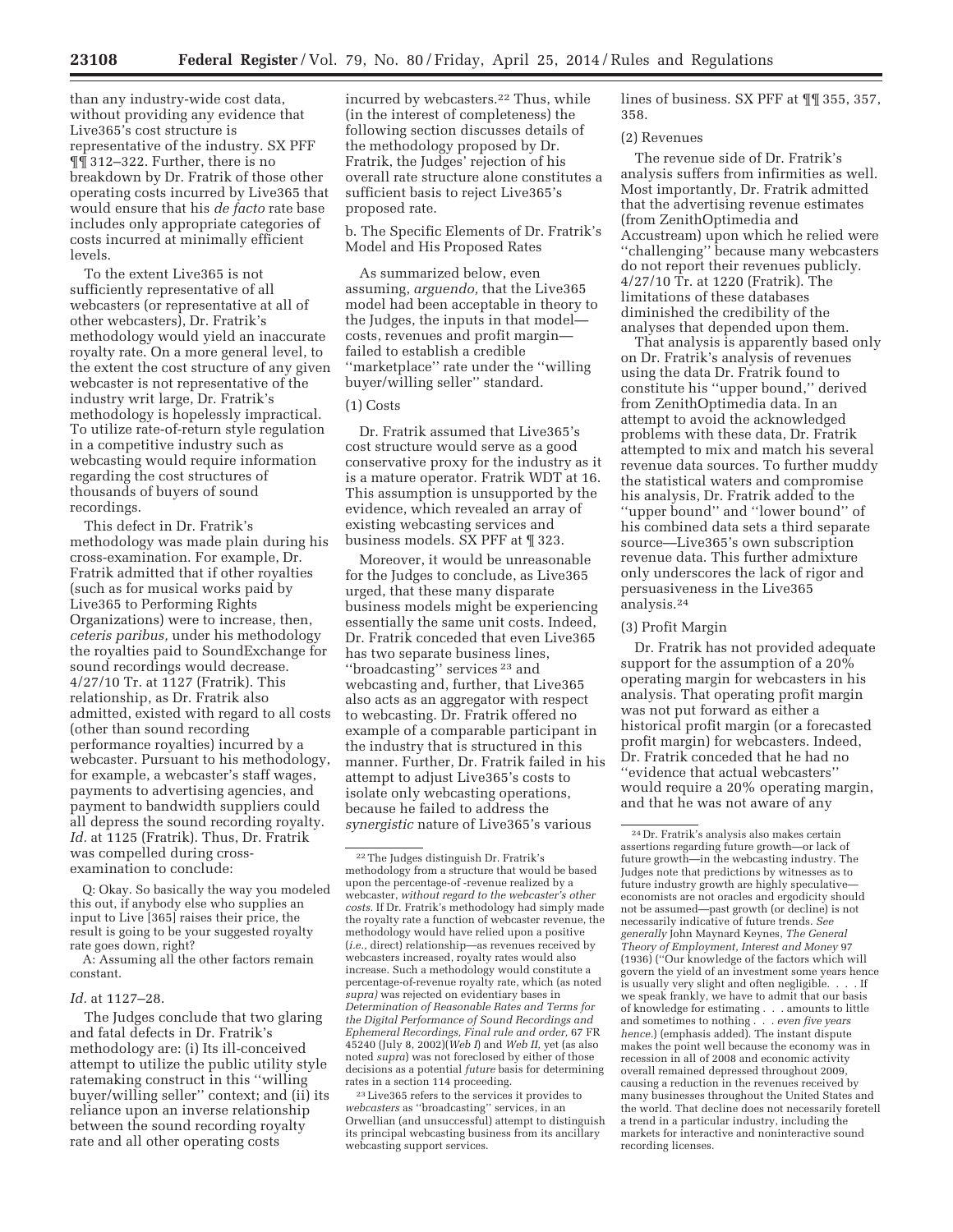than any industry-wide cost data, without providing any evidence that Live365's cost structure is representative of the industry. SX PFF ¶¶ 312–322. Further, there is no breakdown by Dr. Fratrik of those other operating costs incurred by Live365 that would ensure that his *de facto* rate base includes only appropriate categories of costs incurred at minimally efficient levels.

To the extent Live365 is not sufficiently representative of all webcasters (or representative at all of other webcasters), Dr. Fratrik's methodology would yield an inaccurate royalty rate. On a more general level, to the extent the cost structure of any given webcaster is not representative of the industry writ large, Dr. Fratrik's methodology is hopelessly impractical. To utilize rate-of-return style regulation in a competitive industry such as webcasting would require information regarding the cost structures of thousands of buyers of sound recordings.

This defect in Dr. Fratrik's methodology was made plain during his cross-examination. For example, Dr. Fratrik admitted that if other royalties (such as for musical works paid by Live365 to Performing Rights Organizations) were to increase, then, *ceteris paribus,* under his methodology the royalties paid to SoundExchange for sound recordings would decrease. 4/27/10 Tr. at 1127 (Fratrik). This relationship, as Dr. Fratrik also admitted, existed with regard to all costs (other than sound recording performance royalties) incurred by a webcaster. Pursuant to his methodology, for example, a webcaster's staff wages, payments to advertising agencies, and payment to bandwidth suppliers could all depress the sound recording royalty. *Id.* at 1125 (Fratrik). Thus, Dr. Fratrik was compelled during crossexamination to conclude:

Q: Okay. So basically the way you modeled this out, if anybody else who supplies an input to Live [365] raises their price, the result is going to be your suggested royalty rate goes down, right?

A: Assuming all the other factors remain constant.

# *Id.* at 1127–28.

The Judges conclude that two glaring and fatal defects in Dr. Fratrik's methodology are: (i) Its ill-conceived attempt to utilize the public utility style ratemaking construct in this ''willing buyer/willing seller'' context; and (ii) its reliance upon an inverse relationship between the sound recording royalty rate and all other operating costs

incurred by webcasters.<sup>22</sup> Thus, while (in the interest of completeness) the following section discusses details of the methodology proposed by Dr. Fratrik, the Judges' rejection of his overall rate structure alone constitutes a sufficient basis to reject Live365's proposed rate.

b. The Specific Elements of Dr. Fratrik's Model and His Proposed Rates

As summarized below, even assuming, *arguendo,* that the Live365 model had been acceptable in theory to the Judges, the inputs in that model costs, revenues and profit margin failed to establish a credible ''marketplace'' rate under the ''willing buyer/willing seller'' standard.

# (1) Costs

Dr. Fratrik assumed that Live365's cost structure would serve as a good conservative proxy for the industry as it is a mature operator. Fratrik WDT at 16. This assumption is unsupported by the evidence, which revealed an array of existing webcasting services and business models. SX PFF at ¶ 323.

Moreover, it would be unreasonable for the Judges to conclude, as Live365 urged, that these many disparate business models might be experiencing essentially the same unit costs. Indeed, Dr. Fratrik conceded that even Live365 has two separate business lines, ''broadcasting'' services 23 and webcasting and, further, that Live365 also acts as an aggregator with respect to webcasting. Dr. Fratrik offered no example of a comparable participant in the industry that is structured in this manner. Further, Dr. Fratrik failed in his attempt to adjust Live365's costs to isolate only webcasting operations, because he failed to address the *synergistic* nature of Live365's various

23Live365 refers to the services it provides to *webcasters* as ''broadcasting'' services, in an Orwellian (and unsuccessful) attempt to distinguish its principal webcasting business from its ancillary webcasting support services.

lines of business. SX PFF at ¶¶ 355, 357, 358.

# (2) Revenues

The revenue side of Dr. Fratrik's analysis suffers from infirmities as well. Most importantly, Dr. Fratrik admitted that the advertising revenue estimates (from ZenithOptimedia and Accustream) upon which he relied were ''challenging'' because many webcasters do not report their revenues publicly. 4/27/10 Tr. at 1220 (Fratrik). The limitations of these databases diminished the credibility of the analyses that depended upon them.

That analysis is apparently based only on Dr. Fratrik's analysis of revenues using the data Dr. Fratrik found to constitute his ''upper bound,'' derived from ZenithOptimedia data. In an attempt to avoid the acknowledged problems with these data, Dr. Fratrik attempted to mix and match his several revenue data sources. To further muddy the statistical waters and compromise his analysis, Dr. Fratrik added to the ''upper bound'' and ''lower bound'' of his combined data sets a third separate source—Live365's own subscription revenue data. This further admixture only underscores the lack of rigor and persuasiveness in the Live365 analysis.24

#### (3) Profit Margin

Dr. Fratrik has not provided adequate support for the assumption of a 20% operating margin for webcasters in his analysis. That operating profit margin was not put forward as either a historical profit margin (or a forecasted profit margin) for webcasters. Indeed, Dr. Fratrik conceded that he had no ''evidence that actual webcasters'' would require a 20% operating margin, and that he was not aware of any

<sup>22</sup>The Judges distinguish Dr. Fratrik's methodology from a structure that would be based upon the percentage-of -revenue realized by a webcaster, *without regard to the webcaster's other costs.* If Dr. Fratrik's methodology had simply made the royalty rate a function of webcaster revenue, the methodology would have relied upon a positive (*i.e.,* direct) relationship—as revenues received by webcasters increased, royalty rates would also increase. Such a methodology would constitute a percentage-of-revenue royalty rate, which (as noted *supra)* was rejected on evidentiary bases in *Determination of Reasonable Rates and Terms for the Digital Performance of Sound Recordings and Ephemeral Recordings, Final rule and order,* 67 FR 45240 (July 8, 2002)(*Web I*) and *Web II,* yet (as also noted *supra*) was not foreclosed by either of those decisions as a potential *future* basis for determining rates in a section 114 proceeding.

<sup>24</sup> Dr. Fratrik's analysis also makes certain assertions regarding future growth—or lack of future growth—in the webcasting industry. The Judges note that predictions by witnesses as to future industry growth are highly speculative economists are not oracles and ergodicity should not be assumed—past growth (or decline) is not necessarily indicative of future trends. *See generally* John Maynard Keynes, *The General Theory of Employment, Interest and Money* 97 (1936) (''Our knowledge of the factors which will govern the yield of an investment some years hence is usually very slight and often negligible. . we speak frankly, we have to admit that our basis of knowledge for estimating . . . amounts to little and sometimes to nothing . . . *even five years hence.*) (emphasis added). The instant dispute makes the point well because the economy was in recession in all of 2008 and economic activity overall remained depressed throughout 2009, causing a reduction in the revenues received by many businesses throughout the United States and the world. That decline does not necessarily foretell a trend in a particular industry, including the markets for interactive and noninteractive sound recording licenses.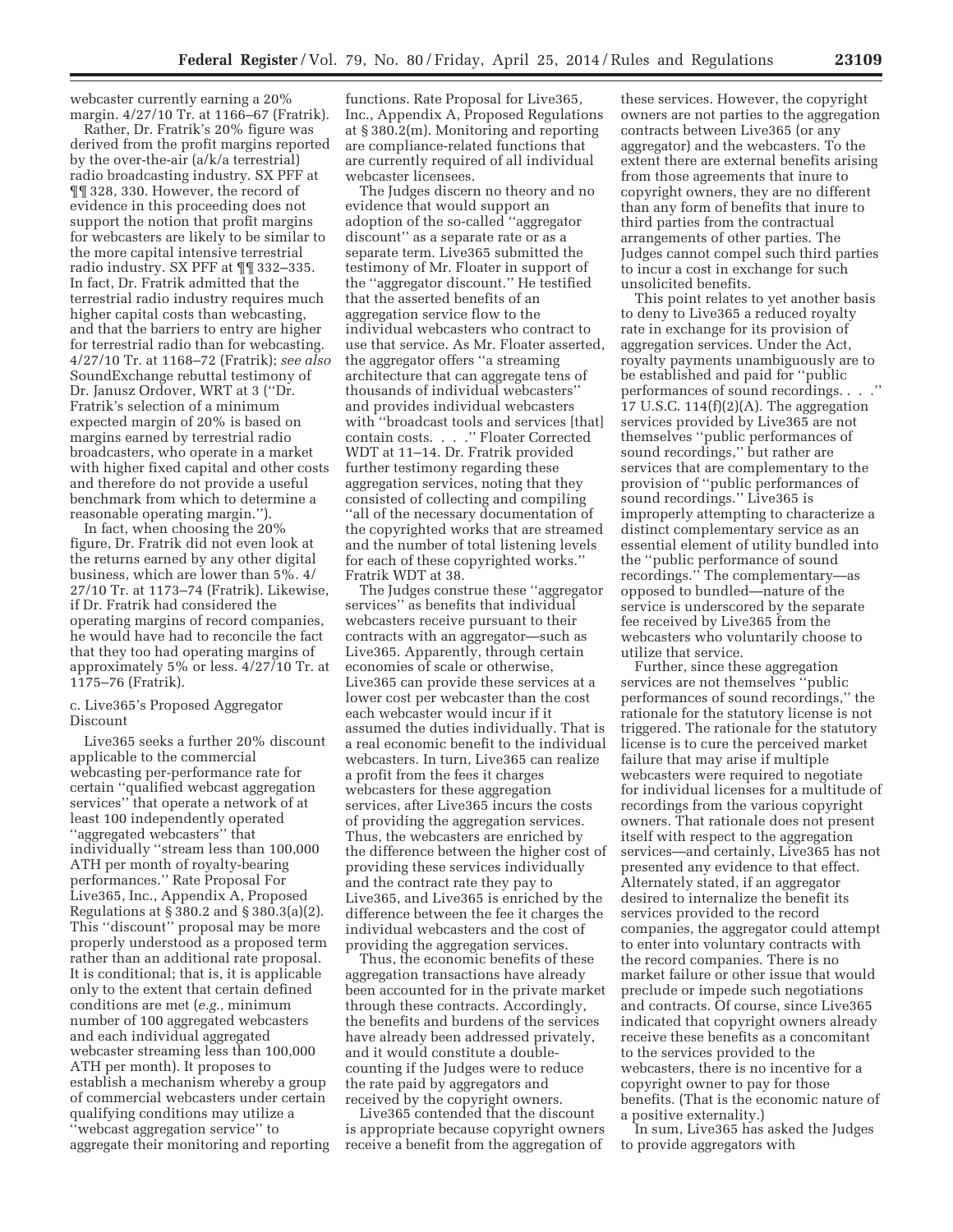webcaster currently earning a 20% margin. 4/27/10 Tr. at 1166–67 (Fratrik).

Rather, Dr. Fratrik's 20% figure was derived from the profit margins reported by the over-the-air (a/k/a terrestrial) radio broadcasting industry. SX PFF at ¶¶ 328, 330. However, the record of evidence in this proceeding does not support the notion that profit margins for webcasters are likely to be similar to the more capital intensive terrestrial radio industry. SX PFF at ¶¶ 332–335. In fact, Dr. Fratrik admitted that the terrestrial radio industry requires much higher capital costs than webcasting, and that the barriers to entry are higher for terrestrial radio than for webcasting. 4/27/10 Tr. at 1168–72 (Fratrik); *see also*  SoundExchange rebuttal testimony of Dr. Janusz Ordover, WRT at 3 (''Dr. Fratrik's selection of a minimum expected margin of 20% is based on margins earned by terrestrial radio broadcasters, who operate in a market with higher fixed capital and other costs and therefore do not provide a useful benchmark from which to determine a reasonable operating margin.'').

In fact, when choosing the 20% figure, Dr. Fratrik did not even look at the returns earned by any other digital business, which are lower than 5%. 4/ 27/10 Tr. at 1173–74 (Fratrik). Likewise, if Dr. Fratrik had considered the operating margins of record companies, he would have had to reconcile the fact that they too had operating margins of approximately 5% or less. 4/27/10 Tr. at 1175–76 (Fratrik).

# c. Live365's Proposed Aggregator Discount

Live365 seeks a further 20% discount applicable to the commercial webcasting per-performance rate for certain ''qualified webcast aggregation services'' that operate a network of at least 100 independently operated ''aggregated webcasters'' that individually ''stream less than 100,000 ATH per month of royalty-bearing performances.'' Rate Proposal For Live365, Inc., Appendix A, Proposed Regulations at § 380.2 and § 380.3(a)(2). This ''discount'' proposal may be more properly understood as a proposed term rather than an additional rate proposal. It is conditional; that is, it is applicable only to the extent that certain defined conditions are met (*e.g.,* minimum number of 100 aggregated webcasters and each individual aggregated webcaster streaming less than 100,000 ATH per month). It proposes to establish a mechanism whereby a group of commercial webcasters under certain qualifying conditions may utilize a ''webcast aggregation service'' to aggregate their monitoring and reporting

functions. Rate Proposal for Live365, Inc., Appendix A, Proposed Regulations at § 380.2(m). Monitoring and reporting are compliance-related functions that are currently required of all individual webcaster licensees.

The Judges discern no theory and no evidence that would support an adoption of the so-called ''aggregator discount'' as a separate rate or as a separate term. Live365 submitted the testimony of Mr. Floater in support of the ''aggregator discount.'' He testified that the asserted benefits of an aggregation service flow to the individual webcasters who contract to use that service. As Mr. Floater asserted, the aggregator offers ''a streaming architecture that can aggregate tens of thousands of individual webcasters'' and provides individual webcasters with ''broadcast tools and services [that] contain costs. . . .'' Floater Corrected WDT at 11–14. Dr. Fratrik provided further testimony regarding these aggregation services, noting that they consisted of collecting and compiling ''all of the necessary documentation of the copyrighted works that are streamed and the number of total listening levels for each of these copyrighted works.'' Fratrik WDT at 38.

The Judges construe these ''aggregator services'' as benefits that individual webcasters receive pursuant to their contracts with an aggregator—such as Live365. Apparently, through certain economies of scale or otherwise, Live365 can provide these services at a lower cost per webcaster than the cost each webcaster would incur if it assumed the duties individually. That is a real economic benefit to the individual webcasters. In turn, Live365 can realize a profit from the fees it charges webcasters for these aggregation services, after Live365 incurs the costs of providing the aggregation services. Thus, the webcasters are enriched by the difference between the higher cost of providing these services individually and the contract rate they pay to Live365, and Live365 is enriched by the difference between the fee it charges the individual webcasters and the cost of providing the aggregation services.

Thus, the economic benefits of these aggregation transactions have already been accounted for in the private market through these contracts. Accordingly, the benefits and burdens of the services have already been addressed privately, and it would constitute a doublecounting if the Judges were to reduce the rate paid by aggregators and received by the copyright owners.

Live365 contended that the discount is appropriate because copyright owners receive a benefit from the aggregation of

these services. However, the copyright owners are not parties to the aggregation contracts between Live365 (or any aggregator) and the webcasters. To the extent there are external benefits arising from those agreements that inure to copyright owners, they are no different than any form of benefits that inure to third parties from the contractual arrangements of other parties. The Judges cannot compel such third parties to incur a cost in exchange for such unsolicited benefits.

This point relates to yet another basis to deny to Live365 a reduced royalty rate in exchange for its provision of aggregation services. Under the Act, royalty payments unambiguously are to be established and paid for ''public performances of sound recordings. . . .'' 17 U.S.C.  $114(f)(2)(A)$ . The aggregation services provided by Live365 are not themselves ''public performances of sound recordings,'' but rather are services that are complementary to the provision of ''public performances of sound recordings.'' Live365 is improperly attempting to characterize a distinct complementary service as an essential element of utility bundled into the ''public performance of sound recordings.'' The complementary—as opposed to bundled—nature of the service is underscored by the separate fee received by Live365 from the webcasters who voluntarily choose to utilize that service.

Further, since these aggregation services are not themselves ''public performances of sound recordings,'' the rationale for the statutory license is not triggered. The rationale for the statutory license is to cure the perceived market failure that may arise if multiple webcasters were required to negotiate for individual licenses for a multitude of recordings from the various copyright owners. That rationale does not present itself with respect to the aggregation services—and certainly, Live365 has not presented any evidence to that effect. Alternately stated, if an aggregator desired to internalize the benefit its services provided to the record companies, the aggregator could attempt to enter into voluntary contracts with the record companies. There is no market failure or other issue that would preclude or impede such negotiations and contracts. Of course, since Live365 indicated that copyright owners already receive these benefits as a concomitant to the services provided to the webcasters, there is no incentive for a copyright owner to pay for those benefits. (That is the economic nature of a positive externality.)

In sum, Live365 has asked the Judges to provide aggregators with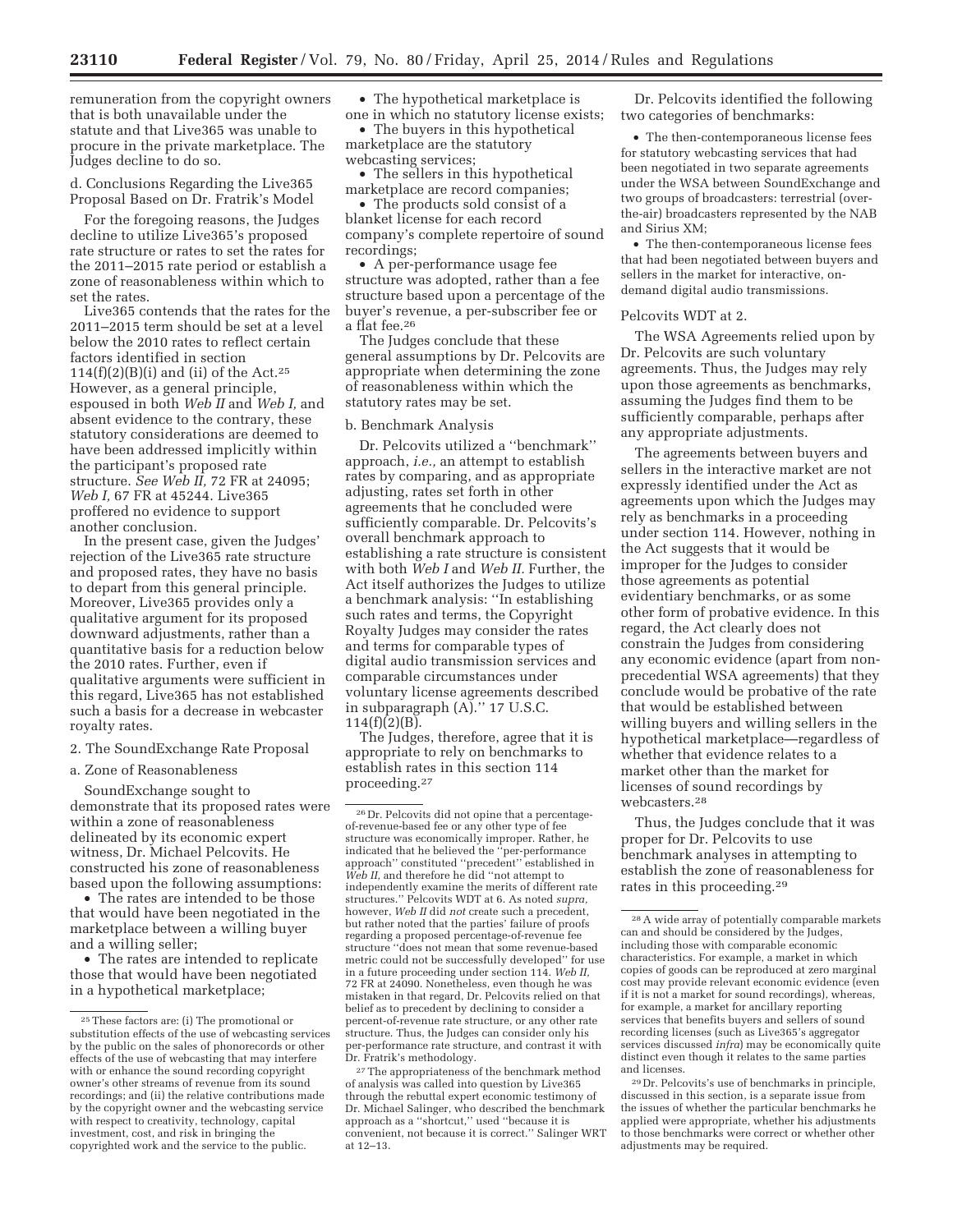remuneration from the copyright owners that is both unavailable under the statute and that Live365 was unable to procure in the private marketplace. The Judges decline to do so.

d. Conclusions Regarding the Live365 Proposal Based on Dr. Fratrik's Model

For the foregoing reasons, the Judges decline to utilize Live365's proposed rate structure or rates to set the rates for the 2011–2015 rate period or establish a zone of reasonableness within which to set the rates.

Live365 contends that the rates for the 2011–2015 term should be set at a level below the 2010 rates to reflect certain factors identified in section 114(f)(2)(B)(i) and (ii) of the Act.<sup>25</sup> However, as a general principle, espoused in both *Web II* and *Web I,* and absent evidence to the contrary, these statutory considerations are deemed to have been addressed implicitly within the participant's proposed rate structure. *See Web II,* 72 FR at 24095; *Web I,* 67 FR at 45244. Live365 proffered no evidence to support another conclusion.

In the present case, given the Judges' rejection of the Live365 rate structure and proposed rates, they have no basis to depart from this general principle. Moreover, Live365 provides only a qualitative argument for its proposed downward adjustments, rather than a quantitative basis for a reduction below the 2010 rates. Further, even if qualitative arguments were sufficient in this regard, Live365 has not established such a basis for a decrease in webcaster royalty rates.

2. The SoundExchange Rate Proposal

a. Zone of Reasonableness

SoundExchange sought to demonstrate that its proposed rates were within a zone of reasonableness delineated by its economic expert witness, Dr. Michael Pelcovits. He constructed his zone of reasonableness based upon the following assumptions:

• The rates are intended to be those that would have been negotiated in the marketplace between a willing buyer and a willing seller;

• The rates are intended to replicate those that would have been negotiated in a hypothetical marketplace;

• The hypothetical marketplace is one in which no statutory license exists;

• The buyers in this hypothetical marketplace are the statutory

webcasting services; The sellers in this hypothetical

marketplace are record companies; The products sold consist of a blanket license for each record company's complete repertoire of sound recordings;

• A per-performance usage fee structure was adopted, rather than a fee structure based upon a percentage of the buyer's revenue, a per-subscriber fee or a flat fee. $^{26}$ 

The Judges conclude that these general assumptions by Dr. Pelcovits are appropriate when determining the zone of reasonableness within which the statutory rates may be set.

#### b. Benchmark Analysis

Dr. Pelcovits utilized a ''benchmark'' approach, *i.e.,* an attempt to establish rates by comparing, and as appropriate adjusting, rates set forth in other agreements that he concluded were sufficiently comparable. Dr. Pelcovits's overall benchmark approach to establishing a rate structure is consistent with both *Web I* and *Web II.* Further, the Act itself authorizes the Judges to utilize a benchmark analysis: ''In establishing such rates and terms, the Copyright Royalty Judges may consider the rates and terms for comparable types of digital audio transmission services and comparable circumstances under voluntary license agreements described in subparagraph (A).'' 17 U.S.C.  $114(f)(2)(B)$ .

The Judges, therefore, agree that it is appropriate to rely on benchmarks to establish rates in this section 114 proceeding.27

Dr. Pelcovits identified the following two categories of benchmarks:

• The then-contemporaneous license fees for statutory webcasting services that had been negotiated in two separate agreements under the WSA between SoundExchange and two groups of broadcasters: terrestrial (overthe-air) broadcasters represented by the NAB and Sirius XM;

• The then-contemporaneous license fees that had been negotiated between buyers and sellers in the market for interactive, ondemand digital audio transmissions.

# Pelcovits WDT at 2.

The WSA Agreements relied upon by Dr. Pelcovits are such voluntary agreements. Thus, the Judges may rely upon those agreements as benchmarks, assuming the Judges find them to be sufficiently comparable, perhaps after any appropriate adjustments.

The agreements between buyers and sellers in the interactive market are not expressly identified under the Act as agreements upon which the Judges may rely as benchmarks in a proceeding under section 114. However, nothing in the Act suggests that it would be improper for the Judges to consider those agreements as potential evidentiary benchmarks, or as some other form of probative evidence. In this regard, the Act clearly does not constrain the Judges from considering any economic evidence (apart from nonprecedential WSA agreements) that they conclude would be probative of the rate that would be established between willing buyers and willing sellers in the hypothetical marketplace—regardless of whether that evidence relates to a market other than the market for licenses of sound recordings by webcasters.28

Thus, the Judges conclude that it was proper for Dr. Pelcovits to use benchmark analyses in attempting to establish the zone of reasonableness for rates in this proceeding.29

<sup>25</sup>These factors are: (i) The promotional or substitution effects of the use of webcasting services by the public on the sales of phonorecords or other effects of the use of webcasting that may interfere with or enhance the sound recording copyright owner's other streams of revenue from its sound recordings; and (ii) the relative contributions made by the copyright owner and the webcasting service with respect to creativity, technology, capital investment, cost, and risk in bringing the copyrighted work and the service to the public.

<sup>26</sup> Dr. Pelcovits did not opine that a percentageof-revenue-based fee or any other type of fee structure was economically improper. Rather, he indicated that he believed the ''per-performance approach'' constituted ''precedent'' established in *Web II,* and therefore he did ''not attempt to independently examine the merits of different rate structures.'' Pelcovits WDT at 6. As noted *supra,*  however, *Web II* did *not* create such a precedent, but rather noted that the parties' failure of proofs regarding a proposed percentage-of-revenue fee structure ''does not mean that some revenue-based metric could not be successfully developed'' for use in a future proceeding under section 114. *Web II,*  72 FR at 24090. Nonetheless, even though he was mistaken in that regard, Dr. Pelcovits relied on that belief as to precedent by declining to consider a percent-of-revenue rate structure, or any other rate structure. Thus, the Judges can consider only his per-performance rate structure, and contrast it with Dr. Fratrik's methodology.

<sup>27</sup>The appropriateness of the benchmark method of analysis was called into question by Live365 through the rebuttal expert economic testimony of Dr. Michael Salinger, who described the benchmark approach as a ''shortcut,'' used ''because it is convenient, not because it is correct.'' Salinger WRT at 12–13.

<sup>28</sup>A wide array of potentially comparable markets can and should be considered by the Judges, including those with comparable economic characteristics. For example, a market in which copies of goods can be reproduced at zero marginal cost may provide relevant economic evidence (even if it is not a market for sound recordings), whereas, for example, a market for ancillary reporting services that benefits buyers and sellers of sound recording licenses (such as Live365's aggregator services discussed *infra*) may be economically quite distinct even though it relates to the same parties and licenses.

<sup>29</sup> Dr. Pelcovits's use of benchmarks in principle, discussed in this section, is a separate issue from the issues of whether the particular benchmarks he applied were appropriate, whether his adjustments to those benchmarks were correct or whether other adjustments may be required.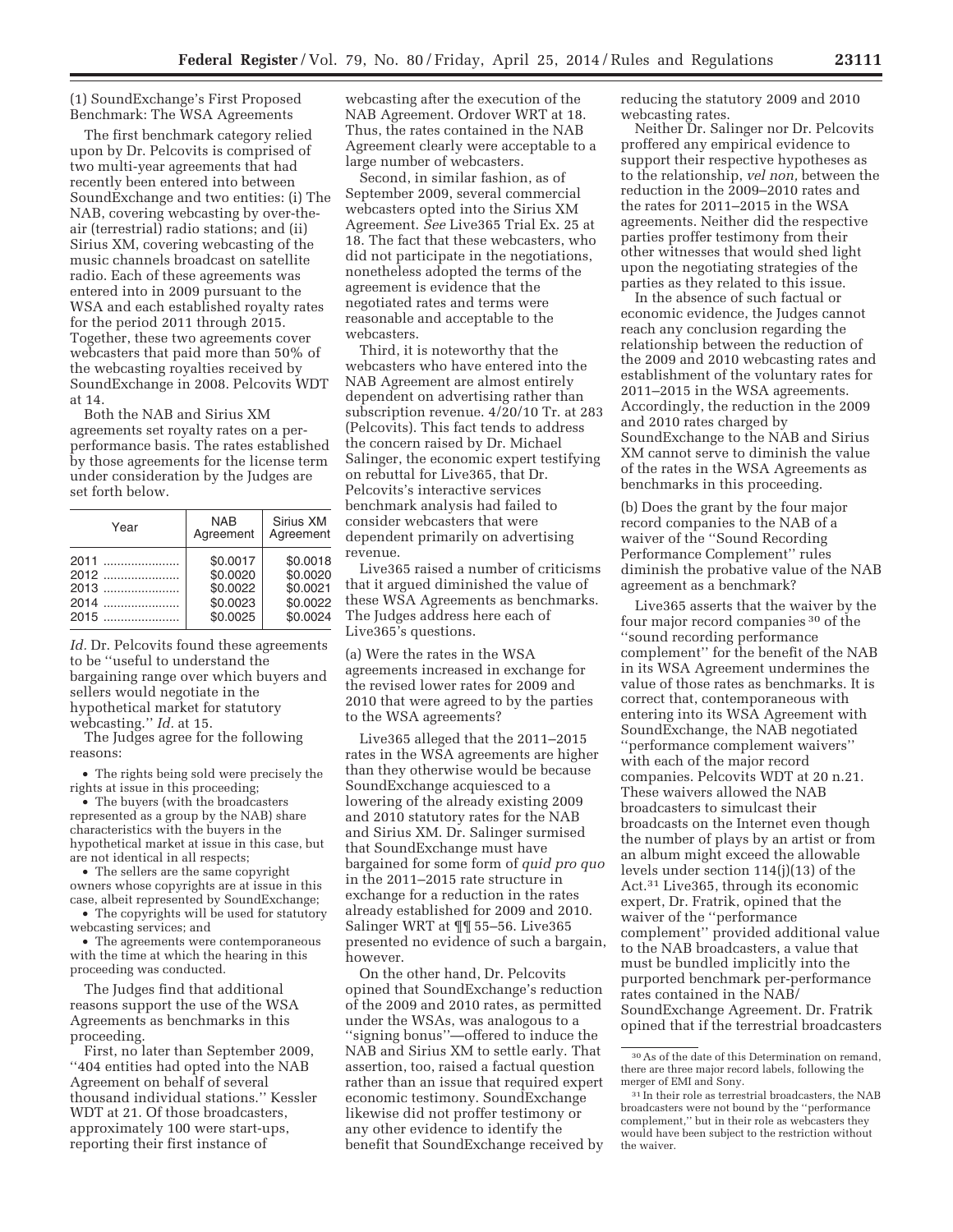(1) SoundExchange's First Proposed Benchmark: The WSA Agreements

The first benchmark category relied upon by Dr. Pelcovits is comprised of two multi-year agreements that had recently been entered into between SoundExchange and two entities: (i) The NAB, covering webcasting by over-theair (terrestrial) radio stations; and (ii) Sirius XM, covering webcasting of the music channels broadcast on satellite radio. Each of these agreements was entered into in 2009 pursuant to the WSA and each established royalty rates for the period 2011 through 2015. Together, these two agreements cover webcasters that paid more than 50% of the webcasting royalties received by SoundExchange in 2008. Pelcovits WDT at 14.

Both the NAB and Sirius XM agreements set royalty rates on a perperformance basis. The rates established by those agreements for the license term under consideration by the Judges are set forth below.

| Year | <b>NAB</b><br>Agreement | Sirius XM<br>Agreement |
|------|-------------------------|------------------------|
| 2011 | \$0.0017                | \$0.0018               |
| 2012 | \$0.0020                | \$0.0020               |
| 2013 | \$0.0022                | \$0.0021               |
| 2014 | \$0.0023                | \$0.0022               |
| 2015 | \$0.0025                | \$0.0024               |

*Id.* Dr. Pelcovits found these agreements to be ''useful to understand the bargaining range over which buyers and sellers would negotiate in the hypothetical market for statutory webcasting.'' *Id.* at 15.

The Judges agree for the following reasons:

• The rights being sold were precisely the rights at issue in this proceeding;

• The buyers (with the broadcasters represented as a group by the NAB) share characteristics with the buyers in the hypothetical market at issue in this case, but are not identical in all respects;

• The sellers are the same copyright owners whose copyrights are at issue in this case, albeit represented by SoundExchange;

• The copyrights will be used for statutory webcasting services; and

• The agreements were contemporaneous with the time at which the hearing in this proceeding was conducted.

The Judges find that additional reasons support the use of the WSA Agreements as benchmarks in this proceeding.

First, no later than September 2009, ''404 entities had opted into the NAB Agreement on behalf of several thousand individual stations.'' Kessler WDT at 21. Of those broadcasters, approximately 100 were start-ups, reporting their first instance of

webcasting after the execution of the NAB Agreement. Ordover WRT at 18. Thus, the rates contained in the NAB Agreement clearly were acceptable to a large number of webcasters.

Second, in similar fashion, as of September 2009, several commercial webcasters opted into the Sirius XM Agreement. *See* Live365 Trial Ex. 25 at 18. The fact that these webcasters, who did not participate in the negotiations, nonetheless adopted the terms of the agreement is evidence that the negotiated rates and terms were reasonable and acceptable to the webcasters.

Third, it is noteworthy that the webcasters who have entered into the NAB Agreement are almost entirely dependent on advertising rather than subscription revenue. 4/20/10 Tr. at 283 (Pelcovits). This fact tends to address the concern raised by Dr. Michael Salinger, the economic expert testifying on rebuttal for Live365, that Dr. Pelcovits's interactive services benchmark analysis had failed to consider webcasters that were dependent primarily on advertising revenue.

Live365 raised a number of criticisms that it argued diminished the value of these WSA Agreements as benchmarks. The Judges address here each of Live365's questions.

(a) Were the rates in the WSA agreements increased in exchange for the revised lower rates for 2009 and 2010 that were agreed to by the parties to the WSA agreements?

Live365 alleged that the 2011–2015 rates in the WSA agreements are higher than they otherwise would be because SoundExchange acquiesced to a lowering of the already existing 2009 and 2010 statutory rates for the NAB and Sirius XM. Dr. Salinger surmised that SoundExchange must have bargained for some form of *quid pro quo*  in the 2011–2015 rate structure in exchange for a reduction in the rates already established for 2009 and 2010. Salinger WRT at ¶¶ 55–56. Live365 presented no evidence of such a bargain, however.

On the other hand, Dr. Pelcovits opined that SoundExchange's reduction of the 2009 and 2010 rates, as permitted under the WSAs, was analogous to a ''signing bonus''—offered to induce the NAB and Sirius XM to settle early. That assertion, too, raised a factual question rather than an issue that required expert economic testimony. SoundExchange likewise did not proffer testimony or any other evidence to identify the benefit that SoundExchange received by

reducing the statutory 2009 and 2010 webcasting rates.

Neither Dr. Salinger nor Dr. Pelcovits proffered any empirical evidence to support their respective hypotheses as to the relationship, *vel non,* between the reduction in the 2009–2010 rates and the rates for 2011–2015 in the WSA agreements. Neither did the respective parties proffer testimony from their other witnesses that would shed light upon the negotiating strategies of the parties as they related to this issue.

In the absence of such factual or economic evidence, the Judges cannot reach any conclusion regarding the relationship between the reduction of the 2009 and 2010 webcasting rates and establishment of the voluntary rates for 2011–2015 in the WSA agreements. Accordingly, the reduction in the 2009 and 2010 rates charged by SoundExchange to the NAB and Sirius XM cannot serve to diminish the value of the rates in the WSA Agreements as benchmarks in this proceeding.

(b) Does the grant by the four major record companies to the NAB of a waiver of the ''Sound Recording Performance Complement'' rules diminish the probative value of the NAB agreement as a benchmark?

Live365 asserts that the waiver by the four major record companies 30 of the ''sound recording performance complement'' for the benefit of the NAB in its WSA Agreement undermines the value of those rates as benchmarks. It is correct that, contemporaneous with entering into its WSA Agreement with SoundExchange, the NAB negotiated ''performance complement waivers'' with each of the major record companies. Pelcovits WDT at 20 n.21. These waivers allowed the NAB broadcasters to simulcast their broadcasts on the Internet even though the number of plays by an artist or from an album might exceed the allowable levels under section 114(j)(13) of the Act.31 Live365, through its economic expert, Dr. Fratrik, opined that the waiver of the ''performance complement'' provided additional value to the NAB broadcasters, a value that must be bundled implicitly into the purported benchmark per-performance rates contained in the NAB/ SoundExchange Agreement. Dr. Fratrik opined that if the terrestrial broadcasters

<sup>30</sup>As of the date of this Determination on remand, there are three major record labels, following the merger of EMI and Sony.

 $\rm ^{31}$  In their role as terrestrial broadcasters, the NAB broadcasters were not bound by the ''performance complement,'' but in their role as webcasters they would have been subject to the restriction without the waiver.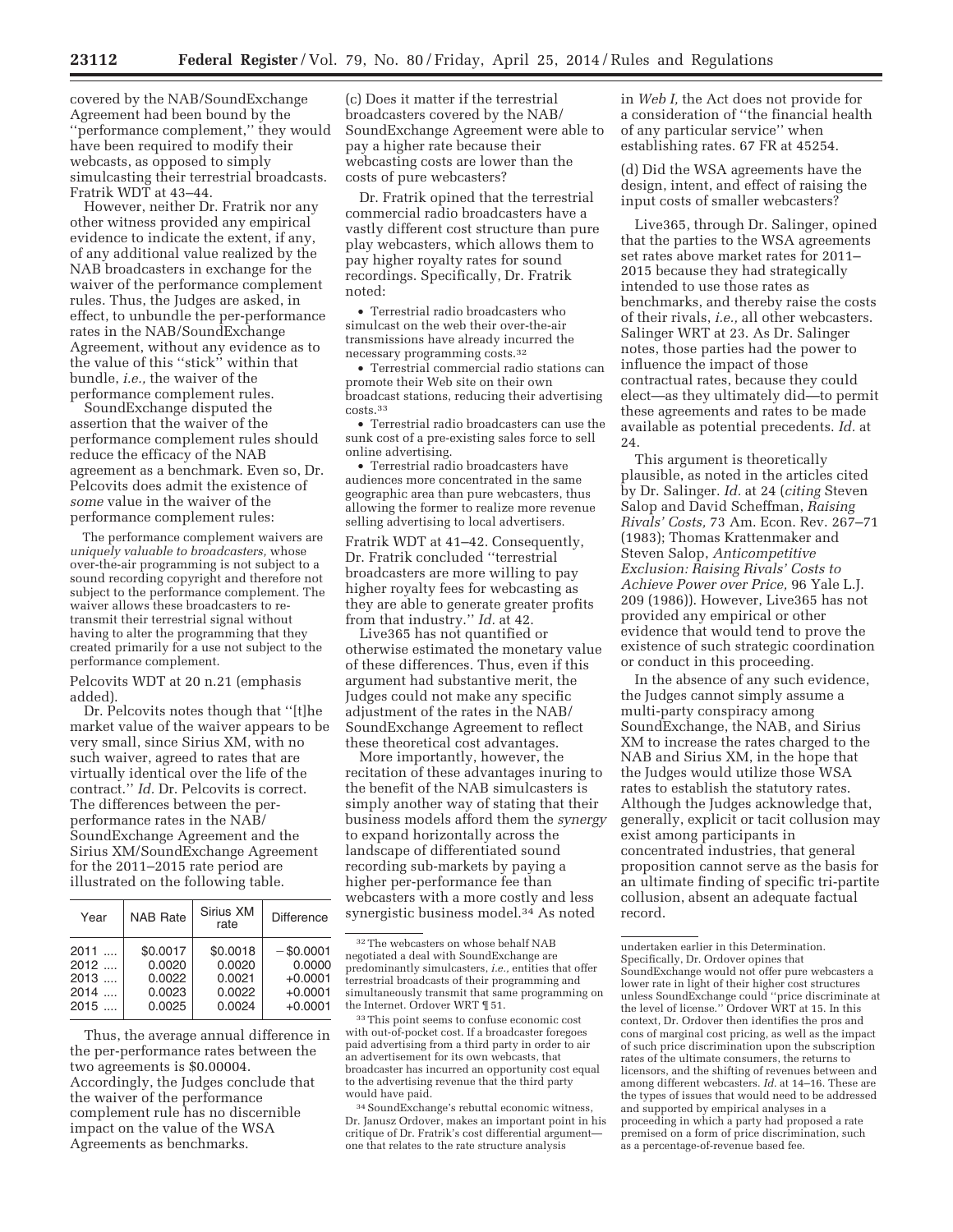covered by the NAB/SoundExchange Agreement had been bound by the ''performance complement,'' they would have been required to modify their webcasts, as opposed to simply simulcasting their terrestrial broadcasts. Fratrik WDT at 43–44.

However, neither Dr. Fratrik nor any other witness provided any empirical evidence to indicate the extent, if any, of any additional value realized by the NAB broadcasters in exchange for the waiver of the performance complement rules. Thus, the Judges are asked, in effect, to unbundle the per-performance rates in the NAB/SoundExchange Agreement, without any evidence as to the value of this ''stick'' within that bundle, *i.e.,* the waiver of the performance complement rules.

SoundExchange disputed the assertion that the waiver of the performance complement rules should reduce the efficacy of the NAB agreement as a benchmark. Even so, Dr. Pelcovits does admit the existence of *some* value in the waiver of the performance complement rules:

The performance complement waivers are *uniquely valuable to broadcasters,* whose over-the-air programming is not subject to a sound recording copyright and therefore not subject to the performance complement. The waiver allows these broadcasters to retransmit their terrestrial signal without having to alter the programming that they created primarily for a use not subject to the performance complement.

Pelcovits WDT at 20 n.21 (emphasis added).

Dr. Pelcovits notes though that ''[t]he market value of the waiver appears to be very small, since Sirius XM, with no such waiver, agreed to rates that are virtually identical over the life of the contract.'' *Id.* Dr. Pelcovits is correct. The differences between the perperformance rates in the NAB/ SoundExchange Agreement and the Sirius XM/SoundExchange Agreement for the 2011–2015 rate period are

| illustrated on the following table.        |                                                  |                                                  |                                                               |
|--------------------------------------------|--------------------------------------------------|--------------------------------------------------|---------------------------------------------------------------|
| Year                                       | <b>NAB Rate</b>                                  | Sirius XM<br>rate                                | <b>Difference</b>                                             |
| $2011$<br>$2012$<br>$2013$<br>2014<br>2015 | \$0.0017<br>0.0020<br>0.0022<br>0.0023<br>0.0025 | \$0.0018<br>0.0020<br>0.0021<br>0.0022<br>0.0024 | $-$ \$0.0001<br>0.0000<br>$+0.0001$<br>$+0.0001$<br>$+0.0001$ |

Thus, the average annual difference in the per-performance rates between the two agreements is \$0.00004. Accordingly, the Judges conclude that the waiver of the performance complement rule has no discernible impact on the value of the WSA Agreements as benchmarks.

(c) Does it matter if the terrestrial broadcasters covered by the NAB/ SoundExchange Agreement were able to pay a higher rate because their webcasting costs are lower than the costs of pure webcasters?

Dr. Fratrik opined that the terrestrial commercial radio broadcasters have a vastly different cost structure than pure play webcasters, which allows them to pay higher royalty rates for sound recordings. Specifically, Dr. Fratrik noted:

• Terrestrial radio broadcasters who simulcast on the web their over-the-air transmissions have already incurred the necessary programming costs.32

• Terrestrial commercial radio stations can promote their Web site on their own broadcast stations, reducing their advertising costs.33

• Terrestrial radio broadcasters can use the sunk cost of a pre-existing sales force to sell online advertising.

• Terrestrial radio broadcasters have audiences more concentrated in the same geographic area than pure webcasters, thus allowing the former to realize more revenue selling advertising to local advertisers.

Fratrik WDT at 41–42. Consequently, Dr. Fratrik concluded ''terrestrial broadcasters are more willing to pay higher royalty fees for webcasting as they are able to generate greater profits from that industry.'' *Id.* at 42.

Live365 has not quantified or otherwise estimated the monetary value of these differences. Thus, even if this argument had substantive merit, the Judges could not make any specific adjustment of the rates in the NAB/ SoundExchange Agreement to reflect these theoretical cost advantages.

More importantly, however, the recitation of these advantages inuring to the benefit of the NAB simulcasters is simply another way of stating that their business models afford them the *synergy*  to expand horizontally across the landscape of differentiated sound recording sub-markets by paying a higher per-performance fee than webcasters with a more costly and less synergistic business model.34 As noted

in *Web I,* the Act does not provide for a consideration of ''the financial health of any particular service'' when establishing rates. 67 FR at 45254.

(d) Did the WSA agreements have the design, intent, and effect of raising the input costs of smaller webcasters?

Live365, through Dr. Salinger, opined that the parties to the WSA agreements set rates above market rates for 2011– 2015 because they had strategically intended to use those rates as benchmarks, and thereby raise the costs of their rivals, *i.e.,* all other webcasters. Salinger WRT at 23. As Dr. Salinger notes, those parties had the power to influence the impact of those contractual rates, because they could elect—as they ultimately did—to permit these agreements and rates to be made available as potential precedents. *Id.* at 24.

This argument is theoretically plausible, as noted in the articles cited by Dr. Salinger. *Id.* at 24 (*citing* Steven Salop and David Scheffman, *Raising Rivals' Costs,* 73 Am. Econ. Rev. 267–71 (1983); Thomas Krattenmaker and Steven Salop, *Anticompetitive Exclusion: Raising Rivals' Costs to Achieve Power over Price,* 96 Yale L.J. 209 (1986)). However, Live365 has not provided any empirical or other evidence that would tend to prove the existence of such strategic coordination or conduct in this proceeding.

In the absence of any such evidence, the Judges cannot simply assume a multi-party conspiracy among SoundExchange, the NAB, and Sirius XM to increase the rates charged to the NAB and Sirius XM, in the hope that the Judges would utilize those WSA rates to establish the statutory rates. Although the Judges acknowledge that, generally, explicit or tacit collusion may exist among participants in concentrated industries, that general proposition cannot serve as the basis for an ultimate finding of specific tri-partite collusion, absent an adequate factual record.

 $^{\rm 32}\rm{The}$  webcasters on whose behalf NAB negotiated a deal with SoundExchange are predominantly simulcasters, *i.e.,* entities that offer terrestrial broadcasts of their programming and simultaneously transmit that same programming on the Internet. Ordover WRT ¶ 51.

<sup>33</sup>This point seems to confuse economic cost with out-of-pocket cost. If a broadcaster foregoes paid advertising from a third party in order to air an advertisement for its own webcasts, that broadcaster has incurred an opportunity cost equal to the advertising revenue that the third party would have paid.

<sup>34</sup>SoundExchange's rebuttal economic witness, Dr. Janusz Ordover, makes an important point in his critique of Dr. Fratrik's cost differential argument one that relates to the rate structure analysis

undertaken earlier in this Determination. Specifically, Dr. Ordover opines that SoundExchange would not offer pure webcasters a lower rate in light of their higher cost structures unless SoundExchange could ''price discriminate at the level of license.'' Ordover WRT at 15. In this context, Dr. Ordover then identifies the pros and cons of marginal cost pricing, as well as the impact of such price discrimination upon the subscription rates of the ultimate consumers, the returns to licensors, and the shifting of revenues between and among different webcasters. *Id.* at 14–16. These are the types of issues that would need to be addressed and supported by empirical analyses in a proceeding in which a party had proposed a rate premised on a form of price discrimination, such as a percentage-of-revenue based fee.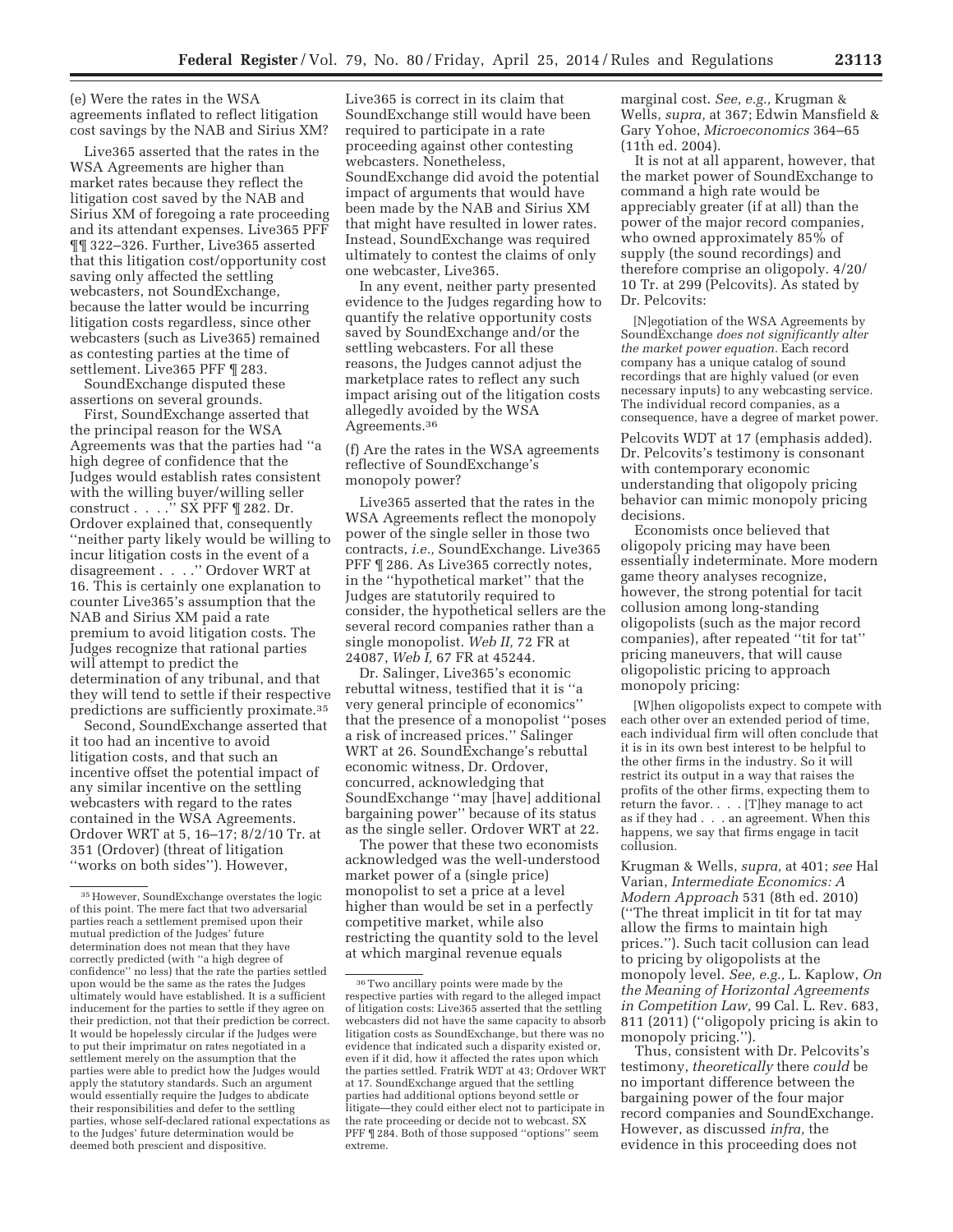(e) Were the rates in the WSA agreements inflated to reflect litigation cost savings by the NAB and Sirius XM?

Live365 asserted that the rates in the WSA Agreements are higher than market rates because they reflect the litigation cost saved by the NAB and Sirius XM of foregoing a rate proceeding and its attendant expenses. Live365 PFF ¶¶ 322–326. Further, Live365 asserted that this litigation cost/opportunity cost saving only affected the settling webcasters, not SoundExchange, because the latter would be incurring litigation costs regardless, since other webcasters (such as Live365) remained as contesting parties at the time of settlement. Live365 PFF ¶ 283.

SoundExchange disputed these assertions on several grounds.

First, SoundExchange asserted that the principal reason for the WSA Agreements was that the parties had ''a high degree of confidence that the Judges would establish rates consistent with the willing buyer/willing seller construct . . . .'' SX PFF ¶ 282. Dr. Ordover explained that, consequently ''neither party likely would be willing to incur litigation costs in the event of a disagreement . . . .'' Ordover WRT at 16. This is certainly one explanation to counter Live365's assumption that the NAB and Sirius XM paid a rate premium to avoid litigation costs. The Judges recognize that rational parties will attempt to predict the determination of any tribunal, and that they will tend to settle if their respective predictions are sufficiently proximate.35

Second, SoundExchange asserted that it too had an incentive to avoid litigation costs, and that such an incentive offset the potential impact of any similar incentive on the settling webcasters with regard to the rates contained in the WSA Agreements. Ordover WRT at 5, 16–17; 8/2/10 Tr. at 351 (Ordover) (threat of litigation ''works on both sides''). However,

Live365 is correct in its claim that SoundExchange still would have been required to participate in a rate proceeding against other contesting webcasters. Nonetheless, SoundExchange did avoid the potential impact of arguments that would have been made by the NAB and Sirius XM that might have resulted in lower rates. Instead, SoundExchange was required ultimately to contest the claims of only one webcaster, Live365.

In any event, neither party presented evidence to the Judges regarding how to quantify the relative opportunity costs saved by SoundExchange and/or the settling webcasters. For all these reasons, the Judges cannot adjust the marketplace rates to reflect any such impact arising out of the litigation costs allegedly avoided by the WSA Agreements.36

(f) Are the rates in the WSA agreements reflective of SoundExchange's monopoly power?

Live365 asserted that the rates in the WSA Agreements reflect the monopoly power of the single seller in those two contracts, *i.e.,* SoundExchange. Live365 PFF ¶ 286. As Live365 correctly notes, in the ''hypothetical market'' that the Judges are statutorily required to consider, the hypothetical sellers are the several record companies rather than a single monopolist. *Web II,* 72 FR at 24087, *Web I,* 67 FR at 45244.

Dr. Salinger, Live365's economic rebuttal witness, testified that it is ''a very general principle of economics'' that the presence of a monopolist ''poses a risk of increased prices.'' Salinger WRT at 26. SoundExchange's rebuttal economic witness, Dr. Ordover, concurred, acknowledging that SoundExchange ''may [have] additional bargaining power'' because of its status as the single seller. Ordover WRT at 22.

The power that these two economists acknowledged was the well-understood market power of a (single price) monopolist to set a price at a level higher than would be set in a perfectly competitive market, while also restricting the quantity sold to the level at which marginal revenue equals

marginal cost. *See, e.g.,* Krugman & Wells, *supra,* at 367; Edwin Mansfield & Gary Yohoe, *Microeconomics* 364–65 (11th ed. 2004).

It is not at all apparent, however, that the market power of SoundExchange to command a high rate would be appreciably greater (if at all) than the power of the major record companies, who owned approximately 85% of supply (the sound recordings) and therefore comprise an oligopoly. 4/20/ 10 Tr. at 299 (Pelcovits). As stated by Dr. Pelcovits:

[N]egotiation of the WSA Agreements by SoundExchange *does not significantly alter the market power equation.* Each record company has a unique catalog of sound recordings that are highly valued (or even necessary inputs) to any webcasting service. The individual record companies, as a consequence, have a degree of market power.

Pelcovits WDT at 17 (emphasis added). Dr. Pelcovits's testimony is consonant with contemporary economic understanding that oligopoly pricing behavior can mimic monopoly pricing decisions.

Economists once believed that oligopoly pricing may have been essentially indeterminate. More modern game theory analyses recognize, however, the strong potential for tacit collusion among long-standing oligopolists (such as the major record companies), after repeated ''tit for tat'' pricing maneuvers, that will cause oligopolistic pricing to approach monopoly pricing:

[W]hen oligopolists expect to compete with each other over an extended period of time, each individual firm will often conclude that it is in its own best interest to be helpful to the other firms in the industry. So it will restrict its output in a way that raises the profits of the other firms, expecting them to return the favor. . . . [T]hey manage to act as if they had . . . an agreement. When this happens, we say that firms engage in tacit collusion.

Krugman & Wells, *supra,* at 401; *see* Hal Varian, *Intermediate Economics: A Modern Approach* 531 (8th ed. 2010) (''The threat implicit in tit for tat may allow the firms to maintain high prices.''). Such tacit collusion can lead to pricing by oligopolists at the monopoly level. *See, e.g.,* L. Kaplow, *On the Meaning of Horizontal Agreements in Competition Law,* 99 Cal. L. Rev. 683, 811 (2011) (''oligopoly pricing is akin to monopoly pricing.'').

Thus, consistent with Dr. Pelcovits's testimony, *theoretically* there *could* be no important difference between the bargaining power of the four major record companies and SoundExchange. However, as discussed *infra,* the evidence in this proceeding does not

<sup>35</sup>However, SoundExchange overstates the logic of this point. The mere fact that two adversarial parties reach a settlement premised upon their mutual prediction of the Judges' future determination does not mean that they have correctly predicted (with ''a high degree of confidence'' no less) that the rate the parties settled upon would be the same as the rates the Judges ultimately would have established. It is a sufficient inducement for the parties to settle if they agree on their prediction, not that their prediction be correct. It would be hopelessly circular if the Judges were to put their imprimatur on rates negotiated in a settlement merely on the assumption that the parties were able to predict how the Judges would apply the statutory standards. Such an argument would essentially require the Judges to abdicate their responsibilities and defer to the settling parties, whose self-declared rational expectations as to the Judges' future determination would be deemed both prescient and dispositive.

<sup>36</sup>Two ancillary points were made by the respective parties with regard to the alleged impact of litigation costs: Live365 asserted that the settling webcasters did not have the same capacity to absorb litigation costs as SoundExchange, but there was no evidence that indicated such a disparity existed or, even if it did, how it affected the rates upon which the parties settled. Fratrik WDT at 43; Ordover WRT at 17. SoundExchange argued that the settling parties had additional options beyond settle or litigate—they could either elect not to participate in the rate proceeding or decide not to webcast. SX PFF ¶ 284. Both of those supposed ''options'' seem extreme.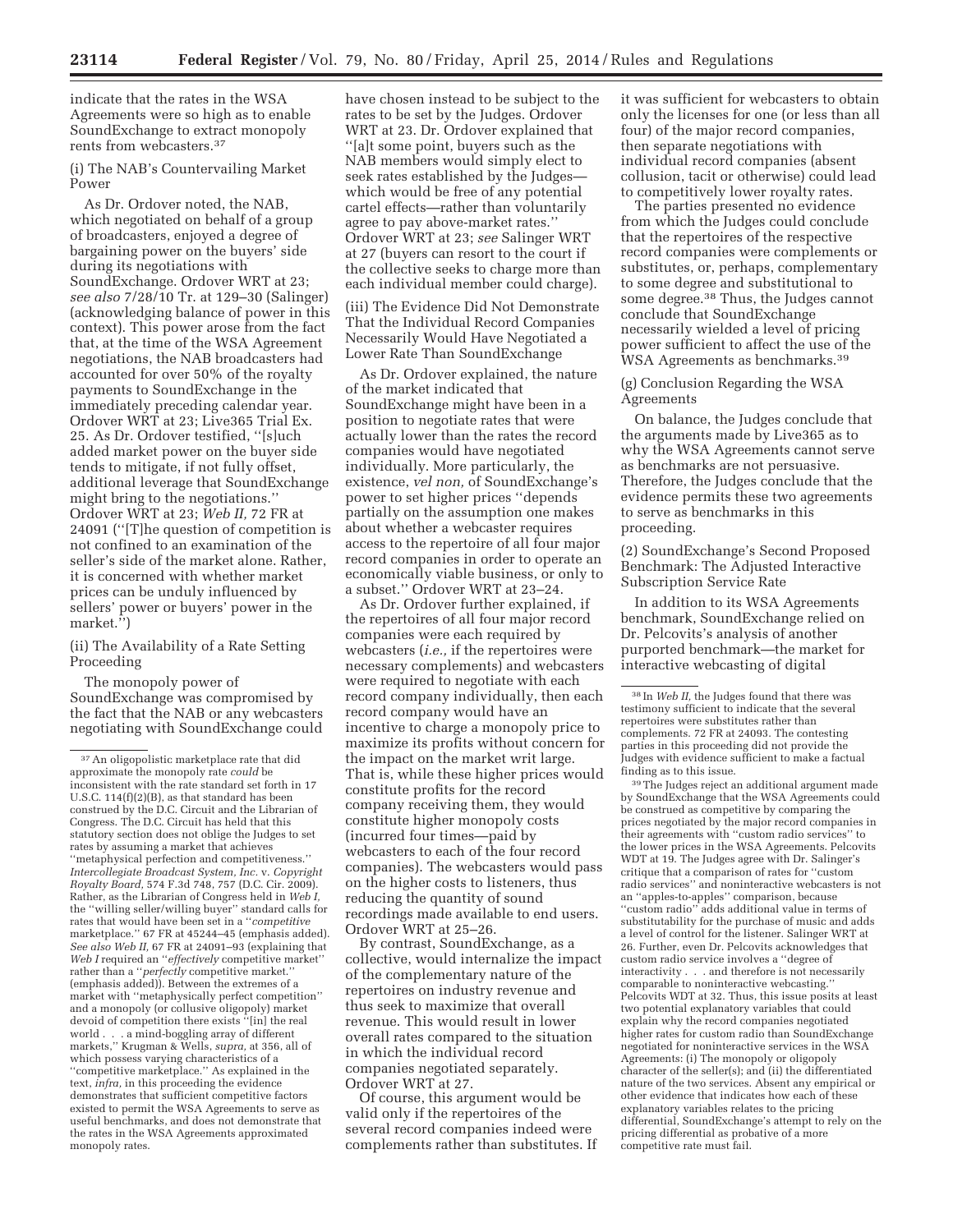indicate that the rates in the WSA Agreements were so high as to enable SoundExchange to extract monopoly rents from webcasters.37

(i) The NAB's Countervailing Market Power

As Dr. Ordover noted, the NAB, which negotiated on behalf of a group of broadcasters, enjoyed a degree of bargaining power on the buyers' side during its negotiations with SoundExchange. Ordover WRT at 23; *see also* 7/28/10 Tr. at 129–30 (Salinger) (acknowledging balance of power in this context). This power arose from the fact that, at the time of the WSA Agreement negotiations, the NAB broadcasters had accounted for over 50% of the royalty payments to SoundExchange in the immediately preceding calendar year. Ordover WRT at 23; Live365 Trial Ex. 25. As Dr. Ordover testified, ''[s]uch added market power on the buyer side tends to mitigate, if not fully offset, additional leverage that SoundExchange might bring to the negotiations.'' Ordover WRT at 23; *Web II,* 72 FR at 24091 (''[T]he question of competition is not confined to an examination of the seller's side of the market alone. Rather, it is concerned with whether market prices can be unduly influenced by sellers' power or buyers' power in the market.'')

(ii) The Availability of a Rate Setting Proceeding

The monopoly power of SoundExchange was compromised by the fact that the NAB or any webcasters negotiating with SoundExchange could

have chosen instead to be subject to the rates to be set by the Judges. Ordover WRT at 23. Dr. Ordover explained that ''[a]t some point, buyers such as the NAB members would simply elect to seek rates established by the Judges which would be free of any potential cartel effects—rather than voluntarily agree to pay above-market rates.'' Ordover WRT at 23; *see* Salinger WRT at 27 (buyers can resort to the court if the collective seeks to charge more than each individual member could charge).

(iii) The Evidence Did Not Demonstrate That the Individual Record Companies Necessarily Would Have Negotiated a Lower Rate Than SoundExchange

As Dr. Ordover explained, the nature of the market indicated that SoundExchange might have been in a position to negotiate rates that were actually lower than the rates the record companies would have negotiated individually. More particularly, the existence, *vel non,* of SoundExchange's power to set higher prices ''depends partially on the assumption one makes about whether a webcaster requires access to the repertoire of all four major record companies in order to operate an economically viable business, or only to a subset.'' Ordover WRT at 23–24.

As Dr. Ordover further explained, if the repertoires of all four major record companies were each required by webcasters (*i.e.,* if the repertoires were necessary complements) and webcasters were required to negotiate with each record company individually, then each record company would have an incentive to charge a monopoly price to maximize its profits without concern for the impact on the market writ large. That is, while these higher prices would constitute profits for the record company receiving them, they would constitute higher monopoly costs (incurred four times—paid by webcasters to each of the four record companies). The webcasters would pass on the higher costs to listeners, thus reducing the quantity of sound recordings made available to end users. Ordover WRT at 25–26.

By contrast, SoundExchange, as a collective, would internalize the impact of the complementary nature of the repertoires on industry revenue and thus seek to maximize that overall revenue. This would result in lower overall rates compared to the situation in which the individual record companies negotiated separately. Ordover WRT at 27.

Of course, this argument would be valid only if the repertoires of the several record companies indeed were complements rather than substitutes. If it was sufficient for webcasters to obtain only the licenses for one (or less than all four) of the major record companies, then separate negotiations with individual record companies (absent collusion, tacit or otherwise) could lead to competitively lower royalty rates.

The parties presented no evidence from which the Judges could conclude that the repertoires of the respective record companies were complements or substitutes, or, perhaps, complementary to some degree and substitutional to some degree.38 Thus, the Judges cannot conclude that SoundExchange necessarily wielded a level of pricing power sufficient to affect the use of the WSA Agreements as benchmarks.<sup>39</sup>

# (g) Conclusion Regarding the WSA Agreements

On balance, the Judges conclude that the arguments made by Live365 as to why the WSA Agreements cannot serve as benchmarks are not persuasive. Therefore, the Judges conclude that the evidence permits these two agreements to serve as benchmarks in this proceeding.

(2) SoundExchange's Second Proposed Benchmark: The Adjusted Interactive Subscription Service Rate

In addition to its WSA Agreements benchmark, SoundExchange relied on Dr. Pelcovits's analysis of another purported benchmark—the market for interactive webcasting of digital

39The Judges reject an additional argument made by SoundExchange that the WSA Agreements could be construed as competitive by comparing the prices negotiated by the major record companies in their agreements with ''custom radio services'' to the lower prices in the WSA Agreements. Pelcovits WDT at 19. The Judges agree with Dr. Salinger's critique that a comparison of rates for ''custom radio services'' and noninteractive webcasters is not an ''apples-to-apples'' comparison, because ''custom radio'' adds additional value in terms of substitutability for the purchase of music and adds a level of control for the listener. Salinger WRT at 26. Further, even Dr. Pelcovits acknowledges that custom radio service involves a ''degree of interactivity . . . and therefore is not necessarily comparable to noninteractive webcasting.'' Pelcovits WDT at 32. Thus, this issue posits at least two potential explanatory variables that could explain why the record companies negotiated higher rates for custom radio than SoundExchange negotiated for noninteractive services in the WSA Agreements: (i) The monopoly or oligopoly character of the seller(s); and (ii) the differentiated nature of the two services. Absent any empirical or other evidence that indicates how each of these explanatory variables relates to the pricing differential, SoundExchange's attempt to rely on the pricing differential as probative of a more competitive rate must fail.

<sup>37</sup>An oligopolistic marketplace rate that did approximate the monopoly rate *could* be inconsistent with the rate standard set forth in 17 U.S.C. 114(f)(2)(B), as that standard has been construed by the D.C. Circuit and the Librarian of Congress. The D.C. Circuit has held that this statutory section does not oblige the Judges to set rates by assuming a market that achieves ''metaphysical perfection and competitiveness.'' *Intercollegiate Broadcast System, Inc.* v. *Copyright Royalty Board,* 574 F.3d 748, 757 (D.C. Cir. 2009). Rather, as the Librarian of Congress held in *Web I,*  the ''willing seller/willing buyer'' standard calls for rates that would have been set in a ''*competitive*  marketplace.'' 67 FR at 45244–45 (emphasis added). *See also Web II,* 67 FR at 24091–93 (explaining that *Web I* required an ''*effectively* competitive market'' rather than a ''*perfectly* competitive market.'' (emphasis added)). Between the extremes of a market with ''metaphysically perfect competition'' and a monopoly (or collusive oligopoly) market devoid of competition there exists ''[in] the real world . . . a mind-boggling array of different markets,'' Krugman & Wells, *supra,* at 356, all of which possess varying characteristics of a ''competitive marketplace.'' As explained in the text, *infra,* in this proceeding the evidence demonstrates that sufficient competitive factors existed to permit the WSA Agreements to serve as useful benchmarks, and does not demonstrate that the rates in the WSA Agreements approximated monopoly rates.

<sup>38</sup> In *Web II,* the Judges found that there was testimony sufficient to indicate that the several repertoires were substitutes rather than complements. 72 FR at 24093. The contesting parties in this proceeding did not provide the Judges with evidence sufficient to make a factual finding as to this issue.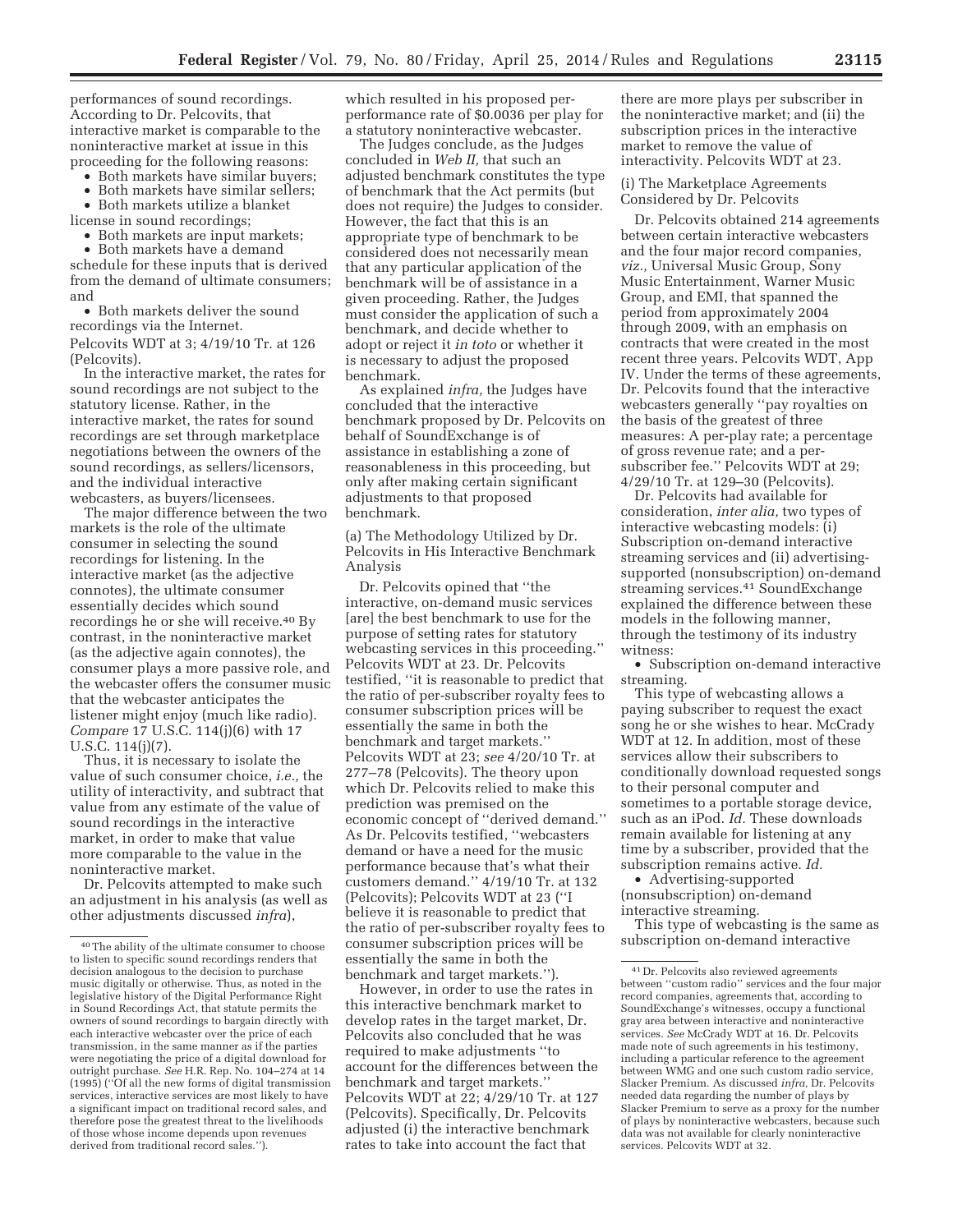performances of sound recordings. According to Dr. Pelcovits, that interactive market is comparable to the noninteractive market at issue in this proceeding for the following reasons:

• Both markets have similar buyers;

• Both markets have similar sellers;

• Both markets utilize a blanket license in sound recordings;

• Both markets are input markets;

• Both markets have a demand schedule for these inputs that is derived from the demand of ultimate consumers; and

• Both markets deliver the sound recordings via the Internet. Pelcovits WDT at 3; 4/19/10 Tr. at 126 (Pelcovits).

In the interactive market, the rates for sound recordings are not subject to the statutory license. Rather, in the interactive market, the rates for sound recordings are set through marketplace negotiations between the owners of the sound recordings, as sellers/licensors, and the individual interactive webcasters, as buyers/licensees.

The major difference between the two markets is the role of the ultimate consumer in selecting the sound recordings for listening. In the interactive market (as the adjective connotes), the ultimate consumer essentially decides which sound recordings he or she will receive.40 By contrast, in the noninteractive market (as the adjective again connotes), the consumer plays a more passive role, and the webcaster offers the consumer music that the webcaster anticipates the listener might enjoy (much like radio). *Compare* 17 U.S.C. 114(j)(6) with 17 U.S.C. 114(j)(7).

Thus, it is necessary to isolate the value of such consumer choice, *i.e.,* the utility of interactivity, and subtract that value from any estimate of the value of sound recordings in the interactive market, in order to make that value more comparable to the value in the noninteractive market.

Dr. Pelcovits attempted to make such an adjustment in his analysis (as well as other adjustments discussed *infra*),

which resulted in his proposed perperformance rate of \$0.0036 per play for a statutory noninteractive webcaster.

The Judges conclude, as the Judges concluded in *Web II,* that such an adjusted benchmark constitutes the type of benchmark that the Act permits (but does not require) the Judges to consider. However, the fact that this is an appropriate type of benchmark to be considered does not necessarily mean that any particular application of the benchmark will be of assistance in a given proceeding. Rather, the Judges must consider the application of such a benchmark, and decide whether to adopt or reject it *in toto* or whether it is necessary to adjust the proposed benchmark.

As explained *infra,* the Judges have concluded that the interactive benchmark proposed by Dr. Pelcovits on behalf of SoundExchange is of assistance in establishing a zone of reasonableness in this proceeding, but only after making certain significant adjustments to that proposed benchmark.

(a) The Methodology Utilized by Dr. Pelcovits in His Interactive Benchmark Analysis

Dr. Pelcovits opined that ''the interactive, on-demand music services [are] the best benchmark to use for the purpose of setting rates for statutory webcasting services in this proceeding.'' Pelcovits WDT at 23. Dr. Pelcovits testified, ''it is reasonable to predict that the ratio of per-subscriber royalty fees to consumer subscription prices will be essentially the same in both the benchmark and target markets.'' Pelcovits WDT at 23; *see* 4/20/10 Tr. at 277–78 (Pelcovits). The theory upon which Dr. Pelcovits relied to make this prediction was premised on the economic concept of ''derived demand.'' As Dr. Pelcovits testified, ''webcasters demand or have a need for the music performance because that's what their customers demand.'' 4/19/10 Tr. at 132 (Pelcovits); Pelcovits WDT at 23 (''I believe it is reasonable to predict that the ratio of per-subscriber royalty fees to consumer subscription prices will be essentially the same in both the benchmark and target markets.'').

However, in order to use the rates in this interactive benchmark market to develop rates in the target market, Dr. Pelcovits also concluded that he was required to make adjustments ''to account for the differences between the benchmark and target markets.'' Pelcovits WDT at 22; 4/29/10 Tr. at 127 (Pelcovits). Specifically, Dr. Pelcovits adjusted (i) the interactive benchmark rates to take into account the fact that

there are more plays per subscriber in the noninteractive market; and (ii) the subscription prices in the interactive market to remove the value of interactivity. Pelcovits WDT at 23.

(i) The Marketplace Agreements Considered by Dr. Pelcovits

Dr. Pelcovits obtained 214 agreements between certain interactive webcasters and the four major record companies, *viz.,* Universal Music Group, Sony Music Entertainment, Warner Music Group, and EMI, that spanned the period from approximately 2004 through 2009, with an emphasis on contracts that were created in the most recent three years. Pelcovits WDT, App IV. Under the terms of these agreements, Dr. Pelcovits found that the interactive webcasters generally ''pay royalties on the basis of the greatest of three measures: A per-play rate; a percentage of gross revenue rate; and a persubscriber fee.'' Pelcovits WDT at 29; 4/29/10 Tr. at 129–30 (Pelcovits).

Dr. Pelcovits had available for consideration, *inter alia,* two types of interactive webcasting models: (i) Subscription on-demand interactive streaming services and (ii) advertisingsupported (nonsubscription) on-demand streaming services.<sup>41</sup> SoundExchange explained the difference between these models in the following manner, through the testimony of its industry witness:

• Subscription on-demand interactive streaming.

This type of webcasting allows a paying subscriber to request the exact song he or she wishes to hear. McCrady WDT at 12. In addition, most of these services allow their subscribers to conditionally download requested songs to their personal computer and sometimes to a portable storage device, such as an iPod. *Id.* These downloads remain available for listening at any time by a subscriber, provided that the subscription remains active. *Id.* 

• Advertising-supported (nonsubscription) on-demand interactive streaming.

This type of webcasting is the same as subscription on-demand interactive

<sup>40</sup>The ability of the ultimate consumer to choose to listen to specific sound recordings renders that decision analogous to the decision to purchase music digitally or otherwise. Thus, as noted in the legislative history of the Digital Performance Right in Sound Recordings Act, that statute permits the owners of sound recordings to bargain directly with each interactive webcaster over the price of each transmission, in the same manner as if the parties were negotiating the price of a digital download for outright purchase. *See* H.R. Rep. No. 104–274 at 14 (1995) (''Of all the new forms of digital transmission services, interactive services are most likely to have a significant impact on traditional record sales, and therefore pose the greatest threat to the livelihoods of those whose income depends upon revenues derived from traditional record sales.'').

<sup>41</sup> Dr. Pelcovits also reviewed agreements between ''custom radio'' services and the four major record companies, agreements that, according to SoundExchange's witnesses, occupy a functional gray area between interactive and noninteractive services. *See* McCrady WDT at 16. Dr. Pelcovits made note of such agreements in his testimony, including a particular reference to the agreement between WMG and one such custom radio service, Slacker Premium. As discussed *infra,* Dr. Pelcovits needed data regarding the number of plays by Slacker Premium to serve as a proxy for the number of plays by noninteractive webcasters, because such data was not available for clearly noninteractive services. Pelcovits WDT at 32.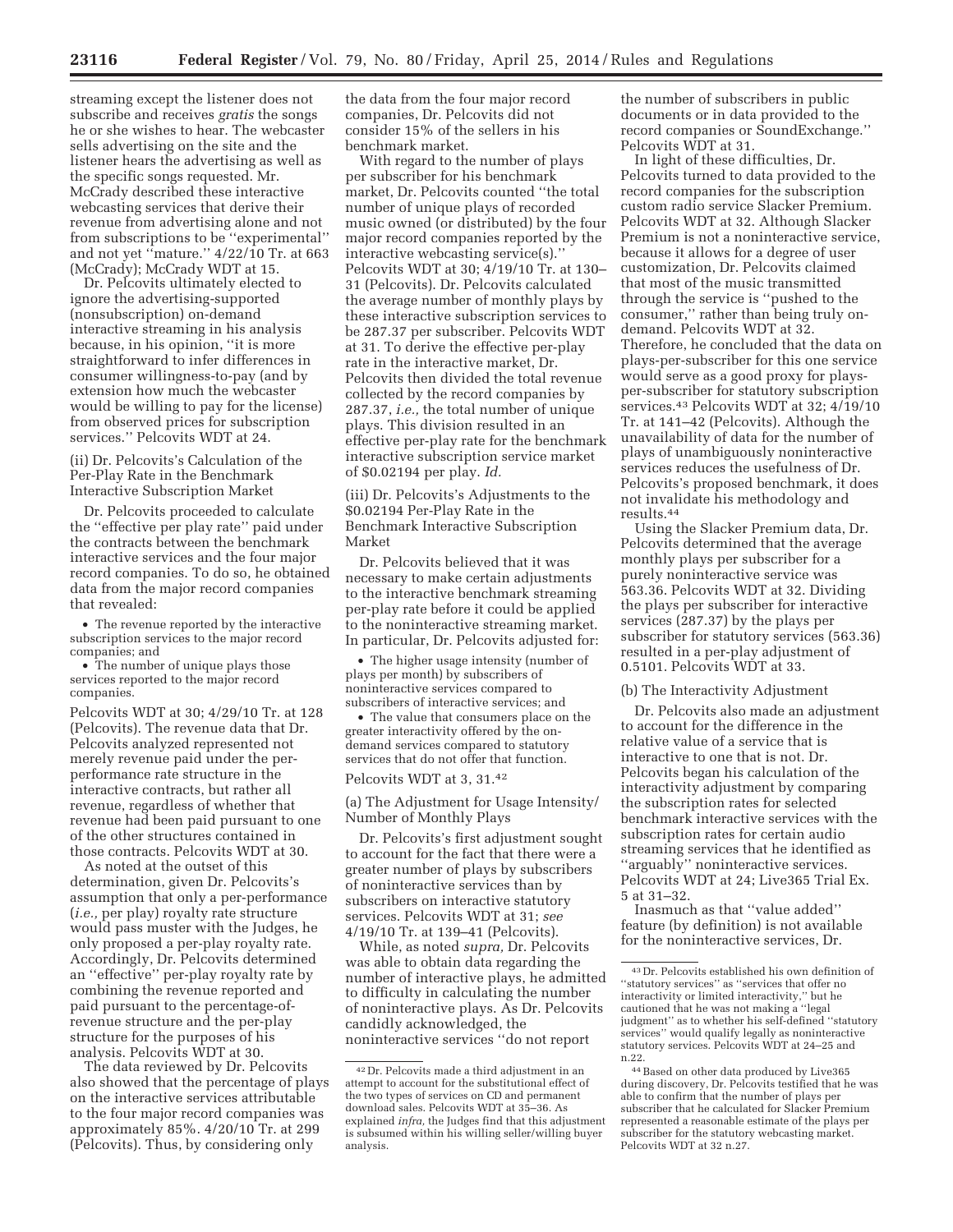streaming except the listener does not subscribe and receives *gratis* the songs he or she wishes to hear. The webcaster sells advertising on the site and the listener hears the advertising as well as the specific songs requested. Mr. McCrady described these interactive webcasting services that derive their revenue from advertising alone and not from subscriptions to be ''experimental'' and not yet ''mature.'' 4/22/10 Tr. at 663 (McCrady); McCrady WDT at 15.

Dr. Pelcovits ultimately elected to ignore the advertising-supported (nonsubscription) on-demand interactive streaming in his analysis because, in his opinion, ''it is more straightforward to infer differences in consumer willingness-to-pay (and by extension how much the webcaster would be willing to pay for the license) from observed prices for subscription services.'' Pelcovits WDT at 24.

(ii) Dr. Pelcovits's Calculation of the Per-Play Rate in the Benchmark Interactive Subscription Market

Dr. Pelcovits proceeded to calculate the ''effective per play rate'' paid under the contracts between the benchmark interactive services and the four major record companies. To do so, he obtained data from the major record companies that revealed:

• The revenue reported by the interactive subscription services to the major record companies; and

• The number of unique plays those services reported to the major record companies.

Pelcovits WDT at 30; 4/29/10 Tr. at 128 (Pelcovits). The revenue data that Dr. Pelcovits analyzed represented not merely revenue paid under the perperformance rate structure in the interactive contracts, but rather all revenue, regardless of whether that revenue had been paid pursuant to one of the other structures contained in those contracts. Pelcovits WDT at 30.

As noted at the outset of this determination, given Dr. Pelcovits's assumption that only a per-performance (*i.e.,* per play) royalty rate structure would pass muster with the Judges, he only proposed a per-play royalty rate. Accordingly, Dr. Pelcovits determined an ''effective'' per-play royalty rate by combining the revenue reported and paid pursuant to the percentage-ofrevenue structure and the per-play structure for the purposes of his analysis. Pelcovits WDT at 30.

The data reviewed by Dr. Pelcovits also showed that the percentage of plays on the interactive services attributable to the four major record companies was approximately 85%. 4/20/10 Tr. at 299 (Pelcovits). Thus, by considering only

the data from the four major record companies, Dr. Pelcovits did not consider 15% of the sellers in his benchmark market.

With regard to the number of plays per subscriber for his benchmark market, Dr. Pelcovits counted ''the total number of unique plays of recorded music owned (or distributed) by the four major record companies reported by the interactive webcasting service(s).'' Pelcovits WDT at 30; 4/19/10 Tr. at 130– 31 (Pelcovits). Dr. Pelcovits calculated the average number of monthly plays by these interactive subscription services to be 287.37 per subscriber. Pelcovits WDT at 31. To derive the effective per-play rate in the interactive market, Dr. Pelcovits then divided the total revenue collected by the record companies by 287.37, *i.e.,* the total number of unique plays. This division resulted in an effective per-play rate for the benchmark interactive subscription service market of \$0.02194 per play. *Id.* 

(iii) Dr. Pelcovits's Adjustments to the \$0.02194 Per-Play Rate in the Benchmark Interactive Subscription Market

Dr. Pelcovits believed that it was necessary to make certain adjustments to the interactive benchmark streaming per-play rate before it could be applied to the noninteractive streaming market. In particular, Dr. Pelcovits adjusted for:

• The higher usage intensity (number of plays per month) by subscribers of noninteractive services compared to subscribers of interactive services; and

• The value that consumers place on the greater interactivity offered by the ondemand services compared to statutory services that do not offer that function.

Pelcovits WDT at 3, 31.42

(a) The Adjustment for Usage Intensity/ Number of Monthly Plays

Dr. Pelcovits's first adjustment sought to account for the fact that there were a greater number of plays by subscribers of noninteractive services than by subscribers on interactive statutory services. Pelcovits WDT at 31; *see*  4/19/10 Tr. at 139–41 (Pelcovits).

While, as noted *supra,* Dr. Pelcovits was able to obtain data regarding the number of interactive plays, he admitted to difficulty in calculating the number of noninteractive plays. As Dr. Pelcovits candidly acknowledged, the noninteractive services ''do not report

the number of subscribers in public documents or in data provided to the record companies or SoundExchange.'' Pelcovits WDT at 31.

In light of these difficulties, Dr. Pelcovits turned to data provided to the record companies for the subscription custom radio service Slacker Premium. Pelcovits WDT at 32. Although Slacker Premium is not a noninteractive service, because it allows for a degree of user customization, Dr. Pelcovits claimed that most of the music transmitted through the service is ''pushed to the consumer,'' rather than being truly ondemand. Pelcovits WDT at 32. Therefore, he concluded that the data on plays-per-subscriber for this one service would serve as a good proxy for playsper-subscriber for statutory subscription services.43 Pelcovits WDT at 32; 4/19/10 Tr. at 141–42 (Pelcovits). Although the unavailability of data for the number of plays of unambiguously noninteractive services reduces the usefulness of Dr. Pelcovits's proposed benchmark, it does not invalidate his methodology and results.44

Using the Slacker Premium data, Dr. Pelcovits determined that the average monthly plays per subscriber for a purely noninteractive service was 563.36. Pelcovits WDT at 32. Dividing the plays per subscriber for interactive services (287.37) by the plays per subscriber for statutory services (563.36) resulted in a per-play adjustment of 0.5101. Pelcovits WDT at 33.

#### (b) The Interactivity Adjustment

Dr. Pelcovits also made an adjustment to account for the difference in the relative value of a service that is interactive to one that is not. Dr. Pelcovits began his calculation of the interactivity adjustment by comparing the subscription rates for selected benchmark interactive services with the subscription rates for certain audio streaming services that he identified as ''arguably'' noninteractive services. Pelcovits WDT at 24; Live365 Trial Ex. 5 at 31–32.

Inasmuch as that ''value added'' feature (by definition) is not available for the noninteractive services, Dr.

<sup>42</sup> Dr. Pelcovits made a third adjustment in an attempt to account for the substitutional effect of the two types of services on CD and permanent download sales. Pelcovits WDT at 35–36. As explained *infra,* the Judges find that this adjustment is subsumed within his willing seller/willing buyer analysis.

<sup>43</sup> Dr. Pelcovits established his own definition of ''statutory services'' as ''services that offer no interactivity or limited interactivity,'' but he cautioned that he was not making a ''legal judgment'' as to whether his self-defined ''statutory services'' would qualify legally as noninteractive statutory services. Pelcovits WDT at 24–25 and n.22.

<sup>44</sup>Based on other data produced by Live365 during discovery, Dr. Pelcovits testified that he was able to confirm that the number of plays per subscriber that he calculated for Slacker Premium represented a reasonable estimate of the plays per subscriber for the statutory webcasting market. Pelcovits WDT at 32 n.27.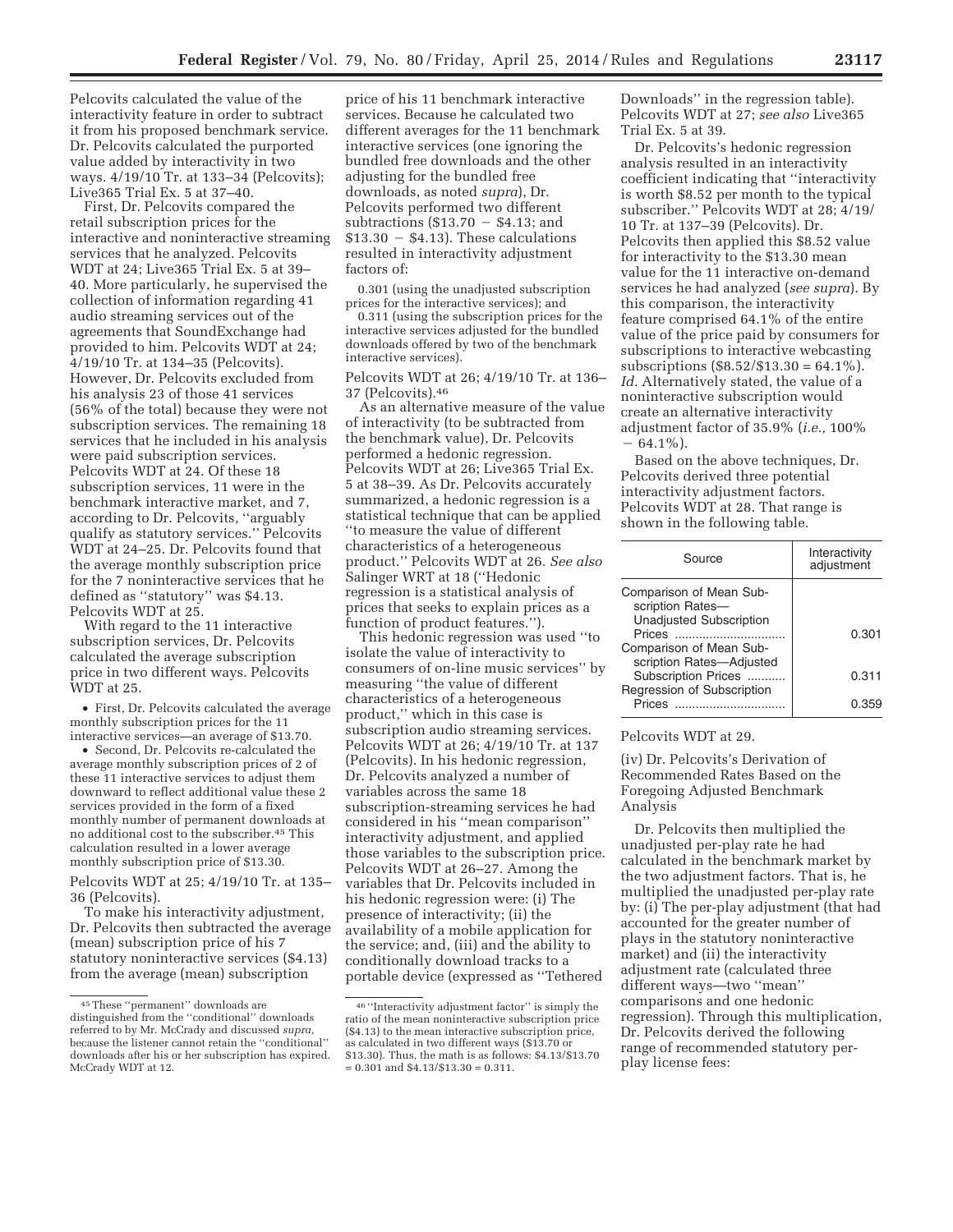Pelcovits calculated the value of the interactivity feature in order to subtract it from his proposed benchmark service. Dr. Pelcovits calculated the purported value added by interactivity in two ways. 4/19/10 Tr. at 133–34 (Pelcovits); Live365 Trial Ex. 5 at 37–40.

First, Dr. Pelcovits compared the retail subscription prices for the interactive and noninteractive streaming services that he analyzed. Pelcovits WDT at 24; Live365 Trial Ex. 5 at 39– 40. More particularly, he supervised the collection of information regarding 41 audio streaming services out of the agreements that SoundExchange had provided to him. Pelcovits WDT at 24; 4/19/10 Tr. at 134–35 (Pelcovits). However, Dr. Pelcovits excluded from his analysis 23 of those 41 services (56% of the total) because they were not subscription services. The remaining 18 services that he included in his analysis were paid subscription services. Pelcovits WDT at 24. Of these 18 subscription services, 11 were in the benchmark interactive market, and 7, according to Dr. Pelcovits, ''arguably qualify as statutory services.'' Pelcovits WDT at 24–25. Dr. Pelcovits found that the average monthly subscription price for the 7 noninteractive services that he defined as ''statutory'' was \$4.13. Pelcovits WDT at 25.

With regard to the 11 interactive subscription services, Dr. Pelcovits calculated the average subscription price in two different ways. Pelcovits WDT at 25.

• First, Dr. Pelcovits calculated the average monthly subscription prices for the 11 interactive services—an average of \$13.70.

• Second, Dr. Pelcovits re-calculated the average monthly subscription prices of 2 of these 11 interactive services to adjust them downward to reflect additional value these 2 services provided in the form of a fixed monthly number of permanent downloads at no additional cost to the subscriber.45 This calculation resulted in a lower average monthly subscription price of \$13.30.

Pelcovits WDT at 25; 4/19/10 Tr. at 135– 36 (Pelcovits).

To make his interactivity adjustment, Dr. Pelcovits then subtracted the average (mean) subscription price of his 7 statutory noninteractive services (\$4.13) from the average (mean) subscription

price of his 11 benchmark interactive services. Because he calculated two different averages for the 11 benchmark interactive services (one ignoring the bundled free downloads and the other adjusting for the bundled free downloads, as noted *supra*), Dr. Pelcovits performed two different interactive services (one ignoring t<br>bundled free downloads and the ot<br>adjusting for the bundled free<br>downloads, as noted *supra*), Dr.<br>Pelcovits performed two different<br>subtractions (\$13.70 – \$4.13; and bundled free downloads and the othe<br>adjusting for the bundled free<br>downloads, as noted *supra*), Dr.<br>Pelcovits performed two different<br>subtractions (\$13.70  $-$  \$4.13; and<br>\$13.30  $-$  \$4.13). These calculations resulted in interactivity adjustment factors of:

0.301 (using the unadjusted subscription prices for the interactive services); and

0.311 (using the subscription prices for the interactive services adjusted for the bundled downloads offered by two of the benchmark interactive services).

Pelcovits WDT at 26; 4/19/10 Tr. at 136– 37 (Pelcovits).46

As an alternative measure of the value of interactivity (to be subtracted from the benchmark value), Dr. Pelcovits performed a hedonic regression. Pelcovits WDT at 26; Live365 Trial Ex. 5 at 38–39. As Dr. Pelcovits accurately summarized, a hedonic regression is a statistical technique that can be applied ''to measure the value of different characteristics of a heterogeneous product.'' Pelcovits WDT at 26. *See also*  Salinger WRT at 18 (''Hedonic regression is a statistical analysis of prices that seeks to explain prices as a function of product features.'').

This hedonic regression was used ''to isolate the value of interactivity to consumers of on-line music services'' by measuring ''the value of different characteristics of a heterogeneous product,'' which in this case is subscription audio streaming services. Pelcovits WDT at 26; 4/19/10 Tr. at 137 (Pelcovits). In his hedonic regression, Dr. Pelcovits analyzed a number of variables across the same 18 subscription-streaming services he had considered in his ''mean comparison'' interactivity adjustment, and applied those variables to the subscription price. Pelcovits WDT at 26–27. Among the variables that Dr. Pelcovits included in his hedonic regression were: (i) The presence of interactivity; (ii) the availability of a mobile application for the service; and, (iii) and the ability to conditionally download tracks to a portable device (expressed as ''Tethered

Downloads'' in the regression table). Pelcovits WDT at 27; *see also* Live365 Trial Ex. 5 at 39.

Dr. Pelcovits's hedonic regression analysis resulted in an interactivity coefficient indicating that ''interactivity is worth \$8.52 per month to the typical subscriber.'' Pelcovits WDT at 28; 4/19/ 10 Tr. at 137–39 (Pelcovits). Dr. Pelcovits then applied this \$8.52 value for interactivity to the \$13.30 mean value for the 11 interactive on-demand services he had analyzed (*see supra*). By this comparison, the interactivity feature comprised 64.1% of the entire value of the price paid by consumers for subscriptions to interactive webcasting subscriptions  $(\$8.52/\$13.30 = 64.1\%)$ . *Id.* Alternatively stated, the value of a noninteractive subscription would create an alternative interactivity adjustment factor of 35.9% (*i.e.,* 100%  $-64.1\%$ ).

Based on the above techniques, Dr. Pelcovits derived three potential interactivity adjustment factors. Pelcovits WDT at 28. That range is shown in the following table.

| Source                                                                                                             | Interactivity<br>adjustment |
|--------------------------------------------------------------------------------------------------------------------|-----------------------------|
| Comparison of Mean Sub-<br>scription Rates-<br><b>Unadjusted Subscription</b><br>Prices<br>Comparison of Mean Sub- | 0.301                       |
| scription Rates-Adjusted<br>Subscription Prices                                                                    | 0.311                       |
| Regression of Subscription<br>Prices                                                                               | (1.35)                      |

# Pelcovits WDT at 29.

(iv) Dr. Pelcovits's Derivation of Recommended Rates Based on the Foregoing Adjusted Benchmark Analysis

Dr. Pelcovits then multiplied the unadjusted per-play rate he had calculated in the benchmark market by the two adjustment factors. That is, he multiplied the unadjusted per-play rate by: (i) The per-play adjustment (that had accounted for the greater number of plays in the statutory noninteractive market) and (ii) the interactivity adjustment rate (calculated three different ways—two ''mean'' comparisons and one hedonic regression). Through this multiplication, Dr. Pelcovits derived the following range of recommended statutory perplay license fees:

<sup>45</sup>These ''permanent'' downloads are distinguished from the ''conditional'' downloads referred to by Mr. McCrady and discussed *supra,*  because the listener cannot retain the ''conditional'' downloads after his or her subscription has expired. McCrady WDT at 12.

<sup>46</sup> ''Interactivity adjustment factor'' is simply the ratio of the mean noninteractive subscription price (\$4.13) to the mean interactive subscription price, as calculated in two different ways (\$13.70 or \$13.30). Thus, the math is as follows: \$4.13/\$13.70  $= 0.301$  and \$4.13/\$13.30  $= 0.311$ .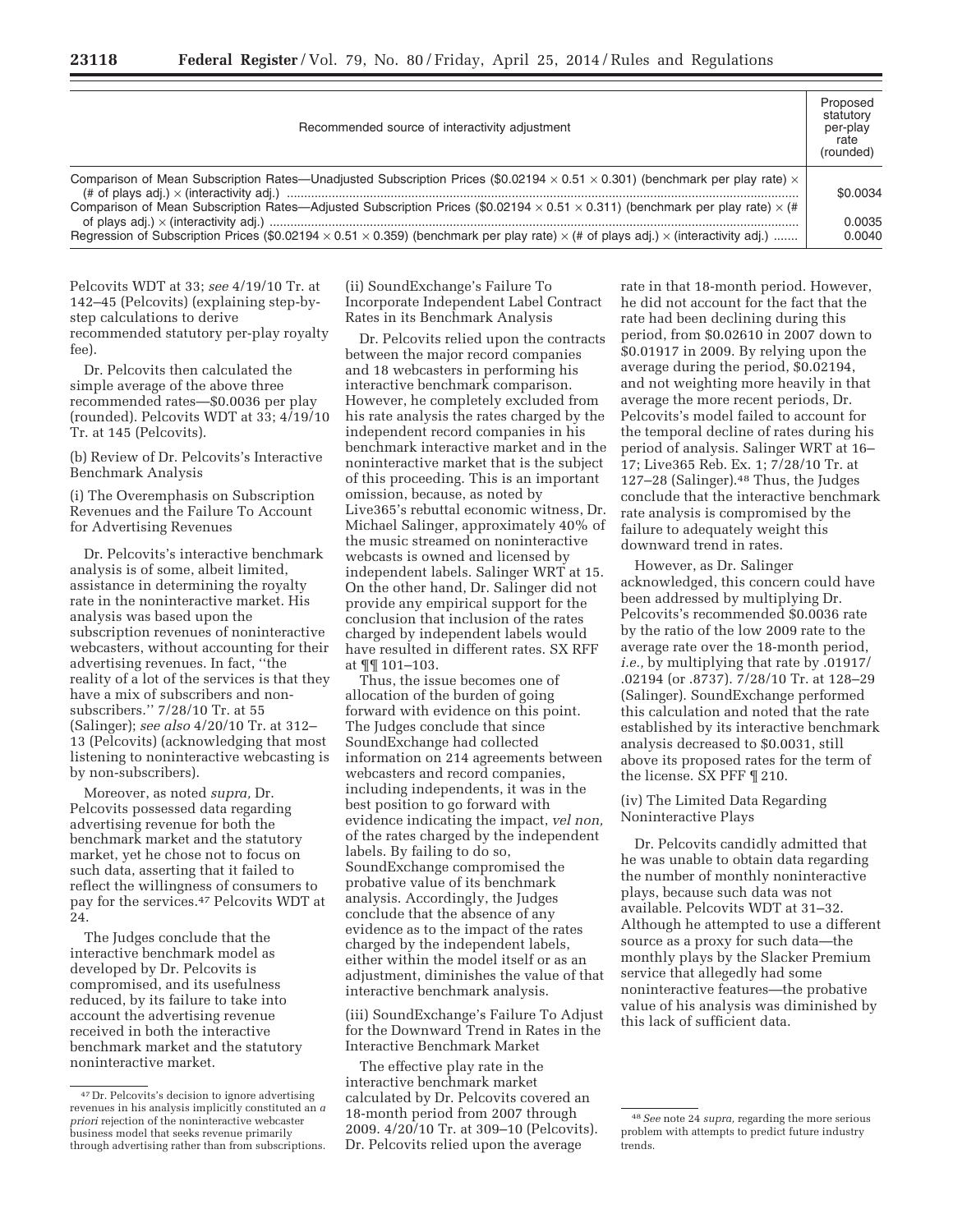| Recommended source of interactivity adjustment                                                                                                                | Proposed<br>statutory<br>per-play<br>rate<br>(rounded) |
|---------------------------------------------------------------------------------------------------------------------------------------------------------------|--------------------------------------------------------|
| Comparison of Mean Subscription Rates—Unadjusted Subscription Prices (\$0.02194 $\times$ 0.51 $\times$ 0.301) (benchmark per play rate) $\times$              | \$0.0034                                               |
| Comparison of Mean Subscription Rates—Adjusted Subscription Prices (\$0.02194 $\times$ 0.51 $\times$ 0.311) (benchmark per play rate) $\times$ (#             | 0.0035                                                 |
| Regression of Subscription Prices (\$0.02194 $\times$ 0.51 $\times$ 0.359) (benchmark per play rate) $\times$ (# of plays adj.) $\times$ (interactivity adj.) | 0.0040                                                 |

Pelcovits WDT at 33; *see* 4/19/10 Tr. at 142–45 (Pelcovits) (explaining step-bystep calculations to derive recommended statutory per-play royalty fee).

Dr. Pelcovits then calculated the simple average of the above three recommended rates—\$0.0036 per play (rounded). Pelcovits WDT at 33; 4/19/10 Tr. at 145 (Pelcovits).

(b) Review of Dr. Pelcovits's Interactive Benchmark Analysis

(i) The Overemphasis on Subscription Revenues and the Failure To Account for Advertising Revenues

Dr. Pelcovits's interactive benchmark analysis is of some, albeit limited, assistance in determining the royalty rate in the noninteractive market. His analysis was based upon the subscription revenues of noninteractive webcasters, without accounting for their advertising revenues. In fact, ''the reality of a lot of the services is that they have a mix of subscribers and nonsubscribers.'' 7/28/10 Tr. at 55 (Salinger); *see also* 4/20/10 Tr. at 312– 13 (Pelcovits) (acknowledging that most listening to noninteractive webcasting is by non-subscribers).

Moreover, as noted *supra,* Dr. Pelcovits possessed data regarding advertising revenue for both the benchmark market and the statutory market, yet he chose not to focus on such data, asserting that it failed to reflect the willingness of consumers to pay for the services.47 Pelcovits WDT at 24.

The Judges conclude that the interactive benchmark model as developed by Dr. Pelcovits is compromised, and its usefulness reduced, by its failure to take into account the advertising revenue received in both the interactive benchmark market and the statutory noninteractive market.

(ii) SoundExchange's Failure To Incorporate Independent Label Contract Rates in its Benchmark Analysis

Dr. Pelcovits relied upon the contracts between the major record companies and 18 webcasters in performing his interactive benchmark comparison. However, he completely excluded from his rate analysis the rates charged by the independent record companies in his benchmark interactive market and in the noninteractive market that is the subject of this proceeding. This is an important omission, because, as noted by Live365's rebuttal economic witness, Dr. Michael Salinger, approximately 40% of the music streamed on noninteractive webcasts is owned and licensed by independent labels. Salinger WRT at 15. On the other hand, Dr. Salinger did not provide any empirical support for the conclusion that inclusion of the rates charged by independent labels would have resulted in different rates. SX RFF at ¶¶ 101–103.

Thus, the issue becomes one of allocation of the burden of going forward with evidence on this point. The Judges conclude that since SoundExchange had collected information on 214 agreements between webcasters and record companies, including independents, it was in the best position to go forward with evidence indicating the impact, *vel non,*  of the rates charged by the independent labels. By failing to do so, SoundExchange compromised the probative value of its benchmark analysis. Accordingly, the Judges conclude that the absence of any evidence as to the impact of the rates charged by the independent labels, either within the model itself or as an adjustment, diminishes the value of that interactive benchmark analysis.

(iii) SoundExchange's Failure To Adjust for the Downward Trend in Rates in the Interactive Benchmark Market

The effective play rate in the interactive benchmark market calculated by Dr. Pelcovits covered an 18-month period from 2007 through 2009. 4/20/10 Tr. at 309–10 (Pelcovits). Dr. Pelcovits relied upon the average

rate in that 18-month period. However, he did not account for the fact that the rate had been declining during this period, from \$0.02610 in 2007 down to \$0.01917 in 2009. By relying upon the average during the period, \$0.02194, and not weighting more heavily in that average the more recent periods, Dr. Pelcovits's model failed to account for the temporal decline of rates during his period of analysis. Salinger WRT at 16– 17; Live365 Reb. Ex. 1; 7/28/10 Tr. at 127–28 (Salinger).48 Thus, the Judges conclude that the interactive benchmark rate analysis is compromised by the failure to adequately weight this downward trend in rates.

However, as Dr. Salinger acknowledged, this concern could have been addressed by multiplying Dr. Pelcovits's recommended \$0.0036 rate by the ratio of the low 2009 rate to the average rate over the 18-month period, *i.e.,* by multiplying that rate by .01917/ .02194 (or .8737). 7/28/10 Tr. at 128–29 (Salinger). SoundExchange performed this calculation and noted that the rate established by its interactive benchmark analysis decreased to \$0.0031, still above its proposed rates for the term of the license. SX PFF ¶ 210.

(iv) The Limited Data Regarding Noninteractive Plays

Dr. Pelcovits candidly admitted that he was unable to obtain data regarding the number of monthly noninteractive plays, because such data was not available. Pelcovits WDT at 31–32. Although he attempted to use a different source as a proxy for such data—the monthly plays by the Slacker Premium service that allegedly had some noninteractive features—the probative value of his analysis was diminished by this lack of sufficient data.

<sup>47</sup> Dr. Pelcovits's decision to ignore advertising revenues in his analysis implicitly constituted an *a priori* rejection of the noninteractive webcaster business model that seeks revenue primarily through advertising rather than from subscriptions.

<sup>48</sup>*See* note 24 *supra,* regarding the more serious problem with attempts to predict future industry trends.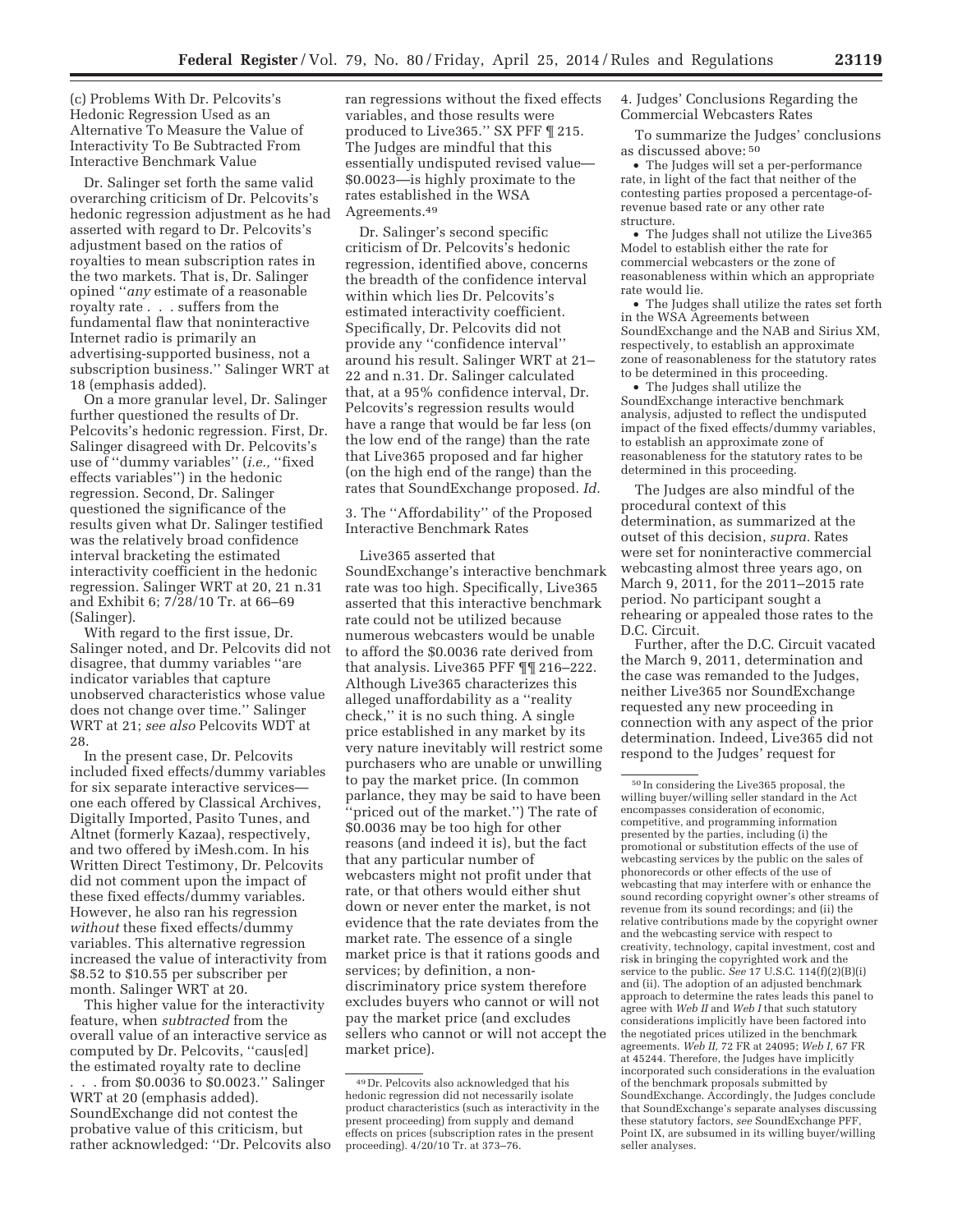(c) Problems With Dr. Pelcovits's Hedonic Regression Used as an Alternative To Measure the Value of Interactivity To Be Subtracted From Interactive Benchmark Value

Dr. Salinger set forth the same valid overarching criticism of Dr. Pelcovits's hedonic regression adjustment as he had asserted with regard to Dr. Pelcovits's adjustment based on the ratios of royalties to mean subscription rates in the two markets. That is, Dr. Salinger opined ''*any* estimate of a reasonable royalty rate . . . suffers from the fundamental flaw that noninteractive Internet radio is primarily an advertising-supported business, not a subscription business.'' Salinger WRT at 18 (emphasis added).

On a more granular level, Dr. Salinger further questioned the results of Dr. Pelcovits's hedonic regression. First, Dr. Salinger disagreed with Dr. Pelcovits's use of ''dummy variables'' (*i.e.,* ''fixed effects variables'') in the hedonic regression. Second, Dr. Salinger questioned the significance of the results given what Dr. Salinger testified was the relatively broad confidence interval bracketing the estimated interactivity coefficient in the hedonic regression. Salinger WRT at 20, 21 n.31 and Exhibit 6; 7/28/10 Tr. at 66–69 (Salinger).

With regard to the first issue, Dr. Salinger noted, and Dr. Pelcovits did not disagree, that dummy variables ''are indicator variables that capture unobserved characteristics whose value does not change over time.'' Salinger WRT at 21; *see also* Pelcovits WDT at 28.

In the present case, Dr. Pelcovits included fixed effects/dummy variables for six separate interactive services one each offered by Classical Archives, Digitally Imported, Pasito Tunes, and Altnet (formerly Kazaa), respectively, and two offered by iMesh.com. In his Written Direct Testimony, Dr. Pelcovits did not comment upon the impact of these fixed effects/dummy variables. However, he also ran his regression *without* these fixed effects/dummy variables. This alternative regression increased the value of interactivity from \$8.52 to \$10.55 per subscriber per month. Salinger WRT at 20.

This higher value for the interactivity feature, when *subtracted* from the overall value of an interactive service as computed by Dr. Pelcovits, ''caus[ed] the estimated royalty rate to decline . from \$0.0036 to \$0.0023." Salinger WRT at 20 (emphasis added). SoundExchange did not contest the probative value of this criticism, but rather acknowledged: ''Dr. Pelcovits also

ran regressions without the fixed effects variables, and those results were produced to Live365.'' SX PFF ¶ 215. The Judges are mindful that this essentially undisputed revised value— \$0.0023—is highly proximate to the rates established in the WSA Agreements.49

Dr. Salinger's second specific criticism of Dr. Pelcovits's hedonic regression, identified above, concerns the breadth of the confidence interval within which lies Dr. Pelcovits's estimated interactivity coefficient. Specifically, Dr. Pelcovits did not provide any ''confidence interval'' around his result. Salinger WRT at 21– 22 and n.31. Dr. Salinger calculated that, at a 95% confidence interval, Dr. Pelcovits's regression results would have a range that would be far less (on the low end of the range) than the rate that Live365 proposed and far higher (on the high end of the range) than the rates that SoundExchange proposed. *Id.* 

3. The ''Affordability'' of the Proposed Interactive Benchmark Rates

Live365 asserted that SoundExchange's interactive benchmark rate was too high. Specifically, Live365 asserted that this interactive benchmark rate could not be utilized because numerous webcasters would be unable to afford the \$0.0036 rate derived from that analysis. Live365 PFF ¶¶ 216–222. Although Live365 characterizes this alleged unaffordability as a ''reality check,'' it is no such thing. A single price established in any market by its very nature inevitably will restrict some purchasers who are unable or unwilling to pay the market price. (In common parlance, they may be said to have been ''priced out of the market.'') The rate of \$0.0036 may be too high for other reasons (and indeed it is), but the fact that any particular number of webcasters might not profit under that rate, or that others would either shut down or never enter the market, is not evidence that the rate deviates from the market rate. The essence of a single market price is that it rations goods and services; by definition, a nondiscriminatory price system therefore excludes buyers who cannot or will not pay the market price (and excludes sellers who cannot or will not accept the market price).

4. Judges' Conclusions Regarding the Commercial Webcasters Rates

To summarize the Judges' conclusions as discussed above: 50

• The Judges will set a per-performance rate, in light of the fact that neither of the contesting parties proposed a percentage-ofrevenue based rate or any other rate structure.

• The Judges shall not utilize the Live365 Model to establish either the rate for commercial webcasters or the zone of reasonableness within which an appropriate rate would lie.

• The Judges shall utilize the rates set forth in the WSA Agreements between SoundExchange and the NAB and Sirius XM, respectively, to establish an approximate zone of reasonableness for the statutory rates to be determined in this proceeding.

• The Judges shall utilize the SoundExchange interactive benchmark analysis, adjusted to reflect the undisputed impact of the fixed effects/dummy variables, to establish an approximate zone of reasonableness for the statutory rates to be determined in this proceeding.

The Judges are also mindful of the procedural context of this determination, as summarized at the outset of this decision, *supra.* Rates were set for noninteractive commercial webcasting almost three years ago, on March 9, 2011, for the 2011–2015 rate period. No participant sought a rehearing or appealed those rates to the D.C. Circuit.

Further, after the D.C. Circuit vacated the March 9, 2011, determination and the case was remanded to the Judges, neither Live365 nor SoundExchange requested any new proceeding in connection with any aspect of the prior determination. Indeed, Live365 did not respond to the Judges' request for

<sup>49</sup> Dr. Pelcovits also acknowledged that his hedonic regression did not necessarily isolate product characteristics (such as interactivity in the present proceeding) from supply and demand effects on prices (subscription rates in the present proceeding). 4/20/10 Tr. at 373–76.

<sup>50</sup> In considering the Live365 proposal, the willing buyer/willing seller standard in the Act encompasses consideration of economic, competitive, and programming information presented by the parties, including (i) the promotional or substitution effects of the use of webcasting services by the public on the sales of phonorecords or other effects of the use of webcasting that may interfere with or enhance the sound recording copyright owner's other streams of revenue from its sound recordings; and (ii) the relative contributions made by the copyright owner and the webcasting service with respect to creativity, technology, capital investment, cost and risk in bringing the copyrighted work and the service to the public. *See* 17 U.S.C. 114(f)(2)(B)(i) and (ii). The adoption of an adjusted benchmark approach to determine the rates leads this panel to agree with *Web II* and *Web I* that such statutory considerations implicitly have been factored into the negotiated prices utilized in the benchmark agreements. *Web II,* 72 FR at 24095; *Web I,* 67 FR at 45244. Therefore, the Judges have implicitly incorporated such considerations in the evaluation of the benchmark proposals submitted by SoundExchange. Accordingly, the Judges conclude that SoundExchange's separate analyses discussing these statutory factors, *see* SoundExchange PFF, Point IX, are subsumed in its willing buyer/willing seller analyses.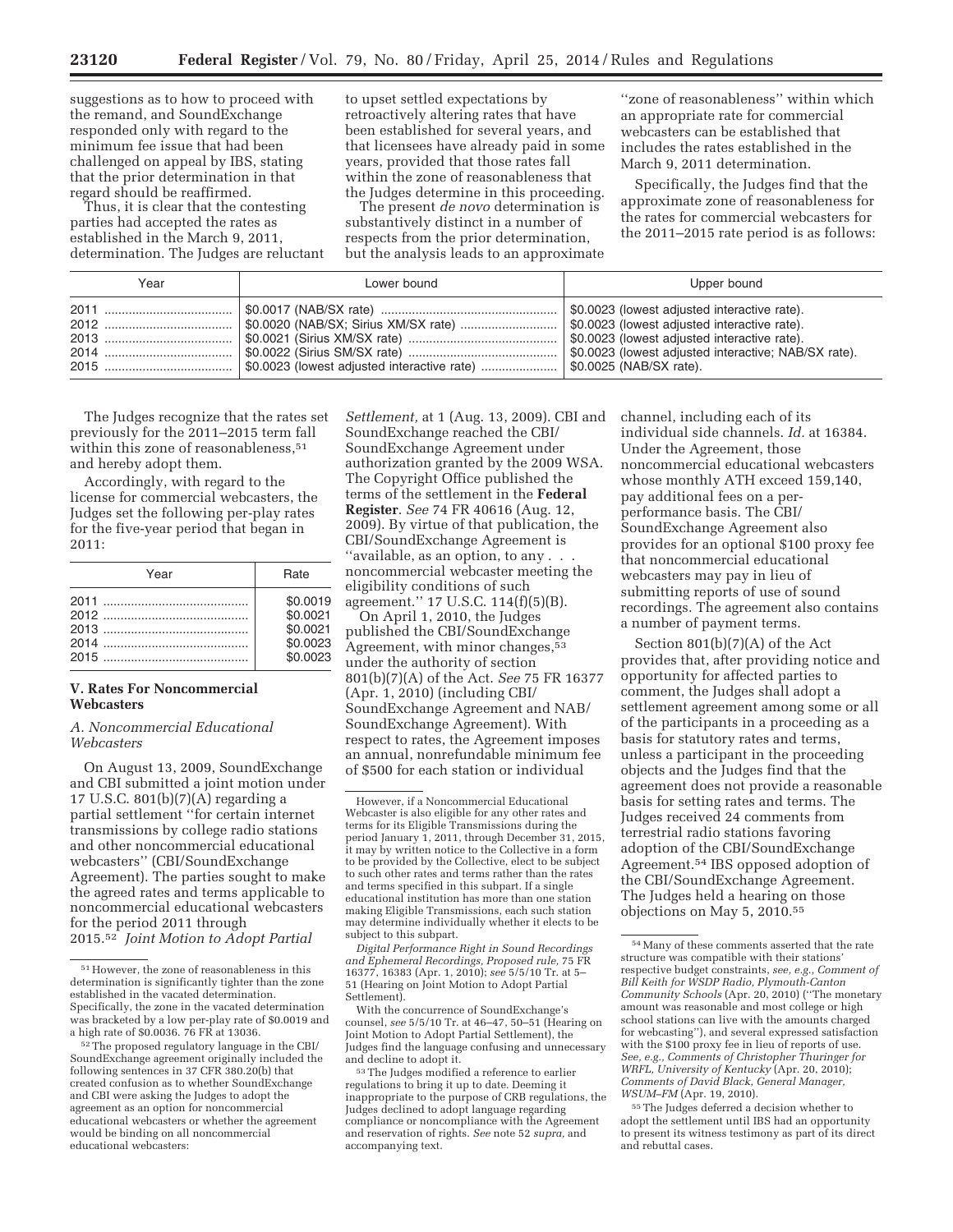suggestions as to how to proceed with the remand, and SoundExchange responded only with regard to the minimum fee issue that had been challenged on appeal by IBS, stating that the prior determination in that regard should be reaffirmed.

Thus, it is clear that the contesting parties had accepted the rates as established in the March 9, 2011, determination. The Judges are reluctant to upset settled expectations by retroactively altering rates that have been established for several years, and that licensees have already paid in some years, provided that those rates fall within the zone of reasonableness that the Judges determine in this proceeding.

The present *de novo* determination is substantively distinct in a number of respects from the prior determination, but the analysis leads to an approximate

''zone of reasonableness'' within which an appropriate rate for commercial webcasters can be established that includes the rates established in the March 9, 2011 determination.

Specifically, the Judges find that the approximate zone of reasonableness for the rates for commercial webcasters for the 2011–2015 rate period is as follows:

| Year | Lower bound | Upper bound |
|------|-------------|-------------|
|      |             |             |

The Judges recognize that the rates set previously for the 2011–2015 term fall within this zone of reasonableness,<sup>51</sup> and hereby adopt them.

Accordingly, with regard to the license for commercial webcasters, the Judges set the following per-play rates for the five-year period that began in 2011:

| Year | Rate     |
|------|----------|
|      | \$0.0019 |
|      | \$0.0021 |
|      | \$0.0021 |
|      | \$0.0023 |
|      | \$0.0023 |

# **V. Rates For Noncommercial Webcasters**

*A. Noncommercial Educational Webcasters* 

On August 13, 2009, SoundExchange and CBI submitted a joint motion under 17 U.S.C. 801(b)(7)(A) regarding a partial settlement ''for certain internet transmissions by college radio stations and other noncommercial educational webcasters'' (CBI/SoundExchange Agreement). The parties sought to make the agreed rates and terms applicable to noncommercial educational webcasters for the period 2011 through 2015.52 *Joint Motion to Adopt Partial* 

*Settlement,* at 1 (Aug. 13, 2009). CBI and SoundExchange reached the CBI/ SoundExchange Agreement under authorization granted by the 2009 WSA. The Copyright Office published the terms of the settlement in the **Federal Register**. *See* 74 FR 40616 (Aug. 12, 2009). By virtue of that publication, the CBI/SoundExchange Agreement is ''available, as an option, to any . . . noncommercial webcaster meeting the eligibility conditions of such agreement.'' 17 U.S.C. 114(f)(5)(B).

On April 1, 2010, the Judges published the CBI/SoundExchange Agreement, with minor changes,<sup>53</sup> under the authority of section 801(b)(7)(A) of the Act. *See* 75 FR 16377 (Apr. 1, 2010) (including CBI/ SoundExchange Agreement and NAB/ SoundExchange Agreement). With respect to rates, the Agreement imposes an annual, nonrefundable minimum fee of \$500 for each station or individual

*Digital Performance Right in Sound Recordings and Ephemeral Recordings, Proposed rule,* 75 FR 16377, 16383 (Apr. 1, 2010); *see* 5/5/10 Tr. at 5– 51 (Hearing on Joint Motion to Adopt Partial Settlement).

With the concurrence of SoundExchange's counsel, *see* 5/5/10 Tr. at 46–47, 50–51 (Hearing on Joint Motion to Adopt Partial Settlement), the Judges find the language confusing and unnecessary and decline to adopt it.

channel, including each of its individual side channels. *Id.* at 16384. Under the Agreement, those noncommercial educational webcasters whose monthly ATH exceed 159,140, pay additional fees on a perperformance basis. The CBI/ SoundExchange Agreement also provides for an optional \$100 proxy fee that noncommercial educational webcasters may pay in lieu of submitting reports of use of sound recordings. The agreement also contains a number of payment terms.

Section 801(b)(7)(A) of the Act provides that, after providing notice and opportunity for affected parties to comment, the Judges shall adopt a settlement agreement among some or all of the participants in a proceeding as a basis for statutory rates and terms, unless a participant in the proceeding objects and the Judges find that the agreement does not provide a reasonable basis for setting rates and terms. The Judges received 24 comments from terrestrial radio stations favoring adoption of the CBI/SoundExchange Agreement.54 IBS opposed adoption of the CBI/SoundExchange Agreement. The Judges held a hearing on those objections on May 5, 2010.55

55The Judges deferred a decision whether to adopt the settlement until IBS had an opportunity to present its witness testimony as part of its direct and rebuttal cases.

 $^{51}\rm{However,}$  the zone of reasonableness in this determination is significantly tighter than the zone established in the vacated determination. Specifically, the zone in the vacated determination was bracketed by a low per-play rate of \$0.0019 and a high rate of \$0.0036. 76 FR at 13036.

<sup>52</sup>The proposed regulatory language in the CBI/ SoundExchange agreement originally included the following sentences in 37 CFR 380.20(b) that created confusion as to whether SoundExchange and CBI were asking the Judges to adopt the agreement as an option for noncommercial educational webcasters or whether the agreement would be binding on all noncommercial educational webcasters:

However, if a Noncommercial Educational Webcaster is also eligible for any other rates and terms for its Eligible Transmissions during the period January 1, 2011, through December 31, 2015, it may by written notice to the Collective in a form to be provided by the Collective, elect to be subject to such other rates and terms rather than the rates and terms specified in this subpart. If a single educational institution has more than one station making Eligible Transmissions, each such station may determine individually whether it elects to be subject to this subpart.

<sup>53</sup>The Judges modified a reference to earlier regulations to bring it up to date. Deeming it inappropriate to the purpose of CRB regulations, the Judges declined to adopt language regarding compliance or noncompliance with the Agreement and reservation of rights. *See* note 52 *supra,* and accompanying text.

<sup>54</sup>Many of these comments asserted that the rate structure was compatible with their stations' respective budget constraints, *see, e.g., Comment of Bill Keith for WSDP Radio, Plymouth-Canton Community Schools* (Apr. 20, 2010) (''The monetary amount was reasonable and most college or high school stations can live with the amounts charged for webcasting''), and several expressed satisfaction with the \$100 proxy fee in lieu of reports of use. *See, e.g., Comments of Christopher Thuringer for WRFL, University of Kentucky* (Apr. 20, 2010); *Comments of David Black, General Manager, WSUM–FM* (Apr. 19, 2010).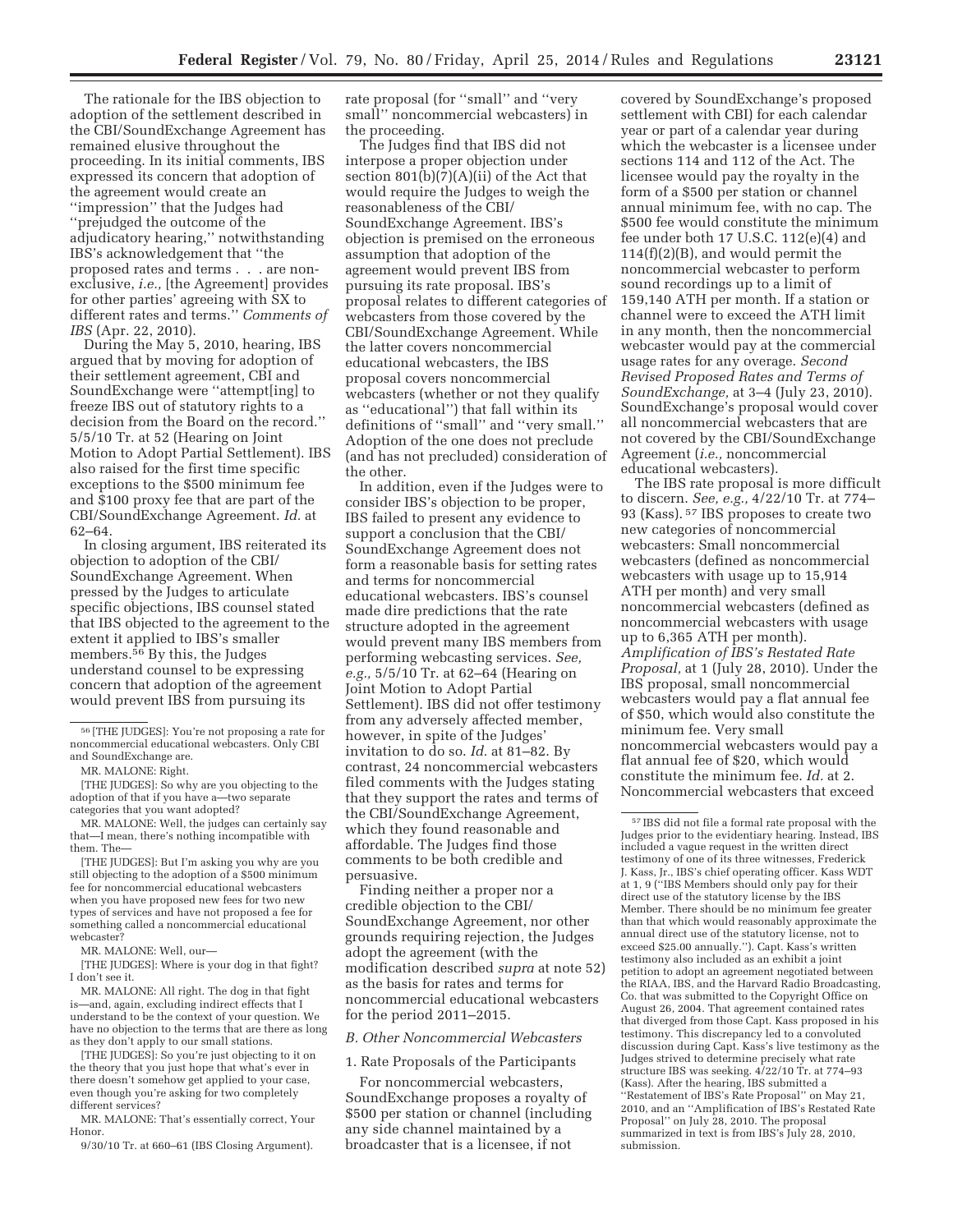The rationale for the IBS objection to adoption of the settlement described in the CBI/SoundExchange Agreement has remained elusive throughout the proceeding. In its initial comments, IBS expressed its concern that adoption of the agreement would create an ''impression'' that the Judges had ''prejudged the outcome of the adjudicatory hearing,'' notwithstanding IBS's acknowledgement that ''the proposed rates and terms . . . are nonexclusive, *i.e.,* [the Agreement] provides for other parties' agreeing with SX to different rates and terms.'' *Comments of IBS* (Apr. 22, 2010).

During the May 5, 2010, hearing, IBS argued that by moving for adoption of their settlement agreement, CBI and SoundExchange were ''attempt[ing] to freeze IBS out of statutory rights to a decision from the Board on the record.'' 5/5/10 Tr. at 52 (Hearing on Joint Motion to Adopt Partial Settlement). IBS also raised for the first time specific exceptions to the \$500 minimum fee and \$100 proxy fee that are part of the CBI/SoundExchange Agreement. *Id.* at 62–64.

In closing argument, IBS reiterated its objection to adoption of the CBI/ SoundExchange Agreement. When pressed by the Judges to articulate specific objections, IBS counsel stated that IBS objected to the agreement to the extent it applied to IBS's smaller members.56 By this, the Judges understand counsel to be expressing concern that adoption of the agreement would prevent IBS from pursuing its

[THE JUDGES]: But I'm asking you why are you still objecting to the adoption of a \$500 minimum fee for noncommercial educational webcasters when you have proposed new fees for two new types of services and have not proposed a fee for something called a noncommercial educational webcaster?

MR. MALONE: Well, our—

[THE JUDGES]: Where is your dog in that fight? I don't see it.

MR. MALONE: All right. The dog in that fight is—and, again, excluding indirect effects that I understand to be the context of your question. We have no objection to the terms that are there as long as they don't apply to our small stations.

[THE JUDGES]: So you're just objecting to it on the theory that you just hope that what's ever in there doesn't somehow get applied to your case, even though you're asking for two completely different services?

MR. MALONE: That's essentially correct, Your Honor.

9/30/10 Tr. at 660–61 (IBS Closing Argument).

rate proposal (for ''small'' and ''very small'' noncommercial webcasters) in the proceeding.

The Judges find that IBS did not interpose a proper objection under section 801(b)(7)(A)(ii) of the Act that would require the Judges to weigh the reasonableness of the CBI/ SoundExchange Agreement. IBS's objection is premised on the erroneous assumption that adoption of the agreement would prevent IBS from pursuing its rate proposal. IBS's proposal relates to different categories of webcasters from those covered by the CBI/SoundExchange Agreement. While the latter covers noncommercial educational webcasters, the IBS proposal covers noncommercial webcasters (whether or not they qualify as ''educational'') that fall within its definitions of ''small'' and ''very small.'' Adoption of the one does not preclude (and has not precluded) consideration of the other.

In addition, even if the Judges were to consider IBS's objection to be proper, IBS failed to present any evidence to support a conclusion that the CBI/ SoundExchange Agreement does not form a reasonable basis for setting rates and terms for noncommercial educational webcasters. IBS's counsel made dire predictions that the rate structure adopted in the agreement would prevent many IBS members from performing webcasting services. *See, e.g.,* 5/5/10 Tr. at 62–64 (Hearing on Joint Motion to Adopt Partial Settlement). IBS did not offer testimony from any adversely affected member, however, in spite of the Judges' invitation to do so. *Id.* at 81–82. By contrast, 24 noncommercial webcasters filed comments with the Judges stating that they support the rates and terms of the CBI/SoundExchange Agreement, which they found reasonable and affordable. The Judges find those comments to be both credible and persuasive.

Finding neither a proper nor a credible objection to the CBI/ SoundExchange Agreement, nor other grounds requiring rejection, the Judges adopt the agreement (with the modification described *supra* at note 52) as the basis for rates and terms for noncommercial educational webcasters for the period 2011–2015.

#### *B. Other Noncommercial Webcasters*

1. Rate Proposals of the Participants

For noncommercial webcasters, SoundExchange proposes a royalty of \$500 per station or channel (including any side channel maintained by a broadcaster that is a licensee, if not

covered by SoundExchange's proposed settlement with CBI) for each calendar year or part of a calendar year during which the webcaster is a licensee under sections 114 and 112 of the Act. The licensee would pay the royalty in the form of a \$500 per station or channel annual minimum fee, with no cap. The \$500 fee would constitute the minimum fee under both 17 U.S.C. 112(e)(4) and 114(f)(2)(B), and would permit the noncommercial webcaster to perform sound recordings up to a limit of 159,140 ATH per month. If a station or channel were to exceed the ATH limit in any month, then the noncommercial webcaster would pay at the commercial usage rates for any overage. *Second Revised Proposed Rates and Terms of SoundExchange,* at 3–4 (July 23, 2010). SoundExchange's proposal would cover all noncommercial webcasters that are not covered by the CBI/SoundExchange Agreement (*i.e.,* noncommercial educational webcasters).

The IBS rate proposal is more difficult to discern. *See, e.g.,* 4/22/10 Tr. at 774– 93 (Kass). 57 IBS proposes to create two new categories of noncommercial webcasters: Small noncommercial webcasters (defined as noncommercial webcasters with usage up to 15,914 ATH per month) and very small noncommercial webcasters (defined as noncommercial webcasters with usage up to 6,365 ATH per month). *Amplification of IBS's Restated Rate Proposal,* at 1 (July 28, 2010). Under the IBS proposal, small noncommercial webcasters would pay a flat annual fee of \$50, which would also constitute the minimum fee. Very small noncommercial webcasters would pay a flat annual fee of \$20, which would constitute the minimum fee. *Id.* at 2. Noncommercial webcasters that exceed

<sup>56</sup> [THE JUDGES]: You're not proposing a rate for noncommercial educational webcasters. Only CBI and SoundExchange are.

MR. MALONE: Right.

<sup>[</sup>THE JUDGES]: So why are you objecting to the adoption of that if you have a—two separate categories that you want adopted?

MR. MALONE: Well, the judges can certainly say that—I mean, there's nothing incompatible with them. The—

<sup>57</sup> IBS did not file a formal rate proposal with the Judges prior to the evidentiary hearing. Instead, IBS included a vague request in the written direct testimony of one of its three witnesses, Frederick J. Kass, Jr., IBS's chief operating officer. Kass WDT at 1, 9 (''IBS Members should only pay for their direct use of the statutory license by the IBS Member. There should be no minimum fee greater than that which would reasonably approximate the annual direct use of the statutory license, not to exceed \$25.00 annually.''). Capt. Kass's written testimony also included as an exhibit a joint petition to adopt an agreement negotiated between the RIAA, IBS, and the Harvard Radio Broadcasting, Co. that was submitted to the Copyright Office on August 26, 2004. That agreement contained rates that diverged from those Capt. Kass proposed in his testimony. This discrepancy led to a convoluted discussion during Capt. Kass's live testimony as the Judges strived to determine precisely what rate structure IBS was seeking. 4/22/10 Tr. at 774–93 (Kass). After the hearing, IBS submitted a ''Restatement of IBS's Rate Proposal'' on May 21, 2010, and an ''Amplification of IBS's Restated Rate Proposal'' on July 28, 2010. The proposal summarized in text is from IBS's July 28, 2010, submission.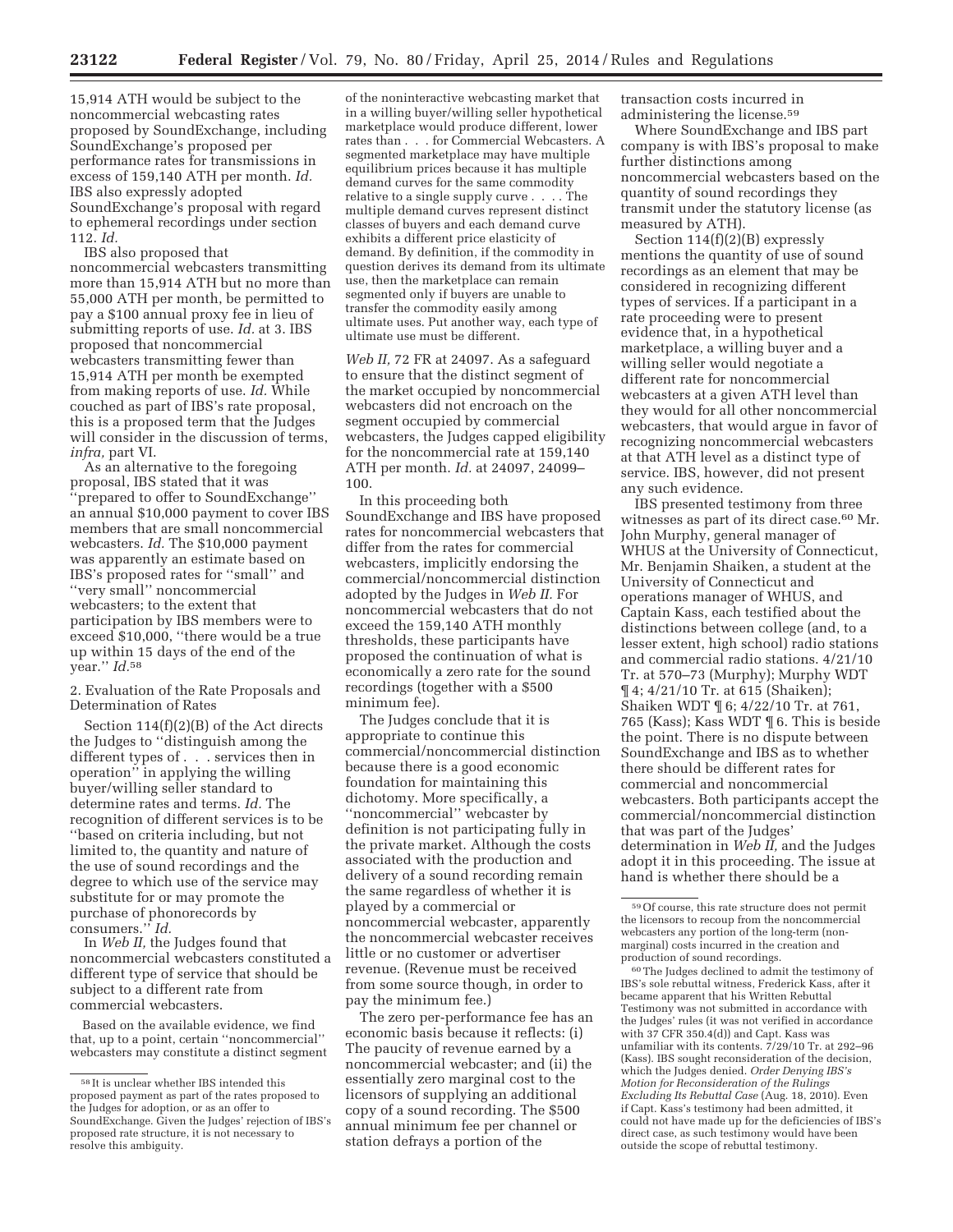15,914 ATH would be subject to the noncommercial webcasting rates proposed by SoundExchange, including SoundExchange's proposed per performance rates for transmissions in excess of 159,140 ATH per month. *Id.*  IBS also expressly adopted SoundExchange's proposal with regard to ephemeral recordings under section 112. *Id.* 

IBS also proposed that noncommercial webcasters transmitting more than 15,914 ATH but no more than 55,000 ATH per month, be permitted to pay a \$100 annual proxy fee in lieu of submitting reports of use. *Id.* at 3. IBS proposed that noncommercial webcasters transmitting fewer than 15,914 ATH per month be exempted from making reports of use. *Id.* While couched as part of IBS's rate proposal, this is a proposed term that the Judges will consider in the discussion of terms, *infra,* part VI.

As an alternative to the foregoing proposal, IBS stated that it was ''prepared to offer to SoundExchange'' an annual \$10,000 payment to cover IBS members that are small noncommercial webcasters. *Id.* The \$10,000 payment was apparently an estimate based on IBS's proposed rates for ''small'' and ''very small'' noncommercial webcasters; to the extent that participation by IBS members were to exceed \$10,000, ''there would be a true up within 15 days of the end of the year.'' *Id.*58

2. Evaluation of the Rate Proposals and Determination of Rates

Section 114(f)(2)(B) of the Act directs the Judges to ''distinguish among the different types of . . . services then in operation'' in applying the willing buyer/willing seller standard to determine rates and terms. *Id.* The recognition of different services is to be ''based on criteria including, but not limited to, the quantity and nature of the use of sound recordings and the degree to which use of the service may substitute for or may promote the purchase of phonorecords by consumers.'' *Id.* 

In *Web II,* the Judges found that noncommercial webcasters constituted a different type of service that should be subject to a different rate from commercial webcasters.

Based on the available evidence, we find that, up to a point, certain ''noncommercial'' webcasters may constitute a distinct segment

of the noninteractive webcasting market that in a willing buyer/willing seller hypothetical marketplace would produce different, lower rates than . . . for Commercial Webcasters. A segmented marketplace may have multiple equilibrium prices because it has multiple demand curves for the same commodity relative to a single supply curve . . . . The multiple demand curves represent distinct classes of buyers and each demand curve exhibits a different price elasticity of demand. By definition, if the commodity in question derives its demand from its ultimate use, then the marketplace can remain segmented only if buyers are unable to transfer the commodity easily among ultimate uses. Put another way, each type of ultimate use must be different.

*Web II,* 72 FR at 24097. As a safeguard to ensure that the distinct segment of the market occupied by noncommercial webcasters did not encroach on the segment occupied by commercial webcasters, the Judges capped eligibility for the noncommercial rate at 159,140 ATH per month. *Id.* at 24097, 24099– 100.

In this proceeding both SoundExchange and IBS have proposed rates for noncommercial webcasters that differ from the rates for commercial webcasters, implicitly endorsing the commercial/noncommercial distinction adopted by the Judges in *Web II.* For noncommercial webcasters that do not exceed the 159,140 ATH monthly thresholds, these participants have proposed the continuation of what is economically a zero rate for the sound recordings (together with a \$500 minimum fee).

The Judges conclude that it is appropriate to continue this commercial/noncommercial distinction because there is a good economic foundation for maintaining this dichotomy. More specifically, a ''noncommercial'' webcaster by definition is not participating fully in the private market. Although the costs associated with the production and delivery of a sound recording remain the same regardless of whether it is played by a commercial or noncommercial webcaster, apparently the noncommercial webcaster receives little or no customer or advertiser revenue. (Revenue must be received from some source though, in order to pay the minimum fee.)

The zero per-performance fee has an economic basis because it reflects: (i) The paucity of revenue earned by a noncommercial webcaster; and (ii) the essentially zero marginal cost to the licensors of supplying an additional copy of a sound recording. The \$500 annual minimum fee per channel or station defrays a portion of the

transaction costs incurred in administering the license.59

Where SoundExchange and IBS part company is with IBS's proposal to make further distinctions among noncommercial webcasters based on the quantity of sound recordings they transmit under the statutory license (as measured by ATH).

Section 114(f)(2)(B) expressly mentions the quantity of use of sound recordings as an element that may be considered in recognizing different types of services. If a participant in a rate proceeding were to present evidence that, in a hypothetical marketplace, a willing buyer and a willing seller would negotiate a different rate for noncommercial webcasters at a given ATH level than they would for all other noncommercial webcasters, that would argue in favor of recognizing noncommercial webcasters at that ATH level as a distinct type of service. IBS, however, did not present any such evidence.

IBS presented testimony from three witnesses as part of its direct case.<sup>60</sup> Mr. John Murphy, general manager of WHUS at the University of Connecticut, Mr. Benjamin Shaiken, a student at the University of Connecticut and operations manager of WHUS, and Captain Kass, each testified about the distinctions between college (and, to a lesser extent, high school) radio stations and commercial radio stations. 4/21/10 Tr. at 570–73 (Murphy); Murphy WDT ¶ 4; 4/21/10 Tr. at 615 (Shaiken); Shaiken WDT ¶ 6; 4/22/10 Tr. at 761, 765 (Kass); Kass WDT ¶ 6. This is beside the point. There is no dispute between SoundExchange and IBS as to whether there should be different rates for commercial and noncommercial webcasters. Both participants accept the commercial/noncommercial distinction that was part of the Judges' determination in *Web II,* and the Judges adopt it in this proceeding. The issue at hand is whether there should be a

60The Judges declined to admit the testimony of IBS's sole rebuttal witness, Frederick Kass, after it became apparent that his Written Rebuttal Testimony was not submitted in accordance with the Judges' rules (it was not verified in accordance with 37 CFR 350.4(d)) and Capt. Kass was unfamiliar with its contents. 7/29/10 Tr. at 292–96 (Kass). IBS sought reconsideration of the decision, which the Judges denied. *Order Denying IBS's Motion for Reconsideration of the Rulings Excluding Its Rebuttal Case* (Aug. 18, 2010). Even if Capt. Kass's testimony had been admitted, it could not have made up for the deficiencies of IBS's direct case, as such testimony would have been outside the scope of rebuttal testimony.

<sup>58</sup> It is unclear whether IBS intended this proposed payment as part of the rates proposed to the Judges for adoption, or as an offer to SoundExchange. Given the Judges' rejection of IBS's proposed rate structure, it is not necessary to resolve this ambiguity.

<sup>59</sup>Of course, this rate structure does not permit the licensors to recoup from the noncommercial webcasters any portion of the long-term (nonmarginal) costs incurred in the creation and production of sound recordings.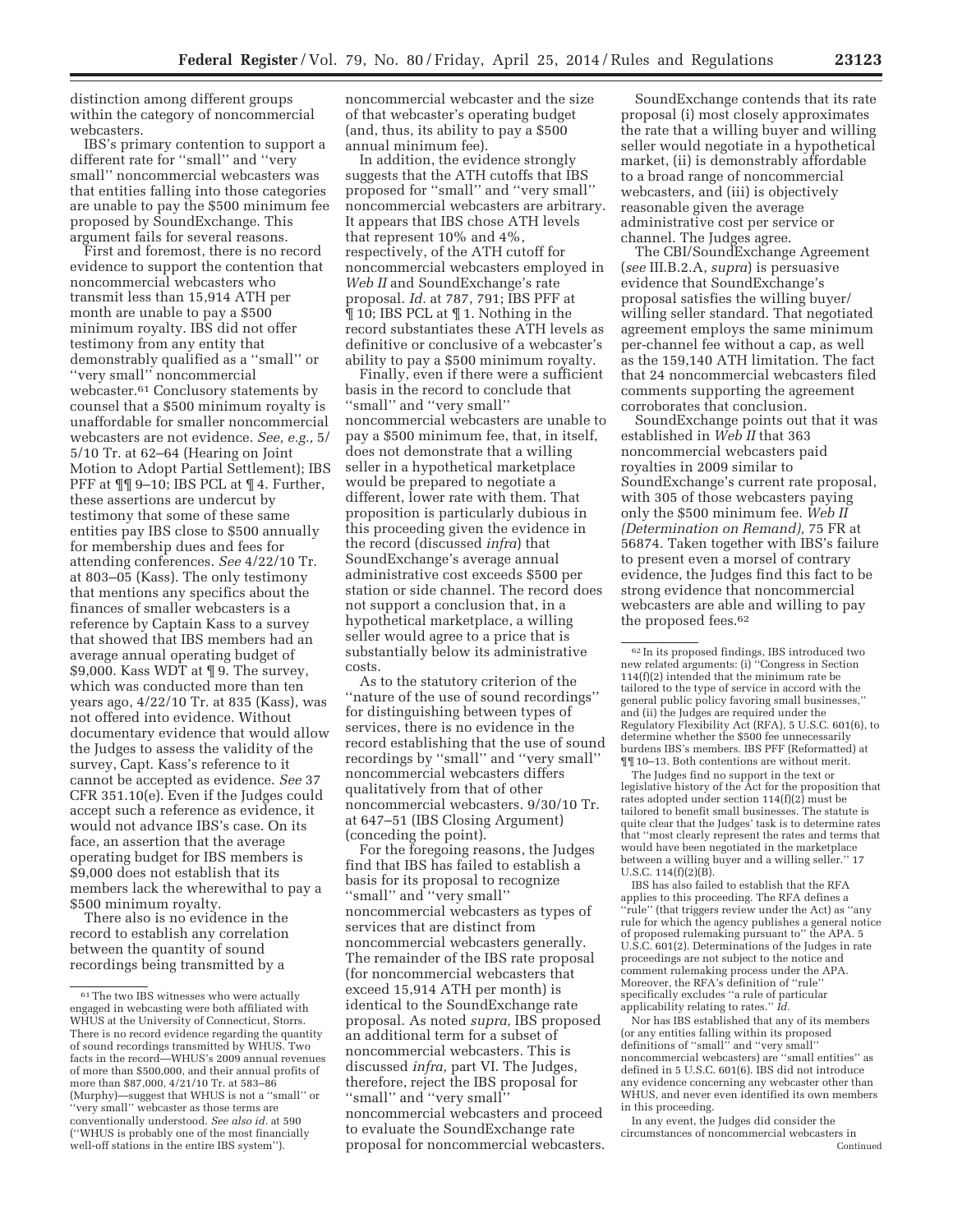distinction among different groups within the category of noncommercial webcasters.

IBS's primary contention to support a different rate for ''small'' and ''very small'' noncommercial webcasters was that entities falling into those categories are unable to pay the \$500 minimum fee proposed by SoundExchange. This argument fails for several reasons.

First and foremost, there is no record evidence to support the contention that noncommercial webcasters who transmit less than 15,914 ATH per month are unable to pay a \$500 minimum royalty. IBS did not offer testimony from any entity that demonstrably qualified as a ''small'' or ''very small'' noncommercial webcaster.61 Conclusory statements by counsel that a \$500 minimum royalty is unaffordable for smaller noncommercial webcasters are not evidence. *See, e.g.,* 5/ 5/10 Tr. at 62–64 (Hearing on Joint Motion to Adopt Partial Settlement); IBS PFF at ¶¶ 9–10; IBS PCL at ¶ 4. Further, these assertions are undercut by testimony that some of these same entities pay IBS close to \$500 annually for membership dues and fees for attending conferences. *See* 4/22/10 Tr. at 803–05 (Kass). The only testimony that mentions any specifics about the finances of smaller webcasters is a reference by Captain Kass to a survey that showed that IBS members had an average annual operating budget of \$9,000. Kass WDT at ¶ 9. The survey, which was conducted more than ten years ago, 4/22/10 Tr. at 835 (Kass), was not offered into evidence. Without documentary evidence that would allow the Judges to assess the validity of the survey, Capt. Kass's reference to it cannot be accepted as evidence. *See* 37 CFR 351.10(e). Even if the Judges could accept such a reference as evidence, it would not advance IBS's case. On its face, an assertion that the average operating budget for IBS members is \$9,000 does not establish that its members lack the wherewithal to pay a \$500 minimum royalty.

There also is no evidence in the record to establish any correlation between the quantity of sound recordings being transmitted by a

noncommercial webcaster and the size of that webcaster's operating budget (and, thus, its ability to pay a \$500 annual minimum fee).

In addition, the evidence strongly suggests that the ATH cutoffs that IBS proposed for ''small'' and ''very small'' noncommercial webcasters are arbitrary. It appears that IBS chose ATH levels that represent 10% and 4%, respectively, of the ATH cutoff for noncommercial webcasters employed in *Web II* and SoundExchange's rate proposal. *Id.* at 787, 791; IBS PFF at ¶ 10; IBS PCL at ¶ 1. Nothing in the record substantiates these ATH levels as definitive or conclusive of a webcaster's ability to pay a \$500 minimum royalty.

Finally, even if there were a sufficient basis in the record to conclude that ''small'' and ''very small'' noncommercial webcasters are unable to pay a \$500 minimum fee, that, in itself, does not demonstrate that a willing seller in a hypothetical marketplace would be prepared to negotiate a different, lower rate with them. That proposition is particularly dubious in this proceeding given the evidence in the record (discussed *infra*) that SoundExchange's average annual administrative cost exceeds \$500 per station or side channel. The record does not support a conclusion that, in a hypothetical marketplace, a willing seller would agree to a price that is substantially below its administrative costs.

As to the statutory criterion of the ''nature of the use of sound recordings'' for distinguishing between types of services, there is no evidence in the record establishing that the use of sound recordings by ''small'' and ''very small'' noncommercial webcasters differs qualitatively from that of other noncommercial webcasters. 9/30/10 Tr. at 647–51 (IBS Closing Argument) (conceding the point).

For the foregoing reasons, the Judges find that IBS has failed to establish a basis for its proposal to recognize ''small'' and ''very small'' noncommercial webcasters as types of services that are distinct from noncommercial webcasters generally. The remainder of the IBS rate proposal (for noncommercial webcasters that exceed 15,914 ATH per month) is identical to the SoundExchange rate proposal. As noted *supra,* IBS proposed an additional term for a subset of noncommercial webcasters. This is discussed *infra,* part VI. The Judges, therefore, reject the IBS proposal for "small" and "very small" noncommercial webcasters and proceed to evaluate the SoundExchange rate proposal for noncommercial webcasters.

SoundExchange contends that its rate proposal (i) most closely approximates the rate that a willing buyer and willing seller would negotiate in a hypothetical market, (ii) is demonstrably affordable to a broad range of noncommercial webcasters, and (iii) is objectively reasonable given the average administrative cost per service or channel. The Judges agree.

The CBI/SoundExchange Agreement (*see* III.B.2.A, *supra*) is persuasive evidence that SoundExchange's proposal satisfies the willing buyer/ willing seller standard. That negotiated agreement employs the same minimum per-channel fee without a cap, as well as the 159,140 ATH limitation. The fact that 24 noncommercial webcasters filed comments supporting the agreement corroborates that conclusion.

SoundExchange points out that it was established in *Web II* that 363 noncommercial webcasters paid royalties in 2009 similar to SoundExchange's current rate proposal, with 305 of those webcasters paying only the \$500 minimum fee. *Web II (Determination on Remand),* 75 FR at 56874. Taken together with IBS's failure to present even a morsel of contrary evidence, the Judges find this fact to be strong evidence that noncommercial webcasters are able and willing to pay the proposed fees.62

The Judges find no support in the text or legislative history of the Act for the proposition that rates adopted under section 114(f)(2) must be tailored to benefit small businesses. The statute is quite clear that the Judges' task is to determine rates that ''most clearly represent the rates and terms that would have been negotiated in the marketplace between a willing buyer and a willing seller.'' 17 U.S.C. 114(f)(2)(B).

IBS has also failed to establish that the RFA applies to this proceeding. The RFA defines a "rule" (that triggers review under the Act) as "any rule for which the agency publishes a general notice of proposed rulemaking pursuant to'' the APA. 5 U.S.C. 601(2). Determinations of the Judges in rate proceedings are not subject to the notice and comment rulemaking process under the APA. Moreover, the RFA's definition of ''rule'' specifically excludes ''a rule of particular applicability relating to rates.'' *Id.* 

Nor has IBS established that any of its members (or any entities falling within its proposed definitions of ''small'' and ''very small'' noncommercial webcasters) are ''small entities'' as defined in 5 U.S.C. 601(6). IBS did not introduce any evidence concerning any webcaster other than WHUS, and never even identified its own members in this proceeding.

In any event, the Judges did consider the circumstances of noncommercial webcasters in Continued

<sup>61</sup>The two IBS witnesses who were actually engaged in webcasting were both affiliated with WHUS at the University of Connecticut, Storrs. There is no record evidence regarding the quantity of sound recordings transmitted by WHUS. Two facts in the record—WHUS's 2009 annual revenues of more than \$500,000, and their annual profits of more than \$87,000, 4/21/10 Tr. at 583–86 (Murphy)—suggest that WHUS is not a ''small'' or ''very small'' webcaster as those terms are conventionally understood. *See also id.* at 590 (''WHUS is probably one of the most financially well-off stations in the entire IBS system'').

<sup>62</sup> In its proposed findings, IBS introduced two new related arguments: (i) ''Congress in Section 114(f)(2) intended that the minimum rate be tailored to the type of service in accord with the general public policy favoring small businesses,'' and (ii) the Judges are required under the Regulatory Flexibility Act (RFA), 5 U.S.C. 601(6), to determine whether the \$500 fee unnecessarily burdens IBS's members. IBS PFF (Reformatted) at ¶¶ 10–13. Both contentions are without merit.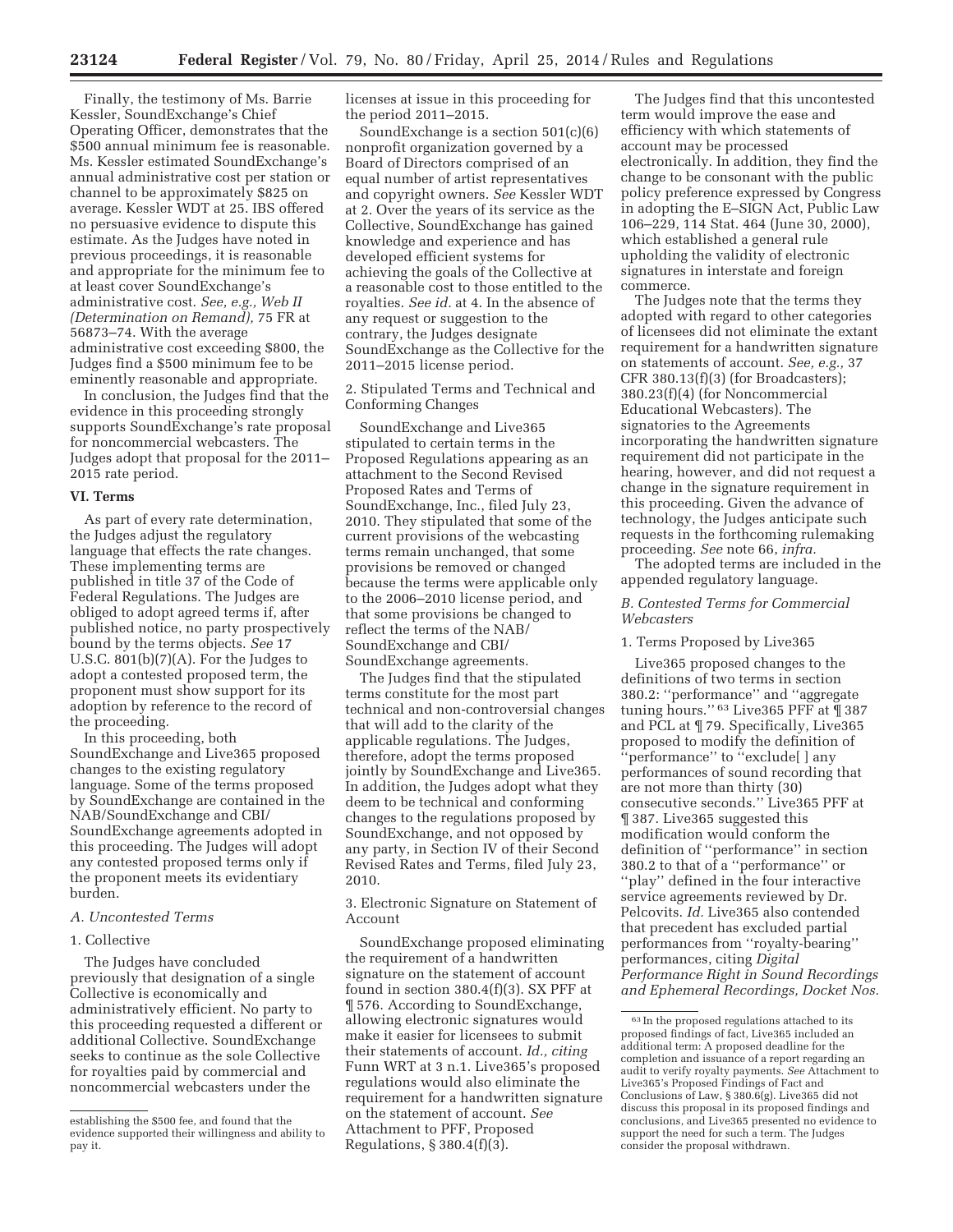Finally, the testimony of Ms. Barrie Kessler, SoundExchange's Chief Operating Officer, demonstrates that the \$500 annual minimum fee is reasonable. Ms. Kessler estimated SoundExchange's annual administrative cost per station or channel to be approximately \$825 on average. Kessler WDT at 25. IBS offered no persuasive evidence to dispute this estimate. As the Judges have noted in previous proceedings, it is reasonable and appropriate for the minimum fee to at least cover SoundExchange's administrative cost. *See, e.g., Web II (Determination on Remand),* 75 FR at 56873–74. With the average administrative cost exceeding \$800, the Judges find a \$500 minimum fee to be eminently reasonable and appropriate.

In conclusion, the Judges find that the evidence in this proceeding strongly supports SoundExchange's rate proposal for noncommercial webcasters. The Judges adopt that proposal for the 2011– 2015 rate period.

## **VI. Terms**

As part of every rate determination, the Judges adjust the regulatory language that effects the rate changes. These implementing terms are published in title 37 of the Code of Federal Regulations. The Judges are obliged to adopt agreed terms if, after published notice, no party prospectively bound by the terms objects. *See* 17 U.S.C. 801(b)(7)(A). For the Judges to adopt a contested proposed term, the proponent must show support for its adoption by reference to the record of the proceeding.

In this proceeding, both SoundExchange and Live365 proposed changes to the existing regulatory language. Some of the terms proposed by SoundExchange are contained in the NAB/SoundExchange and CBI/ SoundExchange agreements adopted in this proceeding. The Judges will adopt any contested proposed terms only if the proponent meets its evidentiary burden.

#### *A. Uncontested Terms*

## 1. Collective

The Judges have concluded previously that designation of a single Collective is economically and administratively efficient. No party to this proceeding requested a different or additional Collective. SoundExchange seeks to continue as the sole Collective for royalties paid by commercial and noncommercial webcasters under the

licenses at issue in this proceeding for the period 2011–2015.

SoundExchange is a section 501(c)(6) nonprofit organization governed by a Board of Directors comprised of an equal number of artist representatives and copyright owners. *See* Kessler WDT at 2. Over the years of its service as the Collective, SoundExchange has gained knowledge and experience and has developed efficient systems for achieving the goals of the Collective at a reasonable cost to those entitled to the royalties. *See id.* at 4. In the absence of any request or suggestion to the contrary, the Judges designate SoundExchange as the Collective for the 2011–2015 license period.

2. Stipulated Terms and Technical and Conforming Changes

SoundExchange and Live365 stipulated to certain terms in the Proposed Regulations appearing as an attachment to the Second Revised Proposed Rates and Terms of SoundExchange, Inc., filed July 23, 2010. They stipulated that some of the current provisions of the webcasting terms remain unchanged, that some provisions be removed or changed because the terms were applicable only to the 2006–2010 license period, and that some provisions be changed to reflect the terms of the NAB/ SoundExchange and CBI/ SoundExchange agreements.

The Judges find that the stipulated terms constitute for the most part technical and non-controversial changes that will add to the clarity of the applicable regulations. The Judges, therefore, adopt the terms proposed jointly by SoundExchange and Live365. In addition, the Judges adopt what they deem to be technical and conforming changes to the regulations proposed by SoundExchange, and not opposed by any party, in Section IV of their Second Revised Rates and Terms, filed July 23, 2010.

3. Electronic Signature on Statement of Account

SoundExchange proposed eliminating the requirement of a handwritten signature on the statement of account found in section 380.4(f)(3). SX PFF at ¶ 576. According to SoundExchange, allowing electronic signatures would make it easier for licensees to submit their statements of account. *Id., citing*  Funn WRT at 3 n.1. Live365's proposed regulations would also eliminate the requirement for a handwritten signature on the statement of account. *See*  Attachment to PFF, Proposed Regulations, § 380.4(f)(3).

The Judges find that this uncontested term would improve the ease and efficiency with which statements of account may be processed electronically. In addition, they find the change to be consonant with the public policy preference expressed by Congress in adopting the E–SIGN Act, Public Law 106–229, 114 Stat. 464 (June 30, 2000), which established a general rule upholding the validity of electronic signatures in interstate and foreign commerce.

The Judges note that the terms they adopted with regard to other categories of licensees did not eliminate the extant requirement for a handwritten signature on statements of account. *See, e.g.,* 37 CFR 380.13(f)(3) (for Broadcasters); 380.23(f)(4) (for Noncommercial Educational Webcasters). The signatories to the Agreements incorporating the handwritten signature requirement did not participate in the hearing, however, and did not request a change in the signature requirement in this proceeding. Given the advance of technology, the Judges anticipate such requests in the forthcoming rulemaking proceeding. *See* note 66, *infra.* 

The adopted terms are included in the appended regulatory language.

# *B. Contested Terms for Commercial Webcasters*

#### 1. Terms Proposed by Live365

Live365 proposed changes to the definitions of two terms in section 380.2: ''performance'' and ''aggregate tuning hours.'' 63 Live365 PFF at ¶ 387 and PCL at ¶ 79. Specifically, Live365 proposed to modify the definition of ''performance'' to ''exclude[ ] any performances of sound recording that are not more than thirty (30) consecutive seconds.'' Live365 PFF at ¶ 387. Live365 suggested this modification would conform the definition of ''performance'' in section 380.2 to that of a ''performance'' or ''play'' defined in the four interactive service agreements reviewed by Dr. Pelcovits. *Id.* Live365 also contended that precedent has excluded partial performances from ''royalty-bearing'' performances, citing *Digital Performance Right in Sound Recordings and Ephemeral Recordings, Docket Nos.* 

establishing the \$500 fee, and found that the evidence supported their willingness and ability to pay it.

<sup>63</sup> In the proposed regulations attached to its proposed findings of fact, Live365 included an additional term: A proposed deadline for the completion and issuance of a report regarding an audit to verify royalty payments. *See* Attachment to Live365's Proposed Findings of Fact and Conclusions of Law, § 380.6(g). Live365 did not discuss this proposal in its proposed findings and conclusions, and Live365 presented no evidence to support the need for such a term. The Judges consider the proposal withdrawn.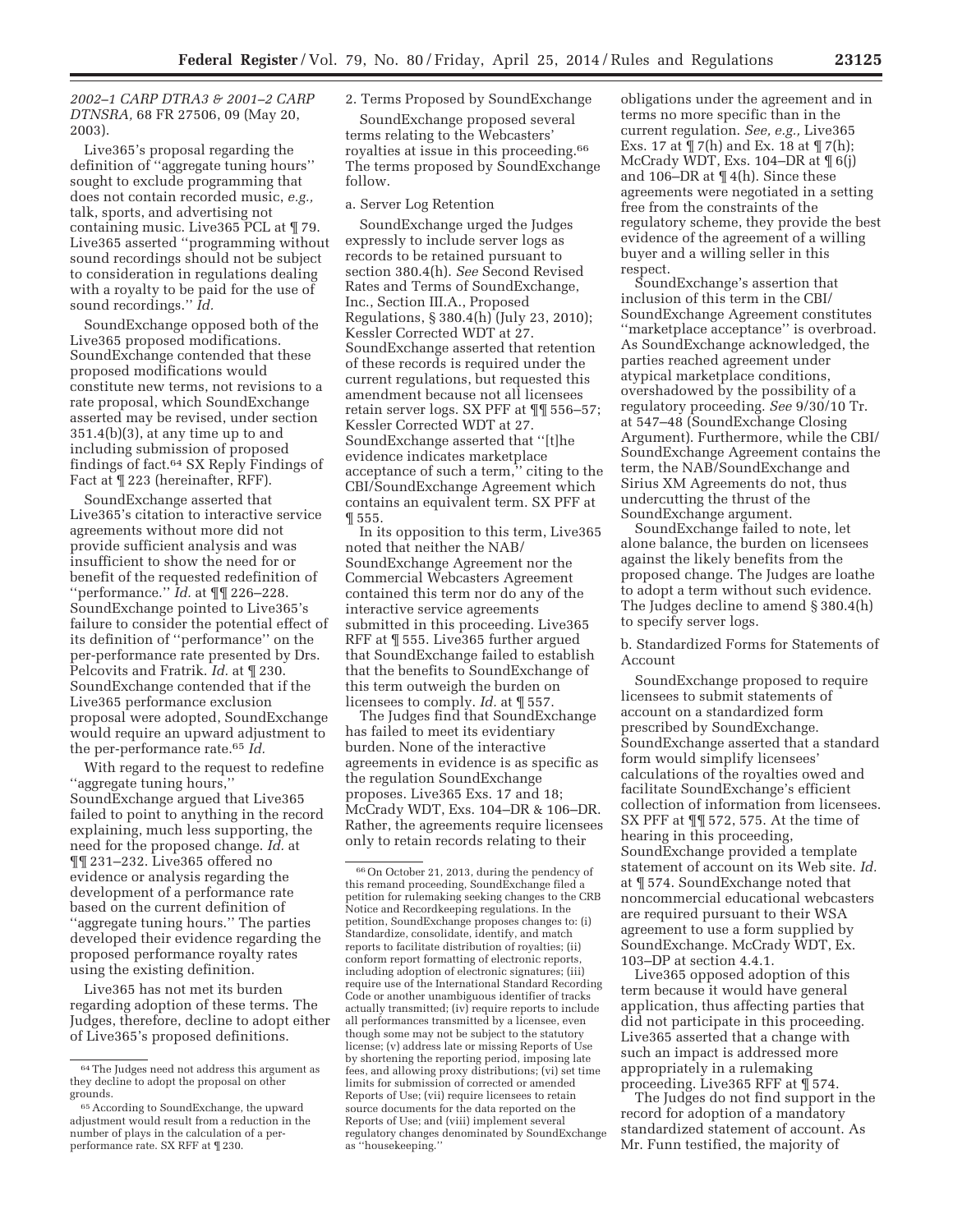*2002–1 CARP DTRA3 & 2001–2 CARP DTNSRA,* 68 FR 27506, 09 (May 20, 2003).

Live365's proposal regarding the definition of ''aggregate tuning hours'' sought to exclude programming that does not contain recorded music, *e.g.,*  talk, sports, and advertising not containing music. Live365 PCL at ¶ 79. Live365 asserted ''programming without sound recordings should not be subject to consideration in regulations dealing with a royalty to be paid for the use of sound recordings.'' *Id.* 

SoundExchange opposed both of the Live365 proposed modifications. SoundExchange contended that these proposed modifications would constitute new terms, not revisions to a rate proposal, which SoundExchange asserted may be revised, under section 351.4(b)(3), at any time up to and including submission of proposed findings of fact.64 SX Reply Findings of Fact at ¶ 223 (hereinafter, RFF).

SoundExchange asserted that Live365's citation to interactive service agreements without more did not provide sufficient analysis and was insufficient to show the need for or benefit of the requested redefinition of ''performance.'' *Id.* at ¶¶ 226–228. SoundExchange pointed to Live365's failure to consider the potential effect of its definition of ''performance'' on the per-performance rate presented by Drs. Pelcovits and Fratrik. *Id.* at ¶ 230. SoundExchange contended that if the Live365 performance exclusion proposal were adopted, SoundExchange would require an upward adjustment to the per-performance rate.65 *Id.* 

With regard to the request to redefine ''aggregate tuning hours,'' SoundExchange argued that Live365 failed to point to anything in the record explaining, much less supporting, the need for the proposed change. *Id.* at ¶¶ 231–232. Live365 offered no evidence or analysis regarding the development of a performance rate based on the current definition of ''aggregate tuning hours.'' The parties developed their evidence regarding the proposed performance royalty rates using the existing definition.

Live365 has not met its burden regarding adoption of these terms. The Judges, therefore, decline to adopt either of Live365's proposed definitions.

# 2. Terms Proposed by SoundExchange

SoundExchange proposed several terms relating to the Webcasters' royalties at issue in this proceeding.66 The terms proposed by SoundExchange follow.

#### a. Server Log Retention

SoundExchange urged the Judges expressly to include server logs as records to be retained pursuant to section 380.4(h). *See* Second Revised Rates and Terms of SoundExchange, Inc., Section III.A., Proposed Regulations, § 380.4(h) (July 23, 2010); Kessler Corrected WDT at 27. SoundExchange asserted that retention of these records is required under the current regulations, but requested this amendment because not all licensees retain server logs. SX PFF at ¶¶ 556–57; Kessler Corrected WDT at 27. SoundExchange asserted that ''[t]he evidence indicates marketplace acceptance of such a term,'' citing to the CBI/SoundExchange Agreement which contains an equivalent term. SX PFF at ¶ 555.

In its opposition to this term, Live365 noted that neither the NAB/ SoundExchange Agreement nor the Commercial Webcasters Agreement contained this term nor do any of the interactive service agreements submitted in this proceeding. Live365 RFF at ¶ 555. Live365 further argued that SoundExchange failed to establish that the benefits to SoundExchange of this term outweigh the burden on licensees to comply. *Id.* at ¶ 557.

The Judges find that SoundExchange has failed to meet its evidentiary burden. None of the interactive agreements in evidence is as specific as the regulation SoundExchange proposes. Live365 Exs. 17 and 18; McCrady WDT, Exs. 104–DR & 106–DR. Rather, the agreements require licensees only to retain records relating to their

obligations under the agreement and in terms no more specific than in the current regulation. *See, e.g.,* Live365 Exs. 17 at  $\P$  7(h) and Ex. 18 at  $\P$  7(h); McCrady WDT, Exs. 104–DR at ¶ 6(j) and 106–DR at ¶ 4(h). Since these agreements were negotiated in a setting free from the constraints of the regulatory scheme, they provide the best evidence of the agreement of a willing buyer and a willing seller in this respect.

SoundExchange's assertion that inclusion of this term in the CBI/ SoundExchange Agreement constitutes ''marketplace acceptance'' is overbroad. As SoundExchange acknowledged, the parties reached agreement under atypical marketplace conditions, overshadowed by the possibility of a regulatory proceeding. *See* 9/30/10 Tr. at 547–48 (SoundExchange Closing Argument). Furthermore, while the CBI/ SoundExchange Agreement contains the term, the NAB/SoundExchange and Sirius XM Agreements do not, thus undercutting the thrust of the SoundExchange argument.

SoundExchange failed to note, let alone balance, the burden on licensees against the likely benefits from the proposed change. The Judges are loathe to adopt a term without such evidence. The Judges decline to amend § 380.4(h) to specify server logs.

b. Standardized Forms for Statements of Account

SoundExchange proposed to require licensees to submit statements of account on a standardized form prescribed by SoundExchange. SoundExchange asserted that a standard form would simplify licensees' calculations of the royalties owed and facilitate SoundExchange's efficient collection of information from licensees. SX PFF at ¶¶ 572, 575. At the time of hearing in this proceeding, SoundExchange provided a template statement of account on its Web site. *Id.*  at ¶ 574. SoundExchange noted that noncommercial educational webcasters are required pursuant to their WSA agreement to use a form supplied by SoundExchange. McCrady WDT, Ex. 103–DP at section 4.4.1.

Live365 opposed adoption of this term because it would have general application, thus affecting parties that did not participate in this proceeding. Live365 asserted that a change with such an impact is addressed more appropriately in a rulemaking proceeding. Live365 RFF at ¶ 574.

The Judges do not find support in the record for adoption of a mandatory standardized statement of account. As Mr. Funn testified, the majority of

 $\ensuremath{^{64}}$  The Judges need not address this argument as they decline to adopt the proposal on other grounds.

<sup>65</sup>According to SoundExchange, the upward adjustment would result from a reduction in the number of plays in the calculation of a perperformance rate. SX RFF at ¶ 230.

<sup>66</sup>On October 21, 2013, during the pendency of this remand proceeding, SoundExchange filed a petition for rulemaking seeking changes to the CRB Notice and Recordkeeping regulations. In the petition, SoundExchange proposes changes to: (i) Standardize, consolidate, identify, and match reports to facilitate distribution of royalties; (ii) conform report formatting of electronic reports, including adoption of electronic signatures; (iii) require use of the International Standard Recording Code or another unambiguous identifier of tracks actually transmitted; (iv) require reports to include all performances transmitted by a licensee, even though some may not be subject to the statutory license; (v) address late or missing Reports of Use by shortening the reporting period, imposing late fees, and allowing proxy distributions; (vi) set time limits for submission of corrected or amended Reports of Use; (vii) require licensees to retain source documents for the data reported on the Reports of Use; and (viii) implement several regulatory changes denominated by SoundExchange as ''housekeeping.''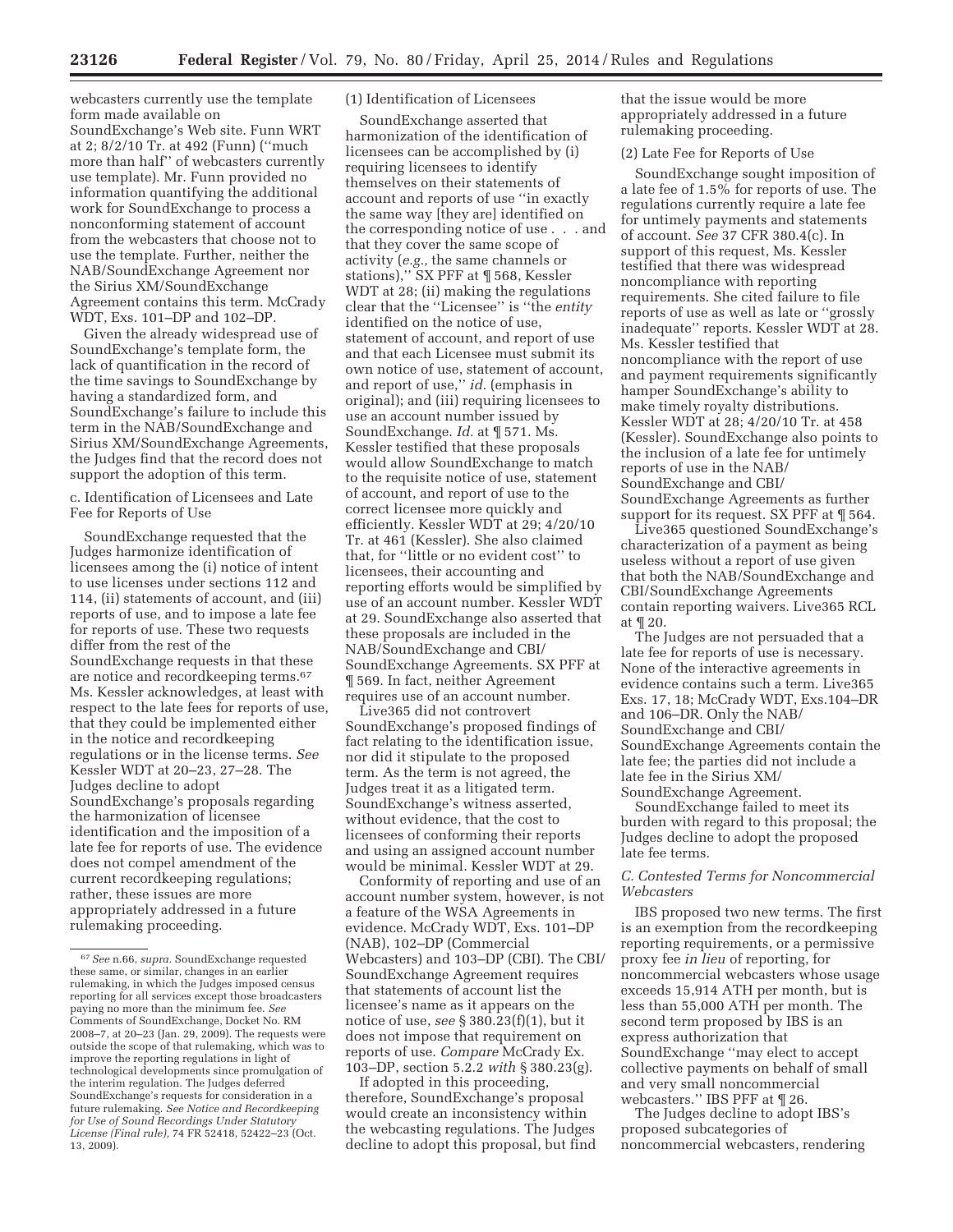webcasters currently use the template form made available on SoundExchange's Web site. Funn WRT

at 2; 8/2/10 Tr. at 492 (Funn) (''much more than half'' of webcasters currently use template). Mr. Funn provided no information quantifying the additional work for SoundExchange to process a nonconforming statement of account from the webcasters that choose not to use the template. Further, neither the NAB/SoundExchange Agreement nor the Sirius XM/SoundExchange Agreement contains this term. McCrady WDT, Exs. 101–DP and 102–DP.

Given the already widespread use of SoundExchange's template form, the lack of quantification in the record of the time savings to SoundExchange by having a standardized form, and SoundExchange's failure to include this term in the NAB/SoundExchange and Sirius XM/SoundExchange Agreements, the Judges find that the record does not support the adoption of this term.

c. Identification of Licensees and Late Fee for Reports of Use

SoundExchange requested that the Judges harmonize identification of licensees among the (i) notice of intent to use licenses under sections 112 and 114, (ii) statements of account, and (iii) reports of use, and to impose a late fee for reports of use. These two requests differ from the rest of the SoundExchange requests in that these are notice and recordkeeping terms.67 Ms. Kessler acknowledges, at least with respect to the late fees for reports of use, that they could be implemented either in the notice and recordkeeping regulations or in the license terms. *See*  Kessler WDT at 20–23, 27–28. The Judges decline to adopt SoundExchange's proposals regarding the harmonization of licensee identification and the imposition of a late fee for reports of use. The evidence does not compel amendment of the current recordkeeping regulations; rather, these issues are more appropriately addressed in a future rulemaking proceeding.

# (1) Identification of Licensees

SoundExchange asserted that harmonization of the identification of licensees can be accomplished by (i) requiring licensees to identify themselves on their statements of account and reports of use ''in exactly the same way [they are] identified on the corresponding notice of use . . . and that they cover the same scope of activity (*e.g.,* the same channels or stations),'' SX PFF at ¶ 568, Kessler WDT at 28; (ii) making the regulations clear that the ''Licensee'' is ''the *entity*  identified on the notice of use, statement of account, and report of use and that each Licensee must submit its own notice of use, statement of account, and report of use,'' *id.* (emphasis in original); and (iii) requiring licensees to use an account number issued by SoundExchange. *Id.* at ¶ 571. Ms. Kessler testified that these proposals would allow SoundExchange to match to the requisite notice of use, statement of account, and report of use to the correct licensee more quickly and efficiently. Kessler WDT at 29; 4/20/10 Tr. at 461 (Kessler). She also claimed that, for ''little or no evident cost'' to licensees, their accounting and reporting efforts would be simplified by use of an account number. Kessler WDT at 29. SoundExchange also asserted that these proposals are included in the NAB/SoundExchange and CBI/ SoundExchange Agreements. SX PFF at ¶ 569. In fact, neither Agreement requires use of an account number.

Live365 did not controvert SoundExchange's proposed findings of fact relating to the identification issue, nor did it stipulate to the proposed term. As the term is not agreed, the Judges treat it as a litigated term. SoundExchange's witness asserted, without evidence, that the cost to licensees of conforming their reports and using an assigned account number would be minimal. Kessler WDT at 29.

Conformity of reporting and use of an account number system, however, is not a feature of the WSA Agreements in evidence. McCrady WDT, Exs. 101–DP (NAB), 102–DP (Commercial Webcasters) and 103–DP (CBI). The CBI/ SoundExchange Agreement requires that statements of account list the licensee's name as it appears on the notice of use, *see* § 380.23(f)(1), but it does not impose that requirement on reports of use. *Compare* McCrady Ex. 103–DP, section 5.2.2 *with* § 380.23(g).

If adopted in this proceeding, therefore, SoundExchange's proposal would create an inconsistency within the webcasting regulations. The Judges decline to adopt this proposal, but find that the issue would be more appropriately addressed in a future rulemaking proceeding.

(2) Late Fee for Reports of Use

SoundExchange sought imposition of a late fee of 1.5% for reports of use. The regulations currently require a late fee for untimely payments and statements of account. *See* 37 CFR 380.4(c). In support of this request, Ms. Kessler testified that there was widespread noncompliance with reporting requirements. She cited failure to file reports of use as well as late or ''grossly inadequate'' reports. Kessler WDT at 28. Ms. Kessler testified that noncompliance with the report of use and payment requirements significantly hamper SoundExchange's ability to make timely royalty distributions. Kessler WDT at 28; 4/20/10 Tr. at 458 (Kessler). SoundExchange also points to the inclusion of a late fee for untimely reports of use in the NAB/ SoundExchange and CBI/ SoundExchange Agreements as further support for its request. SX PFF at ¶ 564.

Live365 questioned SoundExchange's characterization of a payment as being useless without a report of use given that both the NAB/SoundExchange and CBI/SoundExchange Agreements contain reporting waivers. Live365 RCL at ¶ 20.

The Judges are not persuaded that a late fee for reports of use is necessary. None of the interactive agreements in evidence contains such a term. Live365 Exs. 17, 18; McCrady WDT, Exs.104–DR and 106–DR. Only the NAB/ SoundExchange and CBI/ SoundExchange Agreements contain the late fee; the parties did not include a late fee in the Sirius XM/ SoundExchange Agreement.

SoundExchange failed to meet its burden with regard to this proposal; the Judges decline to adopt the proposed late fee terms.

# *C. Contested Terms for Noncommercial Webcasters*

IBS proposed two new terms. The first is an exemption from the recordkeeping reporting requirements, or a permissive proxy fee *in lieu* of reporting, for noncommercial webcasters whose usage exceeds 15,914 ATH per month, but is less than 55,000 ATH per month. The second term proposed by IBS is an express authorization that SoundExchange ''may elect to accept collective payments on behalf of small and very small noncommercial webcasters.'' IBS PFF at ¶ 26.

The Judges decline to adopt IBS's proposed subcategories of noncommercial webcasters, rendering

<sup>67</sup>*See* n.66, *supra.* SoundExchange requested these same, or similar, changes in an earlier rulemaking, in which the Judges imposed census reporting for all services except those broadcasters paying no more than the minimum fee. *See*  Comments of SoundExchange, Docket No. RM 2008–7, at 20–23 (Jan. 29, 2009). The requests were outside the scope of that rulemaking, which was to improve the reporting regulations in light of technological developments since promulgation of the interim regulation. The Judges deferred SoundExchange's requests for consideration in a future rulemaking. *See Notice and Recordkeeping for Use of Sound Recordings Under Statutory License (Final rule),* 74 FR 52418, 52422–23 (Oct. 13, 2009).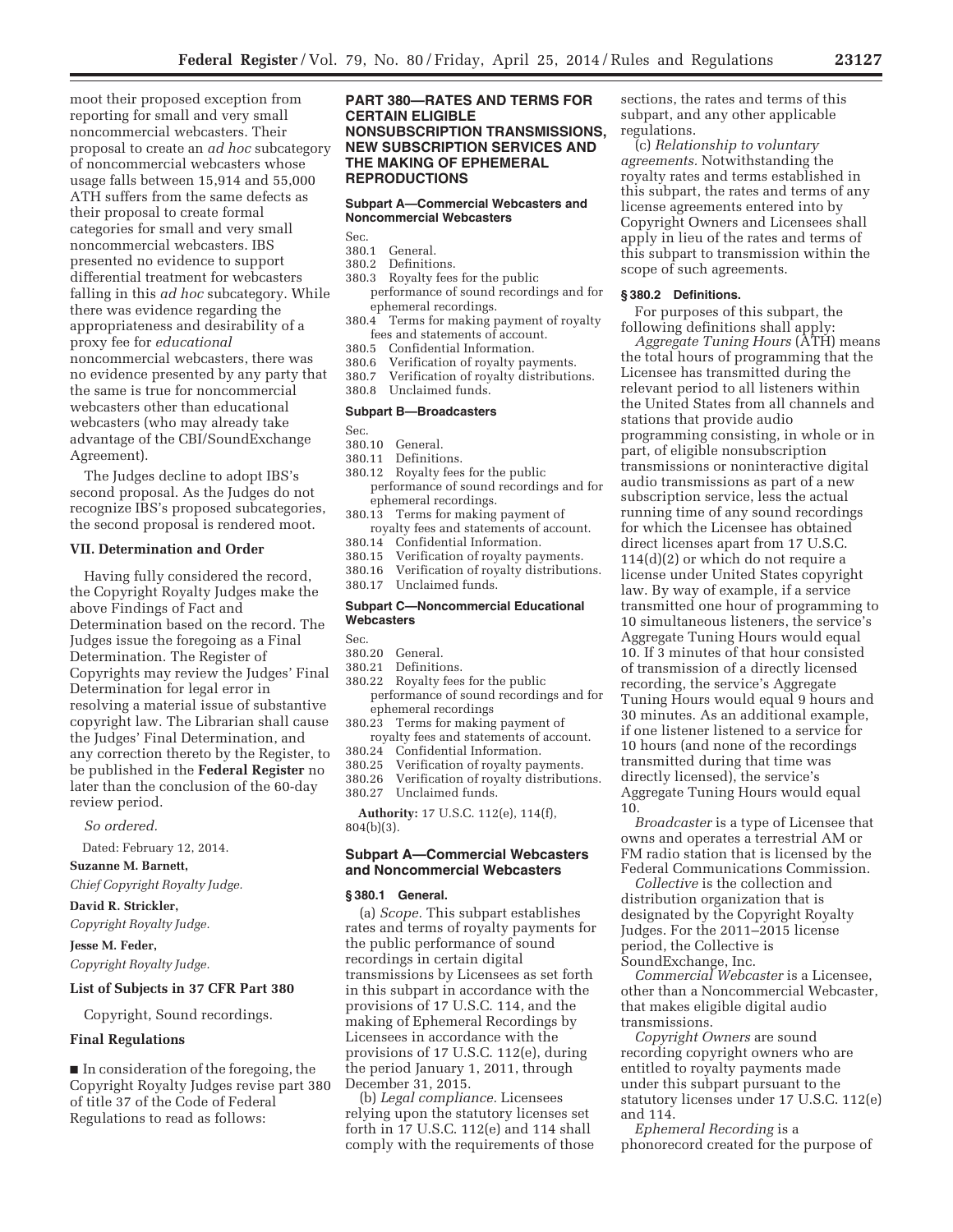moot their proposed exception from reporting for small and very small noncommercial webcasters. Their proposal to create an *ad hoc* subcategory of noncommercial webcasters whose usage falls between 15,914 and 55,000 ATH suffers from the same defects as their proposal to create formal categories for small and very small noncommercial webcasters. IBS presented no evidence to support differential treatment for webcasters falling in this *ad hoc* subcategory. While there was evidence regarding the appropriateness and desirability of a proxy fee for *educational*  noncommercial webcasters, there was no evidence presented by any party that the same is true for noncommercial webcasters other than educational webcasters (who may already take advantage of the CBI/SoundExchange Agreement).

The Judges decline to adopt IBS's second proposal. As the Judges do not recognize IBS's proposed subcategories, the second proposal is rendered moot.

#### **VII. Determination and Order**

Having fully considered the record, the Copyright Royalty Judges make the above Findings of Fact and Determination based on the record. The Judges issue the foregoing as a Final Determination. The Register of Copyrights may review the Judges' Final Determination for legal error in resolving a material issue of substantive copyright law. The Librarian shall cause the Judges' Final Determination, and any correction thereto by the Register, to be published in the **Federal Register** no later than the conclusion of the 60-day review period.

#### *So ordered.*

Dated: February 12, 2014.

**Suzanne M. Barnett,** 

*Chief Copyright Royalty Judge.* 

# **David R. Strickler,**

*Copyright Royalty Judge.* 

# **Jesse M. Feder,**

*Copyright Royalty Judge.* 

#### **List of Subjects in 37 CFR Part 380**

Copyright, Sound recordings.

#### **Final Regulations**

■ In consideration of the foregoing, the Copyright Royalty Judges revise part 380 of title 37 of the Code of Federal Regulations to read as follows:

# **PART 380—RATES AND TERMS FOR CERTAIN ELIGIBLE NONSUBSCRIPTION TRANSMISSIONS, NEW SUBSCRIPTION SERVICES AND THE MAKING OF EPHEMERAL REPRODUCTIONS**

# **Subpart A—Commercial Webcasters and Noncommercial Webcasters**

Sec.

#### 380.1 General. 380.2 Definitions.

- 
- 380.3 Royalty fees for the public performance of sound recordings and for ephemeral recordings.
- 380.4 Terms for making payment of royalty fees and statements of account.<br>380.5 Confidential Information.
- 380.5 Confidential Information.
- Verification of royalty payments.
- 380.7 Verification of royalty distributions.
- 380.8 Unclaimed funds.

# **Subpart B—Broadcasters**

Sec.

# 380.10 General.

Definitions.

- 380.12 Royalty fees for the public performance of sound recordings and for ephemeral recordings.
- 380.13 Terms for making payment of royalty fees and statements of account.
- 380.14 Confidential Information.
- 380.15 Verification of royalty payments.
- Verification of royalty distributions.
- 380.17 Unclaimed funds.

## **Subpart C—Noncommercial Educational Webcasters**

Sec.

# 380.20 General.<br>380.21 Definitio

- 380.21 Definitions.<br>380.22 Royalty fees
- Royalty fees for the public performance of sound recordings and for ephemeral recordings
- 380.23 Terms for making payment of royalty fees and statements of account.<br>380.24 Confidential Information.
- 380.24 Confidential Information.<br>380.25 Verification of royalty pay
- 380.25 Verification of royalty payments.<br>380.26 Verification of royalty distributio
- 380.26 Verification of royalty distributions.
- Unclaimed funds.

**Authority:** 17 U.S.C. 112(e), 114(f), 804(b)(3).

# **Subpart A—Commercial Webcasters and Noncommercial Webcasters**

# **§ 380.1 General.**

(a) *Scope.* This subpart establishes rates and terms of royalty payments for the public performance of sound recordings in certain digital transmissions by Licensees as set forth in this subpart in accordance with the provisions of 17 U.S.C. 114, and the making of Ephemeral Recordings by Licensees in accordance with the provisions of 17 U.S.C. 112(e), during the period January 1, 2011, through December 31, 2015.

(b) *Legal compliance.* Licensees relying upon the statutory licenses set forth in 17 U.S.C. 112(e) and 114 shall comply with the requirements of those

sections, the rates and terms of this subpart, and any other applicable regulations.

(c) *Relationship to voluntary agreements.* Notwithstanding the royalty rates and terms established in this subpart, the rates and terms of any license agreements entered into by Copyright Owners and Licensees shall apply in lieu of the rates and terms of this subpart to transmission within the scope of such agreements.

#### **§ 380.2 Definitions.**

For purposes of this subpart, the following definitions shall apply:

*Aggregate Tuning Hours* (ATH) means the total hours of programming that the Licensee has transmitted during the relevant period to all listeners within the United States from all channels and stations that provide audio programming consisting, in whole or in part, of eligible nonsubscription transmissions or noninteractive digital audio transmissions as part of a new subscription service, less the actual running time of any sound recordings for which the Licensee has obtained direct licenses apart from 17 U.S.C. 114(d)(2) or which do not require a license under United States copyright law. By way of example, if a service transmitted one hour of programming to 10 simultaneous listeners, the service's Aggregate Tuning Hours would equal 10. If 3 minutes of that hour consisted of transmission of a directly licensed recording, the service's Aggregate Tuning Hours would equal 9 hours and 30 minutes. As an additional example, if one listener listened to a service for 10 hours (and none of the recordings transmitted during that time was directly licensed), the service's Aggregate Tuning Hours would equal 10.

*Broadcaster* is a type of Licensee that owns and operates a terrestrial AM or FM radio station that is licensed by the Federal Communications Commission.

*Collective* is the collection and distribution organization that is designated by the Copyright Royalty Judges. For the 2011–2015 license period, the Collective is SoundExchange, Inc.

*Commercial Webcaster* is a Licensee, other than a Noncommercial Webcaster, that makes eligible digital audio transmissions.

*Copyright Owners* are sound recording copyright owners who are entitled to royalty payments made under this subpart pursuant to the statutory licenses under 17 U.S.C. 112(e) and 114.

*Ephemeral Recording* is a phonorecord created for the purpose of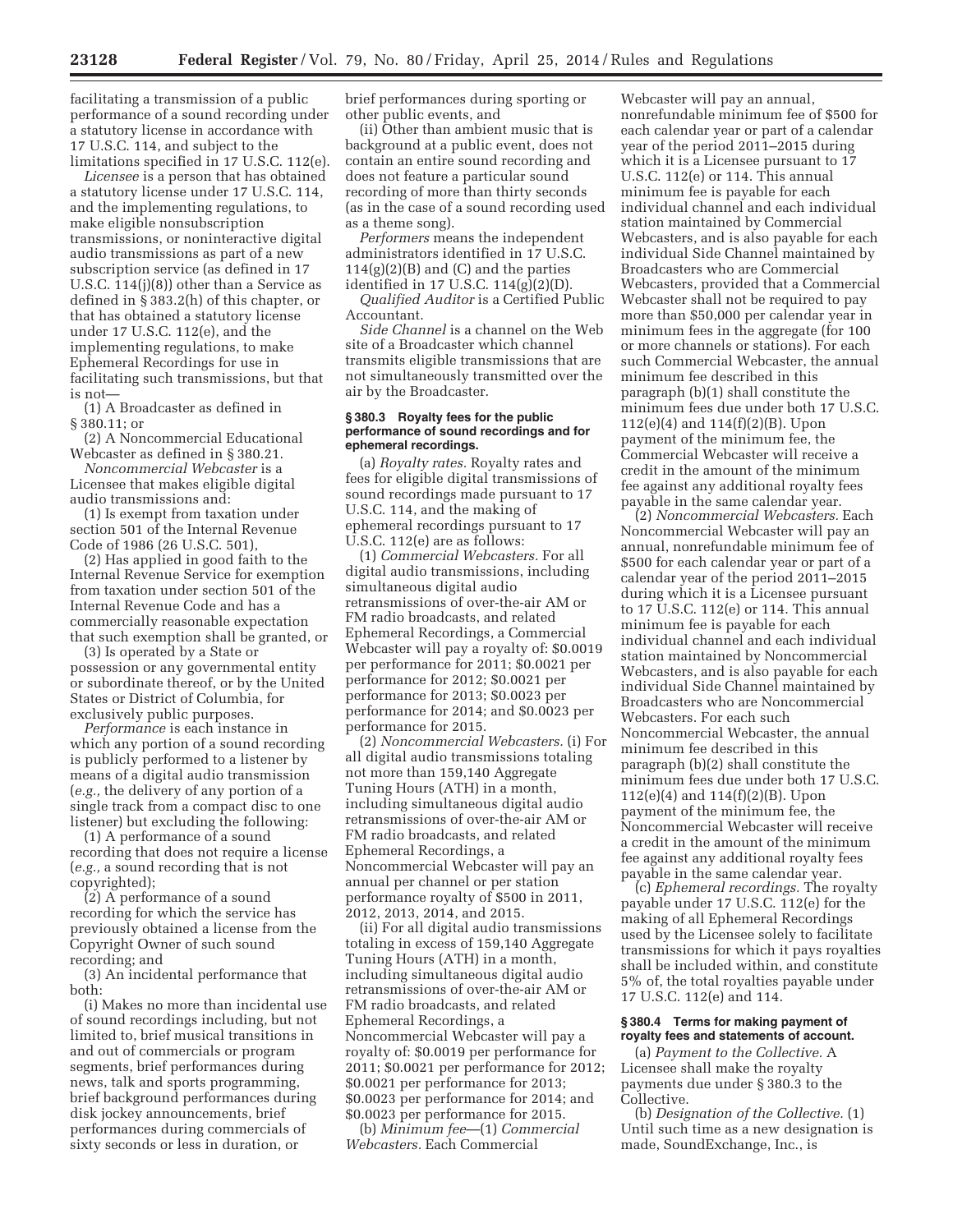facilitating a transmission of a public performance of a sound recording under a statutory license in accordance with 17 U.S.C. 114, and subject to the limitations specified in 17 U.S.C. 112(e).

*Licensee* is a person that has obtained a statutory license under 17 U.S.C. 114, and the implementing regulations, to make eligible nonsubscription transmissions, or noninteractive digital audio transmissions as part of a new subscription service (as defined in 17 U.S.C. 114(j)(8)) other than a Service as defined in § 383.2(h) of this chapter, or that has obtained a statutory license under 17 U.S.C. 112(e), and the implementing regulations, to make Ephemeral Recordings for use in facilitating such transmissions, but that is not—

(1) A Broadcaster as defined in § 380.11; or

(2) A Noncommercial Educational Webcaster as defined in § 380.21.

*Noncommercial Webcaster* is a Licensee that makes eligible digital audio transmissions and:

(1) Is exempt from taxation under section 501 of the Internal Revenue Code of 1986 (26 U.S.C. 501),

(2) Has applied in good faith to the Internal Revenue Service for exemption from taxation under section 501 of the Internal Revenue Code and has a commercially reasonable expectation that such exemption shall be granted, or

(3) Is operated by a State or possession or any governmental entity or subordinate thereof, or by the United States or District of Columbia, for exclusively public purposes.

*Performance* is each instance in which any portion of a sound recording is publicly performed to a listener by means of a digital audio transmission (*e.g.,* the delivery of any portion of a single track from a compact disc to one listener) but excluding the following:

(1) A performance of a sound recording that does not require a license (*e.g.,* a sound recording that is not copyrighted);

(2) A performance of a sound recording for which the service has previously obtained a license from the Copyright Owner of such sound recording; and

(3) An incidental performance that both:

(i) Makes no more than incidental use of sound recordings including, but not limited to, brief musical transitions in and out of commercials or program segments, brief performances during news, talk and sports programming, brief background performances during disk jockey announcements, brief performances during commercials of sixty seconds or less in duration, or

brief performances during sporting or other public events, and

(ii) Other than ambient music that is background at a public event, does not contain an entire sound recording and does not feature a particular sound recording of more than thirty seconds (as in the case of a sound recording used as a theme song).

*Performers* means the independent administrators identified in 17 U.S.C.  $114(g)(2)(B)$  and (C) and the parties identified in 17 U.S.C. 114(g)(2)(D).

*Qualified Auditor* is a Certified Public Accountant.

*Side Channel* is a channel on the Web site of a Broadcaster which channel transmits eligible transmissions that are not simultaneously transmitted over the air by the Broadcaster.

#### **§ 380.3 Royalty fees for the public performance of sound recordings and for ephemeral recordings.**

(a) *Royalty rates.* Royalty rates and fees for eligible digital transmissions of sound recordings made pursuant to 17 U.S.C. 114, and the making of ephemeral recordings pursuant to 17 U.S.C. 112(e) are as follows:

(1) *Commercial Webcasters.* For all digital audio transmissions, including simultaneous digital audio retransmissions of over-the-air AM or FM radio broadcasts, and related Ephemeral Recordings, a Commercial Webcaster will pay a royalty of: \$0.0019 per performance for 2011; \$0.0021 per performance for 2012; \$0.0021 per performance for 2013; \$0.0023 per performance for 2014; and \$0.0023 per performance for 2015.

(2) *Noncommercial Webcasters.* (i) For all digital audio transmissions totaling not more than 159,140 Aggregate Tuning Hours (ATH) in a month, including simultaneous digital audio retransmissions of over-the-air AM or FM radio broadcasts, and related Ephemeral Recordings, a Noncommercial Webcaster will pay an annual per channel or per station performance royalty of \$500 in 2011, 2012, 2013, 2014, and 2015.

(ii) For all digital audio transmissions totaling in excess of 159,140 Aggregate Tuning Hours (ATH) in a month, including simultaneous digital audio retransmissions of over-the-air AM or FM radio broadcasts, and related Ephemeral Recordings, a Noncommercial Webcaster will pay a royalty of: \$0.0019 per performance for 2011; \$0.0021 per performance for 2012; \$0.0021 per performance for 2013; \$0.0023 per performance for 2014; and \$0.0023 per performance for 2015.

(b) *Minimum fee*—(1) *Commercial Webcasters.* Each Commercial

Webcaster will pay an annual, nonrefundable minimum fee of \$500 for each calendar year or part of a calendar year of the period 2011–2015 during which it is a Licensee pursuant to 17 U.S.C. 112(e) or 114. This annual minimum fee is payable for each individual channel and each individual station maintained by Commercial Webcasters, and is also payable for each individual Side Channel maintained by Broadcasters who are Commercial Webcasters, provided that a Commercial Webcaster shall not be required to pay more than \$50,000 per calendar year in minimum fees in the aggregate (for 100 or more channels or stations). For each such Commercial Webcaster, the annual minimum fee described in this paragraph (b)(1) shall constitute the minimum fees due under both 17 U.S.C. 112(e)(4) and 114(f)(2)(B). Upon payment of the minimum fee, the Commercial Webcaster will receive a credit in the amount of the minimum fee against any additional royalty fees payable in the same calendar year.

(2) *Noncommercial Webcasters.* Each Noncommercial Webcaster will pay an annual, nonrefundable minimum fee of \$500 for each calendar year or part of a calendar year of the period 2011–2015 during which it is a Licensee pursuant to 17 U.S.C. 112(e) or 114. This annual minimum fee is payable for each individual channel and each individual station maintained by Noncommercial Webcasters, and is also payable for each individual Side Channel maintained by Broadcasters who are Noncommercial Webcasters. For each such Noncommercial Webcaster, the annual minimum fee described in this paragraph (b)(2) shall constitute the minimum fees due under both 17 U.S.C. 112(e)(4) and 114(f)(2)(B). Upon payment of the minimum fee, the Noncommercial Webcaster will receive a credit in the amount of the minimum fee against any additional royalty fees payable in the same calendar year.

(c) *Ephemeral recordings.* The royalty payable under 17 U.S.C. 112(e) for the making of all Ephemeral Recordings used by the Licensee solely to facilitate transmissions for which it pays royalties shall be included within, and constitute 5% of, the total royalties payable under 17 U.S.C. 112(e) and 114.

#### **§ 380.4 Terms for making payment of royalty fees and statements of account.**

(a) *Payment to the Collective.* A Licensee shall make the royalty payments due under § 380.3 to the Collective.

(b) *Designation of the Collective.* (1) Until such time as a new designation is made, SoundExchange, Inc., is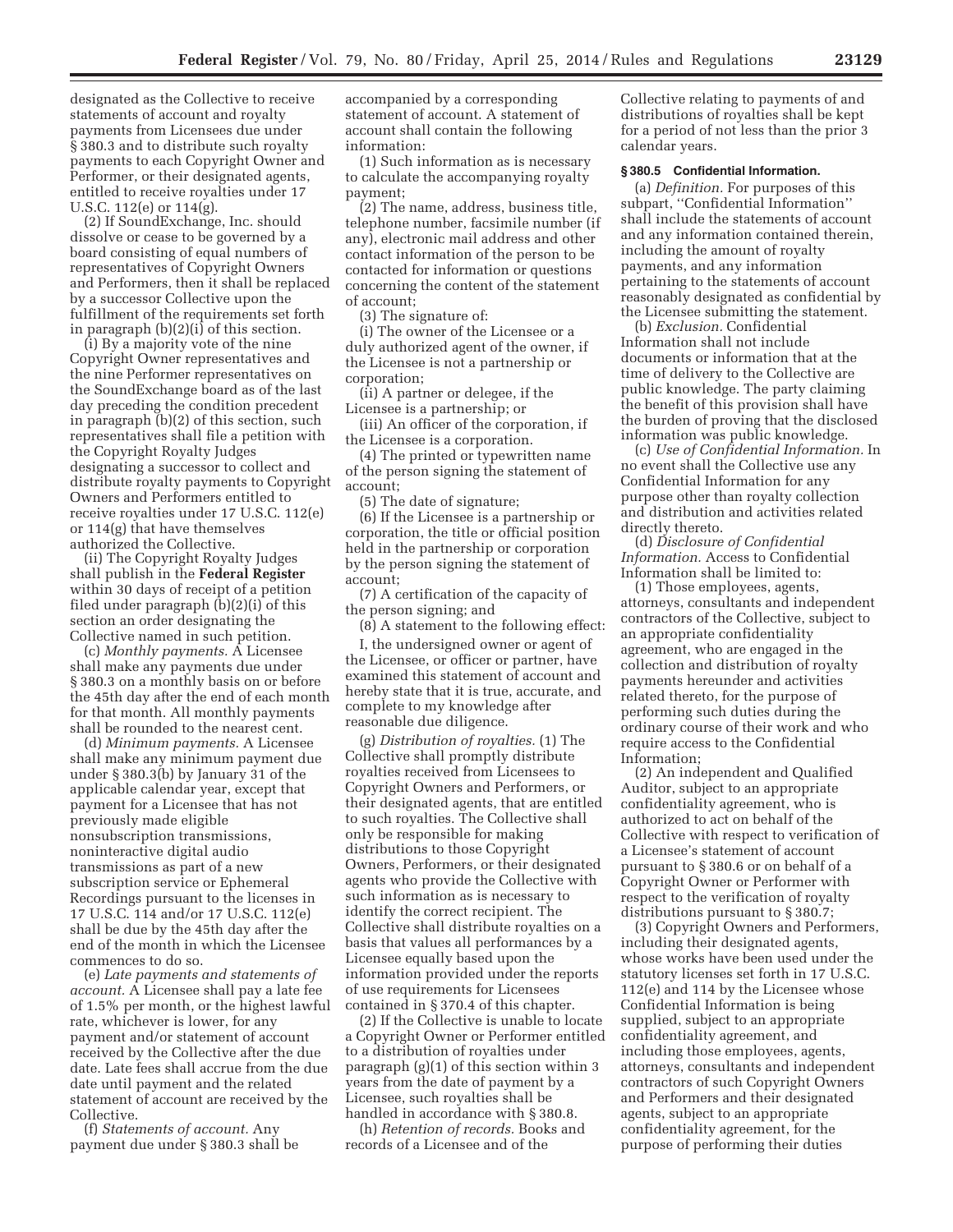designated as the Collective to receive statements of account and royalty payments from Licensees due under § 380.3 and to distribute such royalty payments to each Copyright Owner and Performer, or their designated agents, entitled to receive royalties under 17 U.S.C. 112(e) or 114(g).

(2) If SoundExchange, Inc. should dissolve or cease to be governed by a board consisting of equal numbers of representatives of Copyright Owners and Performers, then it shall be replaced by a successor Collective upon the fulfillment of the requirements set forth in paragraph (b)(2)(i) of this section.

(i) By a majority vote of the nine Copyright Owner representatives and the nine Performer representatives on the SoundExchange board as of the last day preceding the condition precedent in paragraph (b)(2) of this section, such representatives shall file a petition with the Copyright Royalty Judges designating a successor to collect and distribute royalty payments to Copyright Owners and Performers entitled to receive royalties under 17 U.S.C. 112(e) or 114(g) that have themselves authorized the Collective.

(ii) The Copyright Royalty Judges shall publish in the **Federal Register**  within 30 days of receipt of a petition filed under paragraph (b)(2)(i) of this section an order designating the Collective named in such petition.

(c) *Monthly payments.* A Licensee shall make any payments due under § 380.3 on a monthly basis on or before the 45th day after the end of each month for that month. All monthly payments shall be rounded to the nearest cent.

(d) *Minimum payments.* A Licensee shall make any minimum payment due under § 380.3(b) by January 31 of the applicable calendar year, except that payment for a Licensee that has not previously made eligible nonsubscription transmissions, noninteractive digital audio transmissions as part of a new subscription service or Ephemeral Recordings pursuant to the licenses in 17 U.S.C. 114 and/or 17 U.S.C. 112(e) shall be due by the 45th day after the end of the month in which the Licensee commences to do so.

(e) *Late payments and statements of account.* A Licensee shall pay a late fee of 1.5% per month, or the highest lawful rate, whichever is lower, for any payment and/or statement of account received by the Collective after the due date. Late fees shall accrue from the due date until payment and the related statement of account are received by the Collective.

(f) *Statements of account.* Any payment due under § 380.3 shall be accompanied by a corresponding statement of account. A statement of account shall contain the following information:

(1) Such information as is necessary to calculate the accompanying royalty payment;

(2) The name, address, business title, telephone number, facsimile number (if any), electronic mail address and other contact information of the person to be contacted for information or questions concerning the content of the statement of account;

(3) The signature of:

(i) The owner of the Licensee or a duly authorized agent of the owner, if the Licensee is not a partnership or corporation;

(ii) A partner or delegee, if the Licensee is a partnership; or

(iii) An officer of the corporation, if the Licensee is a corporation.

(4) The printed or typewritten name of the person signing the statement of account;

(5) The date of signature;

(6) If the Licensee is a partnership or corporation, the title or official position held in the partnership or corporation by the person signing the statement of account;

(7) A certification of the capacity of the person signing; and

(8) A statement to the following effect:

I, the undersigned owner or agent of the Licensee, or officer or partner, have examined this statement of account and hereby state that it is true, accurate, and complete to my knowledge after reasonable due diligence.

(g) *Distribution of royalties.* (1) The Collective shall promptly distribute royalties received from Licensees to Copyright Owners and Performers, or their designated agents, that are entitled to such royalties. The Collective shall only be responsible for making distributions to those Copyright Owners, Performers, or their designated agents who provide the Collective with such information as is necessary to identify the correct recipient. The Collective shall distribute royalties on a basis that values all performances by a Licensee equally based upon the information provided under the reports of use requirements for Licensees contained in § 370.4 of this chapter.

(2) If the Collective is unable to locate a Copyright Owner or Performer entitled to a distribution of royalties under paragraph (g)(1) of this section within 3 years from the date of payment by a Licensee, such royalties shall be handled in accordance with § 380.8.

(h) *Retention of records.* Books and records of a Licensee and of the

Collective relating to payments of and distributions of royalties shall be kept for a period of not less than the prior 3 calendar years.

#### **§ 380.5 Confidential Information.**

(a) *Definition.* For purposes of this subpart, ''Confidential Information'' shall include the statements of account and any information contained therein, including the amount of royalty payments, and any information pertaining to the statements of account reasonably designated as confidential by the Licensee submitting the statement.

(b) *Exclusion.* Confidential Information shall not include documents or information that at the time of delivery to the Collective are public knowledge. The party claiming the benefit of this provision shall have the burden of proving that the disclosed information was public knowledge.

(c) *Use of Confidential Information.* In no event shall the Collective use any Confidential Information for any purpose other than royalty collection and distribution and activities related directly thereto.

(d) *Disclosure of Confidential Information.* Access to Confidential Information shall be limited to:

(1) Those employees, agents, attorneys, consultants and independent contractors of the Collective, subject to an appropriate confidentiality agreement, who are engaged in the collection and distribution of royalty payments hereunder and activities related thereto, for the purpose of performing such duties during the ordinary course of their work and who require access to the Confidential Information;

(2) An independent and Qualified Auditor, subject to an appropriate confidentiality agreement, who is authorized to act on behalf of the Collective with respect to verification of a Licensee's statement of account pursuant to § 380.6 or on behalf of a Copyright Owner or Performer with respect to the verification of royalty distributions pursuant to § 380.7;

(3) Copyright Owners and Performers, including their designated agents, whose works have been used under the statutory licenses set forth in 17 U.S.C. 112(e) and 114 by the Licensee whose Confidential Information is being supplied, subject to an appropriate confidentiality agreement, and including those employees, agents, attorneys, consultants and independent contractors of such Copyright Owners and Performers and their designated agents, subject to an appropriate confidentiality agreement, for the purpose of performing their duties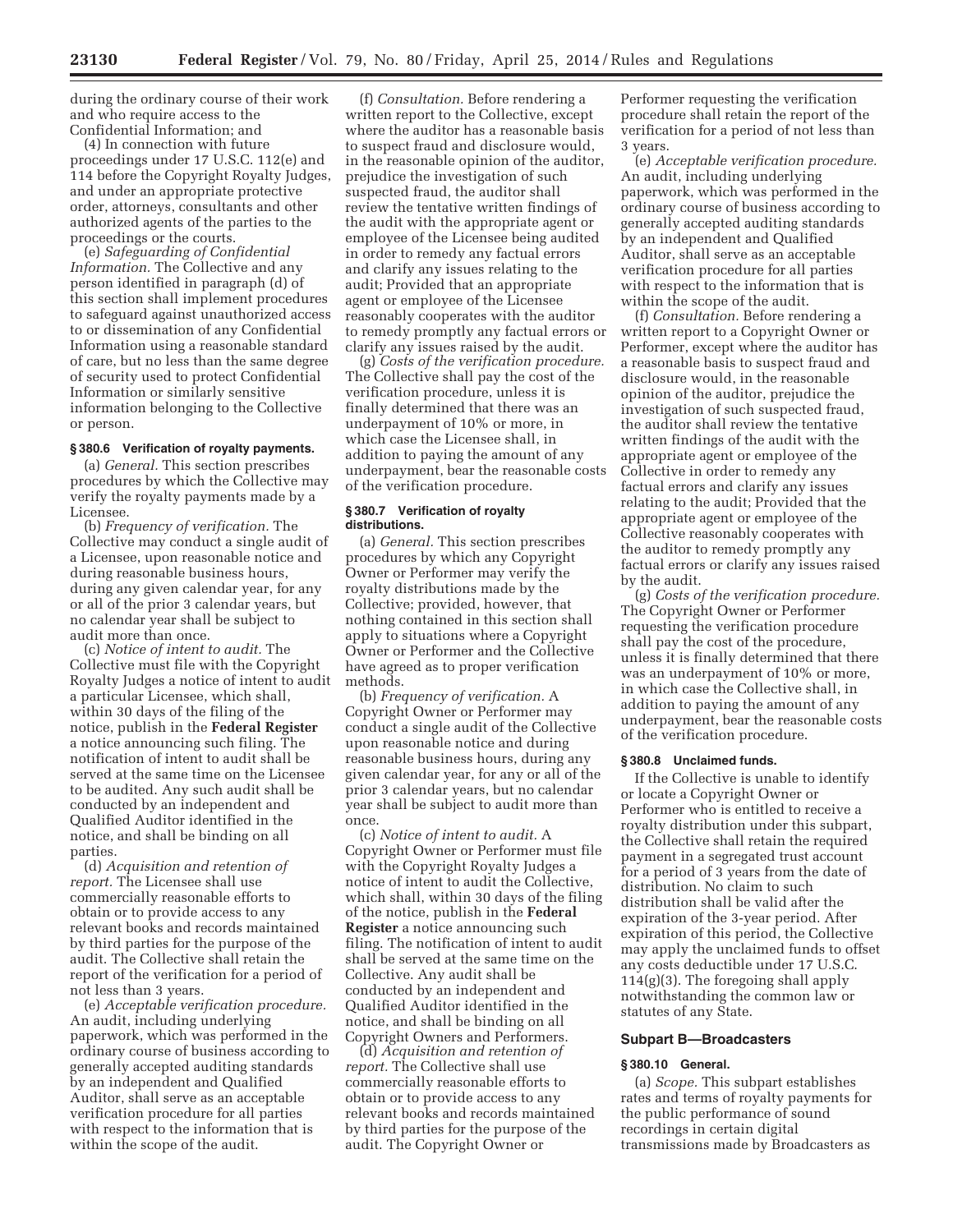during the ordinary course of their work and who require access to the Confidential Information; and

(4) In connection with future proceedings under 17 U.S.C. 112(e) and 114 before the Copyright Royalty Judges, and under an appropriate protective order, attorneys, consultants and other authorized agents of the parties to the proceedings or the courts.

(e) *Safeguarding of Confidential Information.* The Collective and any person identified in paragraph (d) of this section shall implement procedures to safeguard against unauthorized access to or dissemination of any Confidential Information using a reasonable standard of care, but no less than the same degree of security used to protect Confidential Information or similarly sensitive information belonging to the Collective or person.

# **§ 380.6 Verification of royalty payments.**

(a) *General.* This section prescribes procedures by which the Collective may verify the royalty payments made by a Licensee.

(b) *Frequency of verification.* The Collective may conduct a single audit of a Licensee, upon reasonable notice and during reasonable business hours, during any given calendar year, for any or all of the prior 3 calendar years, but no calendar year shall be subject to audit more than once.

(c) *Notice of intent to audit.* The Collective must file with the Copyright Royalty Judges a notice of intent to audit a particular Licensee, which shall, within 30 days of the filing of the notice, publish in the **Federal Register**  a notice announcing such filing. The notification of intent to audit shall be served at the same time on the Licensee to be audited. Any such audit shall be conducted by an independent and Qualified Auditor identified in the notice, and shall be binding on all parties.

(d) *Acquisition and retention of report.* The Licensee shall use commercially reasonable efforts to obtain or to provide access to any relevant books and records maintained by third parties for the purpose of the audit. The Collective shall retain the report of the verification for a period of not less than 3 years.

(e) *Acceptable verification procedure.*  An audit, including underlying paperwork, which was performed in the ordinary course of business according to generally accepted auditing standards by an independent and Qualified Auditor, shall serve as an acceptable verification procedure for all parties with respect to the information that is within the scope of the audit.

(f) *Consultation.* Before rendering a written report to the Collective, except where the auditor has a reasonable basis to suspect fraud and disclosure would, in the reasonable opinion of the auditor, prejudice the investigation of such suspected fraud, the auditor shall review the tentative written findings of the audit with the appropriate agent or employee of the Licensee being audited in order to remedy any factual errors and clarify any issues relating to the audit; Provided that an appropriate agent or employee of the Licensee reasonably cooperates with the auditor to remedy promptly any factual errors or clarify any issues raised by the audit.

(g) *Costs of the verification procedure.*  The Collective shall pay the cost of the verification procedure, unless it is finally determined that there was an underpayment of 10% or more, in which case the Licensee shall, in addition to paying the amount of any underpayment, bear the reasonable costs of the verification procedure.

#### **§ 380.7 Verification of royalty distributions.**

(a) *General.* This section prescribes procedures by which any Copyright Owner or Performer may verify the royalty distributions made by the Collective; provided, however, that nothing contained in this section shall apply to situations where a Copyright Owner or Performer and the Collective have agreed as to proper verification methods.

(b) *Frequency of verification.* A Copyright Owner or Performer may conduct a single audit of the Collective upon reasonable notice and during reasonable business hours, during any given calendar year, for any or all of the prior 3 calendar years, but no calendar year shall be subject to audit more than once.

(c) *Notice of intent to audit.* A Copyright Owner or Performer must file with the Copyright Royalty Judges a notice of intent to audit the Collective, which shall, within 30 days of the filing of the notice, publish in the **Federal Register** a notice announcing such filing. The notification of intent to audit shall be served at the same time on the Collective. Any audit shall be conducted by an independent and Qualified Auditor identified in the notice, and shall be binding on all Copyright Owners and Performers.

(d) *Acquisition and retention of report.* The Collective shall use commercially reasonable efforts to obtain or to provide access to any relevant books and records maintained by third parties for the purpose of the audit. The Copyright Owner or

Performer requesting the verification procedure shall retain the report of the verification for a period of not less than 3 years.

(e) *Acceptable verification procedure.*  An audit, including underlying paperwork, which was performed in the ordinary course of business according to generally accepted auditing standards by an independent and Qualified Auditor, shall serve as an acceptable verification procedure for all parties with respect to the information that is within the scope of the audit.

(f) *Consultation.* Before rendering a written report to a Copyright Owner or Performer, except where the auditor has a reasonable basis to suspect fraud and disclosure would, in the reasonable opinion of the auditor, prejudice the investigation of such suspected fraud, the auditor shall review the tentative written findings of the audit with the appropriate agent or employee of the Collective in order to remedy any factual errors and clarify any issues relating to the audit; Provided that the appropriate agent or employee of the Collective reasonably cooperates with the auditor to remedy promptly any factual errors or clarify any issues raised by the audit.

(g) *Costs of the verification procedure.*  The Copyright Owner or Performer requesting the verification procedure shall pay the cost of the procedure, unless it is finally determined that there was an underpayment of 10% or more, in which case the Collective shall, in addition to paying the amount of any underpayment, bear the reasonable costs of the verification procedure.

#### **§ 380.8 Unclaimed funds.**

If the Collective is unable to identify or locate a Copyright Owner or Performer who is entitled to receive a royalty distribution under this subpart, the Collective shall retain the required payment in a segregated trust account for a period of 3 years from the date of distribution. No claim to such distribution shall be valid after the expiration of the 3-year period. After expiration of this period, the Collective may apply the unclaimed funds to offset any costs deductible under 17 U.S.C.  $114(g)(3)$ . The foregoing shall apply notwithstanding the common law or statutes of any State.

#### **Subpart B—Broadcasters**

#### **§ 380.10 General.**

(a) *Scope.* This subpart establishes rates and terms of royalty payments for the public performance of sound recordings in certain digital transmissions made by Broadcasters as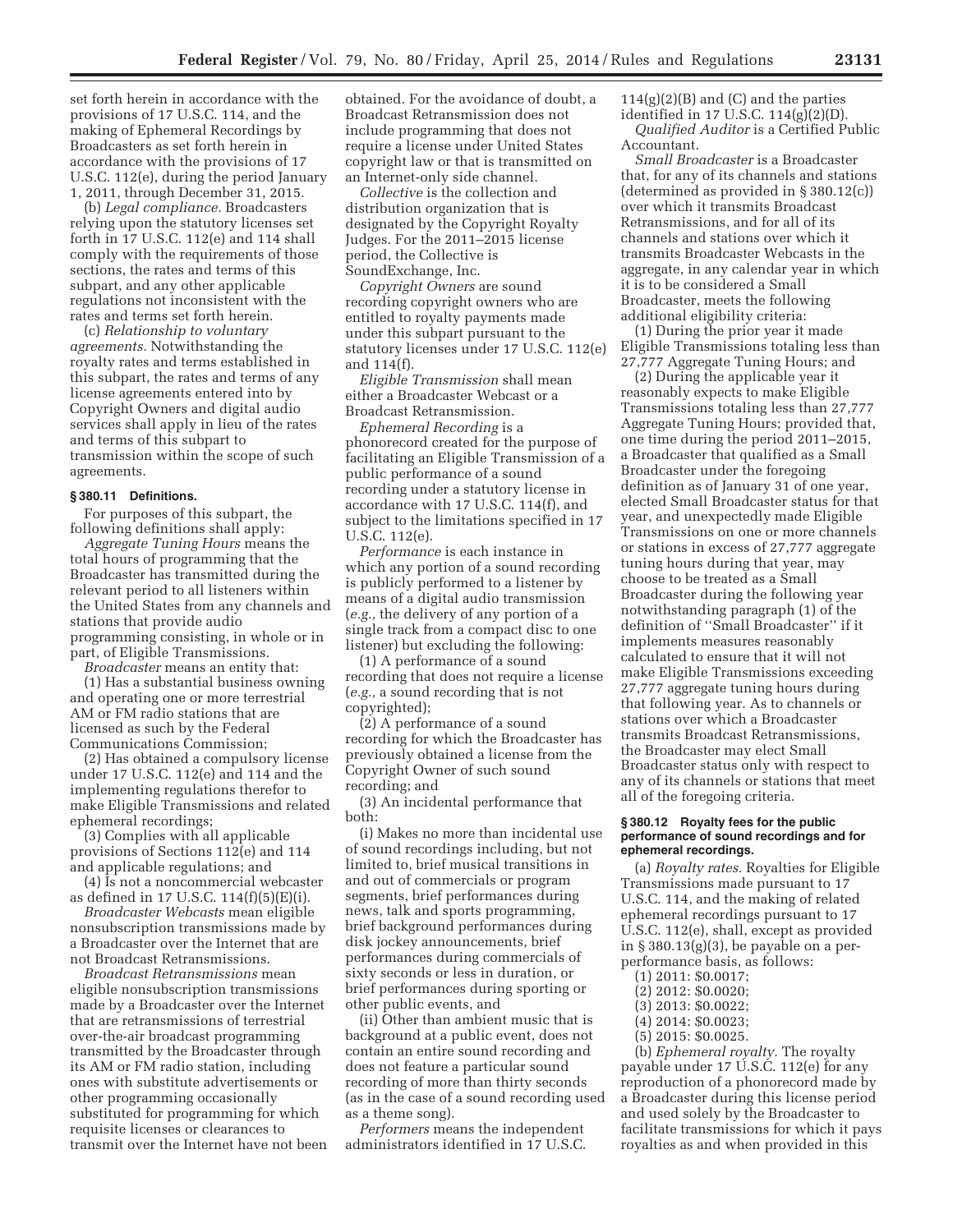set forth herein in accordance with the provisions of 17 U.S.C. 114, and the making of Ephemeral Recordings by Broadcasters as set forth herein in accordance with the provisions of 17 U.S.C. 112(e), during the period January 1, 2011, through December 31, 2015.

(b) *Legal compliance.* Broadcasters relying upon the statutory licenses set forth in 17 U.S.C. 112(e) and 114 shall comply with the requirements of those sections, the rates and terms of this subpart, and any other applicable regulations not inconsistent with the rates and terms set forth herein.

(c) *Relationship to voluntary agreements.* Notwithstanding the royalty rates and terms established in this subpart, the rates and terms of any license agreements entered into by Copyright Owners and digital audio services shall apply in lieu of the rates and terms of this subpart to transmission within the scope of such agreements.

#### **§ 380.11 Definitions.**

For purposes of this subpart, the following definitions shall apply:

*Aggregate Tuning Hours* means the total hours of programming that the Broadcaster has transmitted during the relevant period to all listeners within the United States from any channels and stations that provide audio programming consisting, in whole or in part, of Eligible Transmissions.

*Broadcaster* means an entity that:

(1) Has a substantial business owning and operating one or more terrestrial AM or FM radio stations that are licensed as such by the Federal Communications Commission;

(2) Has obtained a compulsory license under 17 U.S.C. 112(e) and 114 and the implementing regulations therefor to make Eligible Transmissions and related ephemeral recordings;

(3) Complies with all applicable provisions of Sections 112(e) and 114 and applicable regulations; and

(4) Is not a noncommercial webcaster as defined in 17 U.S.C. 114(f)(5)(E)(i).

*Broadcaster Webcasts* mean eligible nonsubscription transmissions made by a Broadcaster over the Internet that are not Broadcast Retransmissions.

*Broadcast Retransmissions* mean eligible nonsubscription transmissions made by a Broadcaster over the Internet that are retransmissions of terrestrial over-the-air broadcast programming transmitted by the Broadcaster through its AM or FM radio station, including ones with substitute advertisements or other programming occasionally substituted for programming for which requisite licenses or clearances to transmit over the Internet have not been

obtained. For the avoidance of doubt, a Broadcast Retransmission does not include programming that does not require a license under United States copyright law or that is transmitted on an Internet-only side channel.

*Collective* is the collection and distribution organization that is designated by the Copyright Royalty Judges. For the 2011–2015 license period, the Collective is SoundExchange, Inc.

*Copyright Owners* are sound recording copyright owners who are entitled to royalty payments made under this subpart pursuant to the statutory licenses under 17 U.S.C. 112(e) and 114(f).

*Eligible Transmission* shall mean either a Broadcaster Webcast or a Broadcast Retransmission.

*Ephemeral Recording* is a phonorecord created for the purpose of facilitating an Eligible Transmission of a public performance of a sound recording under a statutory license in accordance with 17 U.S.C. 114(f), and subject to the limitations specified in 17 U.S.C. 112(e).

*Performance* is each instance in which any portion of a sound recording is publicly performed to a listener by means of a digital audio transmission (*e.g.,* the delivery of any portion of a single track from a compact disc to one listener) but excluding the following:

(1) A performance of a sound recording that does not require a license (*e.g.,* a sound recording that is not copyrighted);

(2) A performance of a sound recording for which the Broadcaster has previously obtained a license from the Copyright Owner of such sound recording; and

(3) An incidental performance that both:

(i) Makes no more than incidental use of sound recordings including, but not limited to, brief musical transitions in and out of commercials or program segments, brief performances during news, talk and sports programming, brief background performances during disk jockey announcements, brief performances during commercials of sixty seconds or less in duration, or brief performances during sporting or other public events, and

(ii) Other than ambient music that is background at a public event, does not contain an entire sound recording and does not feature a particular sound recording of more than thirty seconds (as in the case of a sound recording used as a theme song).

*Performers* means the independent administrators identified in 17 U.S.C.  $114(g)(2)(B)$  and (C) and the parties identified in 17 U.S.C. 114(g)(2)(D). *Qualified Auditor* is a Certified Public Accountant.

*Small Broadcaster* is a Broadcaster that, for any of its channels and stations (determined as provided in § 380.12(c)) over which it transmits Broadcast Retransmissions, and for all of its channels and stations over which it transmits Broadcaster Webcasts in the aggregate, in any calendar year in which it is to be considered a Small Broadcaster, meets the following additional eligibility criteria:

(1) During the prior year it made Eligible Transmissions totaling less than 27,777 Aggregate Tuning Hours; and

(2) During the applicable year it reasonably expects to make Eligible Transmissions totaling less than 27,777 Aggregate Tuning Hours; provided that, one time during the period 2011–2015, a Broadcaster that qualified as a Small Broadcaster under the foregoing definition as of January 31 of one year, elected Small Broadcaster status for that year, and unexpectedly made Eligible Transmissions on one or more channels or stations in excess of 27,777 aggregate tuning hours during that year, may choose to be treated as a Small Broadcaster during the following year notwithstanding paragraph (1) of the definition of ''Small Broadcaster'' if it implements measures reasonably calculated to ensure that it will not make Eligible Transmissions exceeding 27,777 aggregate tuning hours during that following year. As to channels or stations over which a Broadcaster transmits Broadcast Retransmissions, the Broadcaster may elect Small Broadcaster status only with respect to any of its channels or stations that meet all of the foregoing criteria.

#### **§ 380.12 Royalty fees for the public performance of sound recordings and for ephemeral recordings.**

(a) *Royalty rates.* Royalties for Eligible Transmissions made pursuant to 17 U.S.C. 114, and the making of related ephemeral recordings pursuant to 17 U.S.C. 112(e), shall, except as provided in § 380.13(g)(3), be payable on a perperformance basis, as follows:

- (1) 2011: \$0.0017;
- (2) 2012: \$0.0020;
- (3) 2013: \$0.0022;
- (4) 2014: \$0.0023;
- (5) 2015: \$0.0025.

(b) *Ephemeral royalty.* The royalty payable under 17 U.S.C. 112(e) for any reproduction of a phonorecord made by a Broadcaster during this license period and used solely by the Broadcaster to facilitate transmissions for which it pays royalties as and when provided in this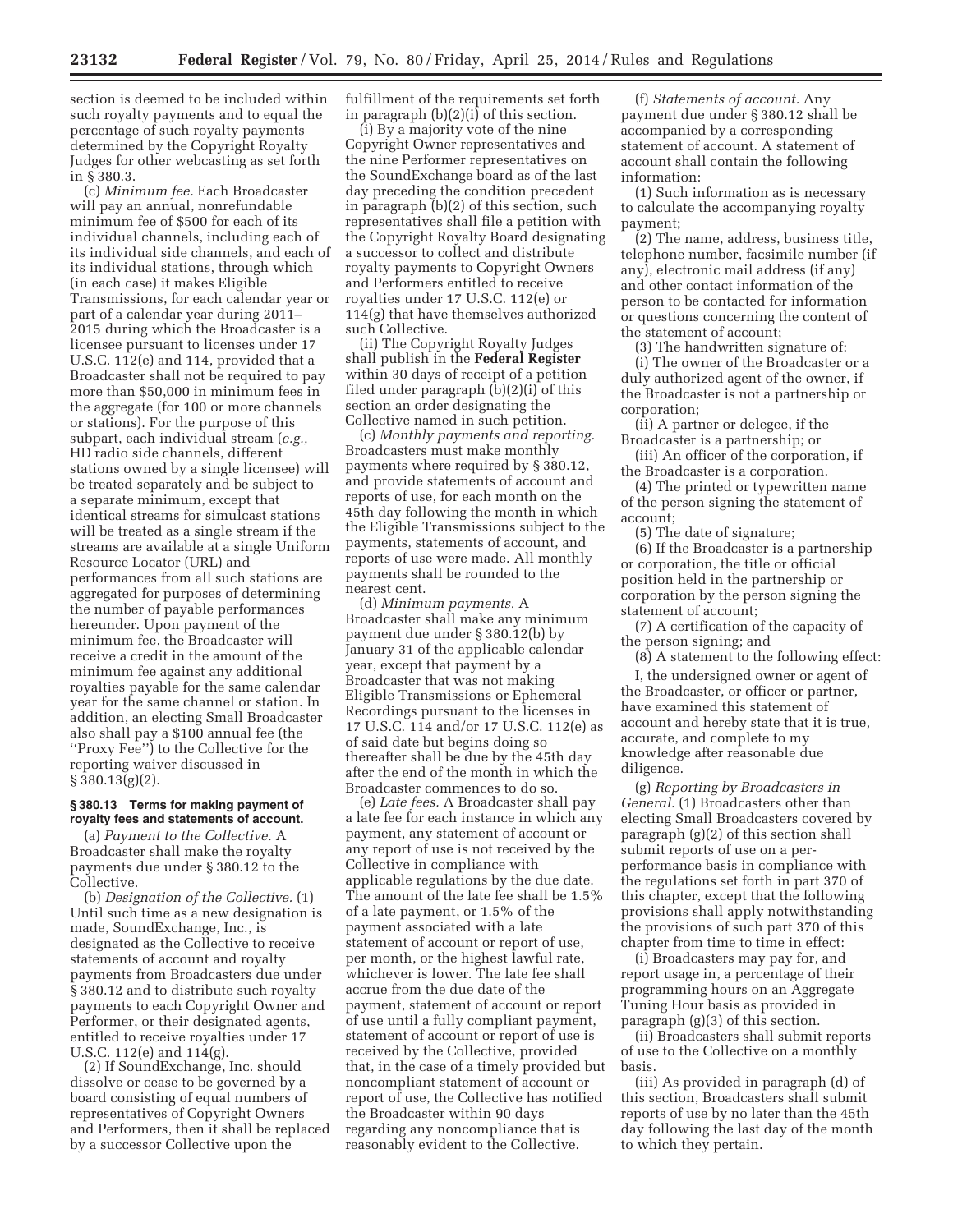section is deemed to be included within such royalty payments and to equal the percentage of such royalty payments determined by the Copyright Royalty Judges for other webcasting as set forth in § 380.3.

(c) *Minimum fee.* Each Broadcaster will pay an annual, nonrefundable minimum fee of \$500 for each of its individual channels, including each of its individual side channels, and each of its individual stations, through which (in each case) it makes Eligible Transmissions, for each calendar year or part of a calendar year during 2011– 2015 during which the Broadcaster is a licensee pursuant to licenses under 17 U.S.C. 112(e) and 114, provided that a Broadcaster shall not be required to pay more than \$50,000 in minimum fees in the aggregate (for 100 or more channels or stations). For the purpose of this subpart, each individual stream (*e.g.,*  HD radio side channels, different stations owned by a single licensee) will be treated separately and be subject to a separate minimum, except that identical streams for simulcast stations will be treated as a single stream if the streams are available at a single Uniform Resource Locator (URL) and performances from all such stations are aggregated for purposes of determining the number of payable performances hereunder. Upon payment of the minimum fee, the Broadcaster will receive a credit in the amount of the minimum fee against any additional royalties payable for the same calendar year for the same channel or station. In addition, an electing Small Broadcaster also shall pay a \$100 annual fee (the ''Proxy Fee'') to the Collective for the reporting waiver discussed in  $§ 380.13(g)(2).$ 

#### **§ 380.13 Terms for making payment of royalty fees and statements of account.**

(a) *Payment to the Collective.* A Broadcaster shall make the royalty payments due under § 380.12 to the Collective.

(b) *Designation of the Collective.* (1) Until such time as a new designation is made, SoundExchange, Inc., is designated as the Collective to receive statements of account and royalty payments from Broadcasters due under § 380.12 and to distribute such royalty payments to each Copyright Owner and Performer, or their designated agents, entitled to receive royalties under 17 U.S.C. 112(e) and 114(g).

(2) If SoundExchange, Inc. should dissolve or cease to be governed by a board consisting of equal numbers of representatives of Copyright Owners and Performers, then it shall be replaced by a successor Collective upon the

fulfillment of the requirements set forth in paragraph (b)(2)(i) of this section.

(i) By a majority vote of the nine Copyright Owner representatives and the nine Performer representatives on the SoundExchange board as of the last day preceding the condition precedent in paragraph (b)(2) of this section, such representatives shall file a petition with the Copyright Royalty Board designating a successor to collect and distribute royalty payments to Copyright Owners and Performers entitled to receive royalties under 17 U.S.C. 112(e) or 114(g) that have themselves authorized such Collective.

(ii) The Copyright Royalty Judges shall publish in the **Federal Register**  within 30 days of receipt of a petition filed under paragraph (b)(2)(i) of this section an order designating the Collective named in such petition.

(c) *Monthly payments and reporting.*  Broadcasters must make monthly payments where required by § 380.12, and provide statements of account and reports of use, for each month on the 45th day following the month in which the Eligible Transmissions subject to the payments, statements of account, and reports of use were made. All monthly payments shall be rounded to the nearest cent.

(d) *Minimum payments.* A Broadcaster shall make any minimum payment due under § 380.12(b) by January 31 of the applicable calendar year, except that payment by a Broadcaster that was not making Eligible Transmissions or Ephemeral Recordings pursuant to the licenses in 17 U.S.C. 114 and/or 17 U.S.C. 112(e) as of said date but begins doing so thereafter shall be due by the 45th day after the end of the month in which the Broadcaster commences to do so.

(e) *Late fees.* A Broadcaster shall pay a late fee for each instance in which any payment, any statement of account or any report of use is not received by the Collective in compliance with applicable regulations by the due date. The amount of the late fee shall be 1.5% of a late payment, or 1.5% of the payment associated with a late statement of account or report of use, per month, or the highest lawful rate, whichever is lower. The late fee shall accrue from the due date of the payment, statement of account or report of use until a fully compliant payment, statement of account or report of use is received by the Collective, provided that, in the case of a timely provided but noncompliant statement of account or report of use, the Collective has notified the Broadcaster within 90 days regarding any noncompliance that is reasonably evident to the Collective.

(f) *Statements of account.* Any payment due under § 380.12 shall be accompanied by a corresponding statement of account. A statement of account shall contain the following information:

(1) Such information as is necessary to calculate the accompanying royalty payment;

(2) The name, address, business title, telephone number, facsimile number (if any), electronic mail address (if any) and other contact information of the person to be contacted for information or questions concerning the content of the statement of account;

(3) The handwritten signature of:

(i) The owner of the Broadcaster or a duly authorized agent of the owner, if the Broadcaster is not a partnership or corporation;

(ii) A partner or delegee, if the Broadcaster is a partnership; or

(iii) An officer of the corporation, if the Broadcaster is a corporation.

(4) The printed or typewritten name of the person signing the statement of account;

(5) The date of signature;

(6) If the Broadcaster is a partnership or corporation, the title or official position held in the partnership or corporation by the person signing the statement of account;

(7) A certification of the capacity of the person signing; and

(8) A statement to the following effect:

I, the undersigned owner or agent of the Broadcaster, or officer or partner, have examined this statement of account and hereby state that it is true, accurate, and complete to my knowledge after reasonable due diligence.

(g) *Reporting by Broadcasters in General.* (1) Broadcasters other than electing Small Broadcasters covered by paragraph (g)(2) of this section shall submit reports of use on a perperformance basis in compliance with the regulations set forth in part 370 of this chapter, except that the following provisions shall apply notwithstanding the provisions of such part 370 of this chapter from time to time in effect:

(i) Broadcasters may pay for, and report usage in, a percentage of their programming hours on an Aggregate Tuning Hour basis as provided in paragraph (g)(3) of this section.

(ii) Broadcasters shall submit reports of use to the Collective on a monthly basis.

(iii) As provided in paragraph (d) of this section, Broadcasters shall submit reports of use by no later than the 45th day following the last day of the month to which they pertain.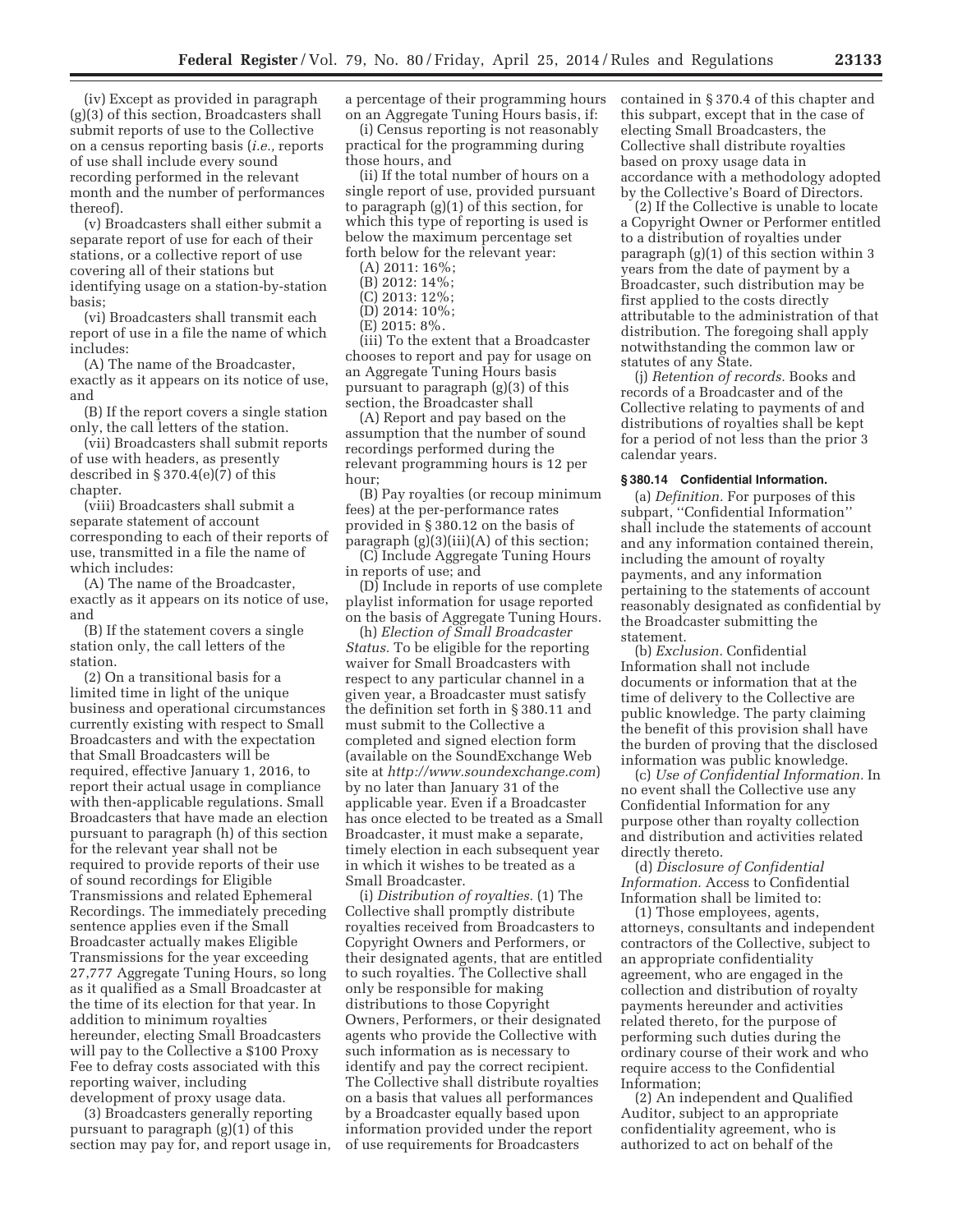(iv) Except as provided in paragraph (g)(3) of this section, Broadcasters shall submit reports of use to the Collective on a census reporting basis (*i.e.,* reports of use shall include every sound recording performed in the relevant month and the number of performances thereof).

(v) Broadcasters shall either submit a separate report of use for each of their stations, or a collective report of use covering all of their stations but identifying usage on a station-by-station basis;

(vi) Broadcasters shall transmit each report of use in a file the name of which includes:

(A) The name of the Broadcaster, exactly as it appears on its notice of use, and

(B) If the report covers a single station only, the call letters of the station.

(vii) Broadcasters shall submit reports of use with headers, as presently described in § 370.4(e)(7) of this chapter.

(viii) Broadcasters shall submit a separate statement of account corresponding to each of their reports of use, transmitted in a file the name of which includes:

(A) The name of the Broadcaster, exactly as it appears on its notice of use, and

(B) If the statement covers a single station only, the call letters of the station.

(2) On a transitional basis for a limited time in light of the unique business and operational circumstances currently existing with respect to Small Broadcasters and with the expectation that Small Broadcasters will be required, effective January 1, 2016, to report their actual usage in compliance with then-applicable regulations. Small Broadcasters that have made an election pursuant to paragraph (h) of this section for the relevant year shall not be required to provide reports of their use of sound recordings for Eligible Transmissions and related Ephemeral Recordings. The immediately preceding sentence applies even if the Small Broadcaster actually makes Eligible Transmissions for the year exceeding 27,777 Aggregate Tuning Hours, so long as it qualified as a Small Broadcaster at the time of its election for that year. In addition to minimum royalties hereunder, electing Small Broadcasters will pay to the Collective a \$100 Proxy Fee to defray costs associated with this reporting waiver, including development of proxy usage data.

(3) Broadcasters generally reporting pursuant to paragraph (g)(1) of this section may pay for, and report usage in, a percentage of their programming hours on an Aggregate Tuning Hours basis, if:

(i) Census reporting is not reasonably practical for the programming during those hours, and

(ii) If the total number of hours on a single report of use, provided pursuant to paragraph (g)(1) of this section, for which this type of reporting is used is below the maximum percentage set forth below for the relevant year:

(A) 2011: 16%;

- (B) 2012: 14%;
- (C) 2013: 12%;
- (D) 2014: 10%;
- (E) 2015: 8%.

(iii) To the extent that a Broadcaster chooses to report and pay for usage on an Aggregate Tuning Hours basis pursuant to paragraph (g)(3) of this section, the Broadcaster shall

(A) Report and pay based on the assumption that the number of sound recordings performed during the relevant programming hours is 12 per hour;

(B) Pay royalties (or recoup minimum fees) at the per-performance rates provided in § 380.12 on the basis of paragraph  $(g)(3)(iii)(A)$  of this section;

(C) Include Aggregate Tuning Hours in reports of use; and

(D) Include in reports of use complete playlist information for usage reported on the basis of Aggregate Tuning Hours.

(h) *Election of Small Broadcaster Status.* To be eligible for the reporting waiver for Small Broadcasters with respect to any particular channel in a given year, a Broadcaster must satisfy the definition set forth in § 380.11 and must submit to the Collective a completed and signed election form (available on the SoundExchange Web site at *http://www.soundexchange.com*) by no later than January 31 of the applicable year. Even if a Broadcaster has once elected to be treated as a Small Broadcaster, it must make a separate, timely election in each subsequent year in which it wishes to be treated as a Small Broadcaster.

(i) *Distribution of royalties.* (1) The Collective shall promptly distribute royalties received from Broadcasters to Copyright Owners and Performers, or their designated agents, that are entitled to such royalties. The Collective shall only be responsible for making distributions to those Copyright Owners, Performers, or their designated agents who provide the Collective with such information as is necessary to identify and pay the correct recipient. The Collective shall distribute royalties on a basis that values all performances by a Broadcaster equally based upon information provided under the report of use requirements for Broadcasters

contained in § 370.4 of this chapter and this subpart, except that in the case of electing Small Broadcasters, the Collective shall distribute royalties based on proxy usage data in accordance with a methodology adopted by the Collective's Board of Directors.

(2) If the Collective is unable to locate a Copyright Owner or Performer entitled to a distribution of royalties under paragraph (g)(1) of this section within 3 years from the date of payment by a Broadcaster, such distribution may be first applied to the costs directly attributable to the administration of that distribution. The foregoing shall apply notwithstanding the common law or statutes of any State.

(j) *Retention of records.* Books and records of a Broadcaster and of the Collective relating to payments of and distributions of royalties shall be kept for a period of not less than the prior 3 calendar years.

#### **§ 380.14 Confidential Information.**

(a) *Definition.* For purposes of this subpart, ''Confidential Information'' shall include the statements of account and any information contained therein, including the amount of royalty payments, and any information pertaining to the statements of account reasonably designated as confidential by the Broadcaster submitting the statement.

(b) *Exclusion.* Confidential Information shall not include documents or information that at the time of delivery to the Collective are public knowledge. The party claiming the benefit of this provision shall have the burden of proving that the disclosed information was public knowledge.

(c) *Use of Confidential Information.* In no event shall the Collective use any Confidential Information for any purpose other than royalty collection and distribution and activities related directly thereto.

(d) *Disclosure of Confidential Information.* Access to Confidential Information shall be limited to:

(1) Those employees, agents, attorneys, consultants and independent contractors of the Collective, subject to an appropriate confidentiality agreement, who are engaged in the collection and distribution of royalty payments hereunder and activities related thereto, for the purpose of performing such duties during the ordinary course of their work and who require access to the Confidential Information;

(2) An independent and Qualified Auditor, subject to an appropriate confidentiality agreement, who is authorized to act on behalf of the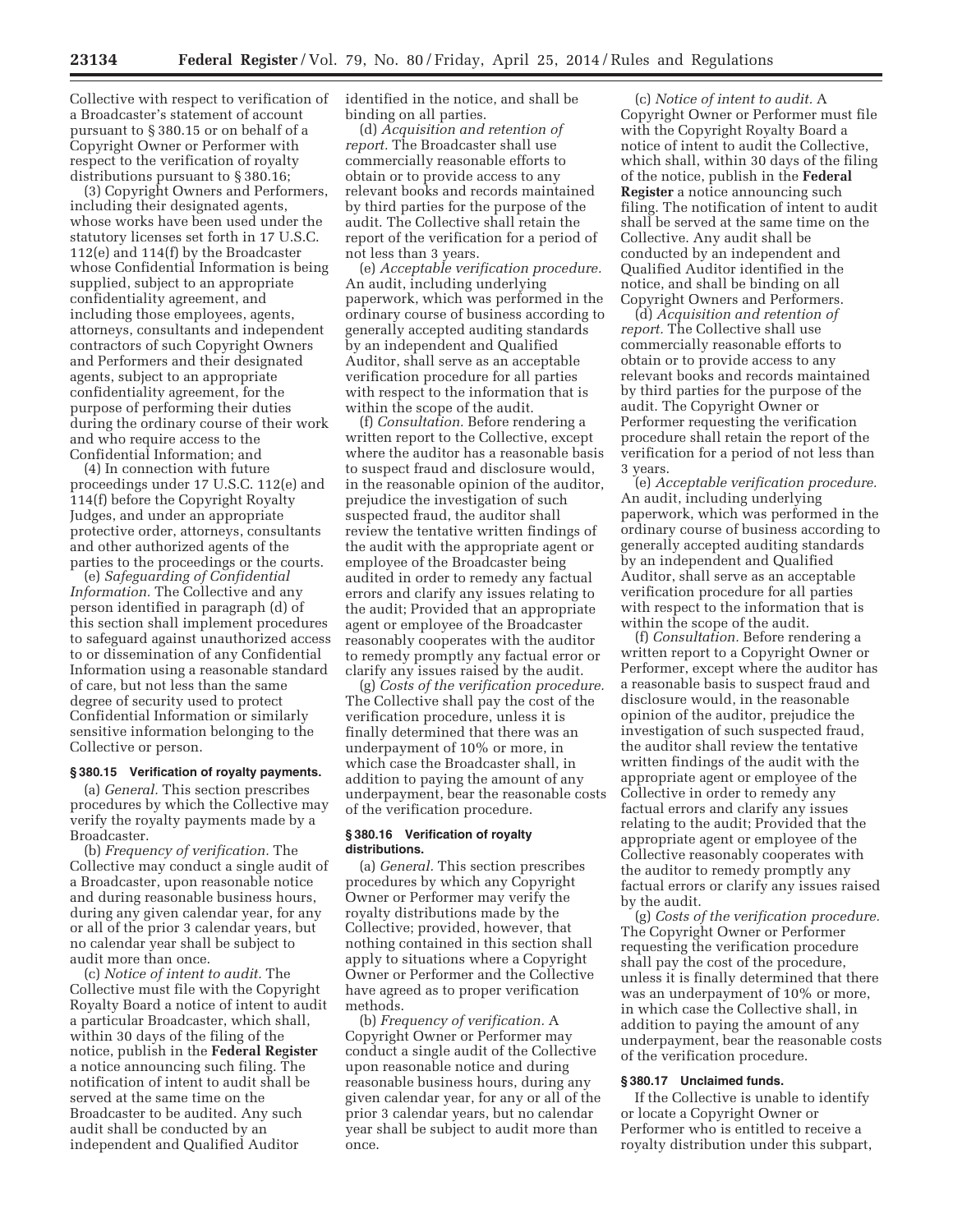Collective with respect to verification of a Broadcaster's statement of account pursuant to § 380.15 or on behalf of a Copyright Owner or Performer with respect to the verification of royalty distributions pursuant to § 380.16;

(3) Copyright Owners and Performers, including their designated agents, whose works have been used under the statutory licenses set forth in 17 U.S.C. 112(e) and 114(f) by the Broadcaster whose Confidential Information is being supplied, subject to an appropriate confidentiality agreement, and including those employees, agents, attorneys, consultants and independent contractors of such Copyright Owners and Performers and their designated agents, subject to an appropriate confidentiality agreement, for the purpose of performing their duties during the ordinary course of their work and who require access to the Confidential Information; and

(4) In connection with future proceedings under 17 U.S.C. 112(e) and 114(f) before the Copyright Royalty Judges, and under an appropriate protective order, attorneys, consultants and other authorized agents of the parties to the proceedings or the courts.

(e) *Safeguarding of Confidential Information.* The Collective and any person identified in paragraph (d) of this section shall implement procedures to safeguard against unauthorized access to or dissemination of any Confidential Information using a reasonable standard of care, but not less than the same degree of security used to protect Confidential Information or similarly sensitive information belonging to the Collective or person.

# **§ 380.15 Verification of royalty payments.**

(a) *General.* This section prescribes procedures by which the Collective may verify the royalty payments made by a Broadcaster.

(b) *Frequency of verification.* The Collective may conduct a single audit of a Broadcaster, upon reasonable notice and during reasonable business hours, during any given calendar year, for any or all of the prior 3 calendar years, but no calendar year shall be subject to audit more than once.

(c) *Notice of intent to audit.* The Collective must file with the Copyright Royalty Board a notice of intent to audit a particular Broadcaster, which shall, within 30 days of the filing of the notice, publish in the **Federal Register**  a notice announcing such filing. The notification of intent to audit shall be served at the same time on the Broadcaster to be audited. Any such audit shall be conducted by an independent and Qualified Auditor

identified in the notice, and shall be binding on all parties.

(d) *Acquisition and retention of report.* The Broadcaster shall use commercially reasonable efforts to obtain or to provide access to any relevant books and records maintained by third parties for the purpose of the audit. The Collective shall retain the report of the verification for a period of not less than 3 years.

(e) *Acceptable verification procedure.*  An audit, including underlying paperwork, which was performed in the ordinary course of business according to generally accepted auditing standards by an independent and Qualified Auditor, shall serve as an acceptable verification procedure for all parties with respect to the information that is within the scope of the audit.

(f) *Consultation.* Before rendering a written report to the Collective, except where the auditor has a reasonable basis to suspect fraud and disclosure would, in the reasonable opinion of the auditor, prejudice the investigation of such suspected fraud, the auditor shall review the tentative written findings of the audit with the appropriate agent or employee of the Broadcaster being audited in order to remedy any factual errors and clarify any issues relating to the audit; Provided that an appropriate agent or employee of the Broadcaster reasonably cooperates with the auditor to remedy promptly any factual error or clarify any issues raised by the audit.

(g) *Costs of the verification procedure.*  The Collective shall pay the cost of the verification procedure, unless it is finally determined that there was an underpayment of 10% or more, in which case the Broadcaster shall, in addition to paying the amount of any underpayment, bear the reasonable costs of the verification procedure.

#### **§ 380.16 Verification of royalty distributions.**

(a) *General.* This section prescribes procedures by which any Copyright Owner or Performer may verify the royalty distributions made by the Collective; provided, however, that nothing contained in this section shall apply to situations where a Copyright Owner or Performer and the Collective have agreed as to proper verification methods.

(b) *Frequency of verification.* A Copyright Owner or Performer may conduct a single audit of the Collective upon reasonable notice and during reasonable business hours, during any given calendar year, for any or all of the prior 3 calendar years, but no calendar year shall be subject to audit more than once.

(c) *Notice of intent to audit.* A Copyright Owner or Performer must file with the Copyright Royalty Board a notice of intent to audit the Collective, which shall, within 30 days of the filing of the notice, publish in the **Federal Register** a notice announcing such filing. The notification of intent to audit shall be served at the same time on the Collective. Any audit shall be conducted by an independent and Qualified Auditor identified in the notice, and shall be binding on all Copyright Owners and Performers.

(d) *Acquisition and retention of report.* The Collective shall use commercially reasonable efforts to obtain or to provide access to any relevant books and records maintained by third parties for the purpose of the audit. The Copyright Owner or Performer requesting the verification procedure shall retain the report of the verification for a period of not less than 3 years.

(e) *Acceptable verification procedure.*  An audit, including underlying paperwork, which was performed in the ordinary course of business according to generally accepted auditing standards by an independent and Qualified Auditor, shall serve as an acceptable verification procedure for all parties with respect to the information that is within the scope of the audit.

(f) *Consultation.* Before rendering a written report to a Copyright Owner or Performer, except where the auditor has a reasonable basis to suspect fraud and disclosure would, in the reasonable opinion of the auditor, prejudice the investigation of such suspected fraud, the auditor shall review the tentative written findings of the audit with the appropriate agent or employee of the Collective in order to remedy any factual errors and clarify any issues relating to the audit; Provided that the appropriate agent or employee of the Collective reasonably cooperates with the auditor to remedy promptly any factual errors or clarify any issues raised by the audit.

(g) *Costs of the verification procedure.*  The Copyright Owner or Performer requesting the verification procedure shall pay the cost of the procedure, unless it is finally determined that there was an underpayment of 10% or more, in which case the Collective shall, in addition to paying the amount of any underpayment, bear the reasonable costs of the verification procedure.

#### **§ 380.17 Unclaimed funds.**

If the Collective is unable to identify or locate a Copyright Owner or Performer who is entitled to receive a royalty distribution under this subpart,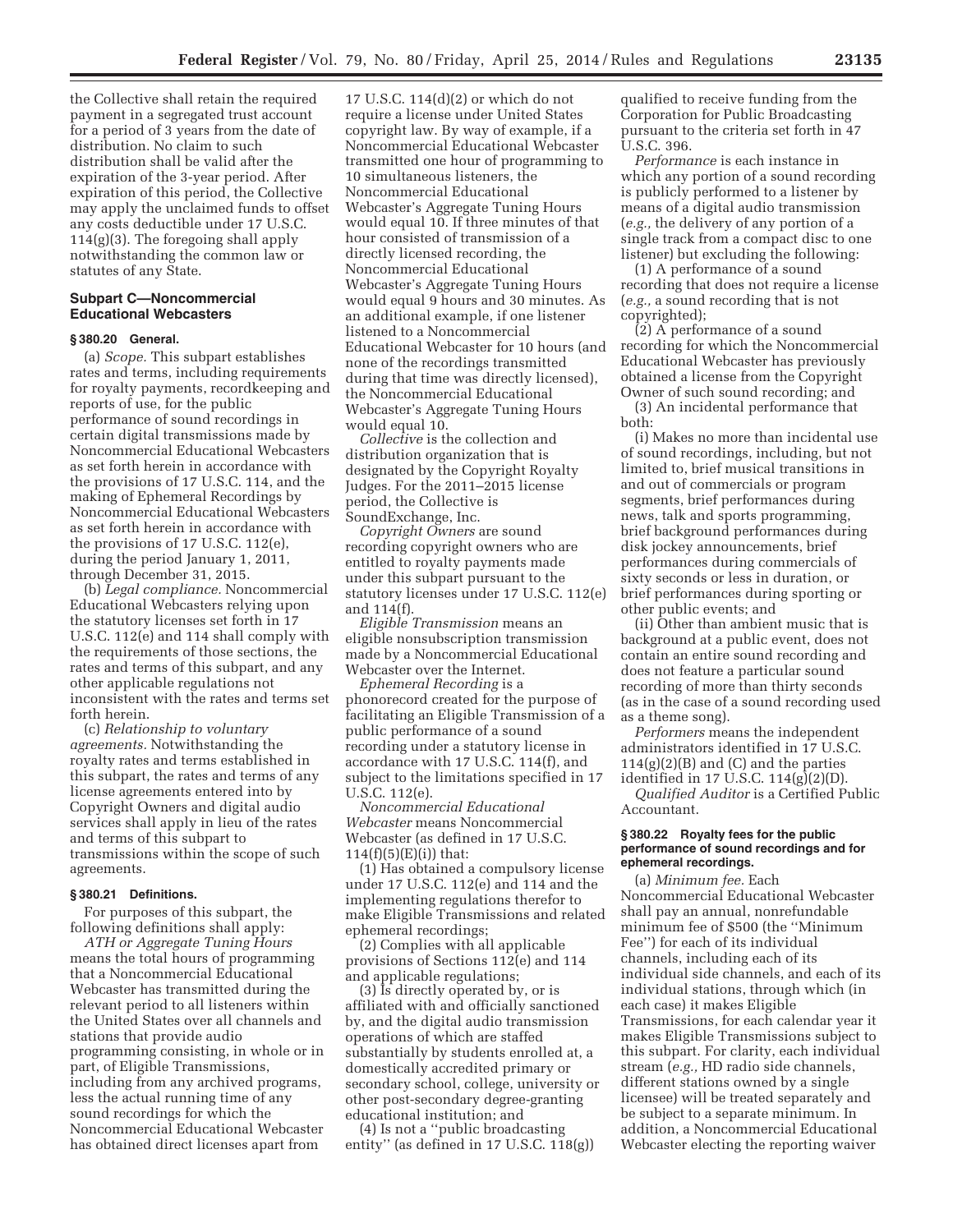the Collective shall retain the required payment in a segregated trust account for a period of 3 years from the date of distribution. No claim to such distribution shall be valid after the expiration of the 3-year period. After expiration of this period, the Collective may apply the unclaimed funds to offset any costs deductible under 17 U.S.C. 114(g)(3). The foregoing shall apply notwithstanding the common law or statutes of any State.

# **Subpart C—Noncommercial Educational Webcasters**

# **§ 380.20 General.**

(a) *Scope.* This subpart establishes rates and terms, including requirements for royalty payments, recordkeeping and reports of use, for the public performance of sound recordings in certain digital transmissions made by Noncommercial Educational Webcasters as set forth herein in accordance with the provisions of 17 U.S.C. 114, and the making of Ephemeral Recordings by Noncommercial Educational Webcasters as set forth herein in accordance with the provisions of 17 U.S.C. 112(e), during the period January 1, 2011, through December 31, 2015.

(b) *Legal compliance.* Noncommercial Educational Webcasters relying upon the statutory licenses set forth in 17 U.S.C. 112(e) and 114 shall comply with the requirements of those sections, the rates and terms of this subpart, and any other applicable regulations not inconsistent with the rates and terms set forth herein.

(c) *Relationship to voluntary agreements.* Notwithstanding the royalty rates and terms established in this subpart, the rates and terms of any license agreements entered into by Copyright Owners and digital audio services shall apply in lieu of the rates and terms of this subpart to transmissions within the scope of such agreements.

#### **§ 380.21 Definitions.**

For purposes of this subpart, the following definitions shall apply:

*ATH or Aggregate Tuning Hours*  means the total hours of programming that a Noncommercial Educational Webcaster has transmitted during the relevant period to all listeners within the United States over all channels and stations that provide audio programming consisting, in whole or in part, of Eligible Transmissions, including from any archived programs, less the actual running time of any sound recordings for which the Noncommercial Educational Webcaster has obtained direct licenses apart from

17 U.S.C. 114(d)(2) or which do not require a license under United States copyright law. By way of example, if a Noncommercial Educational Webcaster transmitted one hour of programming to 10 simultaneous listeners, the Noncommercial Educational Webcaster's Aggregate Tuning Hours would equal 10. If three minutes of that hour consisted of transmission of a directly licensed recording, the Noncommercial Educational Webcaster's Aggregate Tuning Hours would equal 9 hours and 30 minutes. As an additional example, if one listener listened to a Noncommercial Educational Webcaster for 10 hours (and none of the recordings transmitted during that time was directly licensed), the Noncommercial Educational Webcaster's Aggregate Tuning Hours would equal 10.

*Collective* is the collection and distribution organization that is designated by the Copyright Royalty Judges. For the 2011–2015 license period, the Collective is SoundExchange, Inc.

*Copyright Owners* are sound recording copyright owners who are entitled to royalty payments made under this subpart pursuant to the statutory licenses under 17 U.S.C. 112(e) and 114(f).

*Eligible Transmission* means an eligible nonsubscription transmission made by a Noncommercial Educational Webcaster over the Internet.

*Ephemeral Recording* is a phonorecord created for the purpose of facilitating an Eligible Transmission of a public performance of a sound recording under a statutory license in accordance with 17 U.S.C. 114(f), and subject to the limitations specified in 17 U.S.C. 112(e).

*Noncommercial Educational Webcaster* means Noncommercial Webcaster (as defined in 17 U.S.C.  $114(f)(5)(E)(i)$  that:

(1) Has obtained a compulsory license under 17 U.S.C. 112(e) and 114 and the implementing regulations therefor to make Eligible Transmissions and related ephemeral recordings;

(2) Complies with all applicable provisions of Sections 112(e) and 114 and applicable regulations;

(3) Is directly operated by, or is affiliated with and officially sanctioned by, and the digital audio transmission operations of which are staffed substantially by students enrolled at, a domestically accredited primary or secondary school, college, university or other post-secondary degree-granting educational institution; and

(4) Is not a ''public broadcasting entity'' (as defined in 17 U.S.C. 118(g)) qualified to receive funding from the Corporation for Public Broadcasting pursuant to the criteria set forth in 47 U.S.C. 396.

*Performance* is each instance in which any portion of a sound recording is publicly performed to a listener by means of a digital audio transmission (*e.g.,* the delivery of any portion of a single track from a compact disc to one listener) but excluding the following:

(1) A performance of a sound recording that does not require a license (*e.g.,* a sound recording that is not copyrighted);

(2) A performance of a sound recording for which the Noncommercial Educational Webcaster has previously obtained a license from the Copyright Owner of such sound recording; and

(3) An incidental performance that both:

(i) Makes no more than incidental use of sound recordings, including, but not limited to, brief musical transitions in and out of commercials or program segments, brief performances during news, talk and sports programming, brief background performances during disk jockey announcements, brief performances during commercials of sixty seconds or less in duration, or brief performances during sporting or other public events; and

(ii) Other than ambient music that is background at a public event, does not contain an entire sound recording and does not feature a particular sound recording of more than thirty seconds (as in the case of a sound recording used as a theme song).

*Performers* means the independent administrators identified in 17 U.S.C.  $114(g)(2)(B)$  and  $(C)$  and the parties identified in 17 U.S.C. 114(g)(2)(D).

*Qualified Auditor* is a Certified Public Accountant.

#### **§ 380.22 Royalty fees for the public performance of sound recordings and for ephemeral recordings.**

(a) *Minimum fee.* Each Noncommercial Educational Webcaster shall pay an annual, nonrefundable minimum fee of \$500 (the ''Minimum Fee'') for each of its individual channels, including each of its individual side channels, and each of its individual stations, through which (in each case) it makes Eligible Transmissions, for each calendar year it makes Eligible Transmissions subject to this subpart. For clarity, each individual stream (*e.g.,* HD radio side channels, different stations owned by a single licensee) will be treated separately and be subject to a separate minimum. In addition, a Noncommercial Educational Webcaster electing the reporting waiver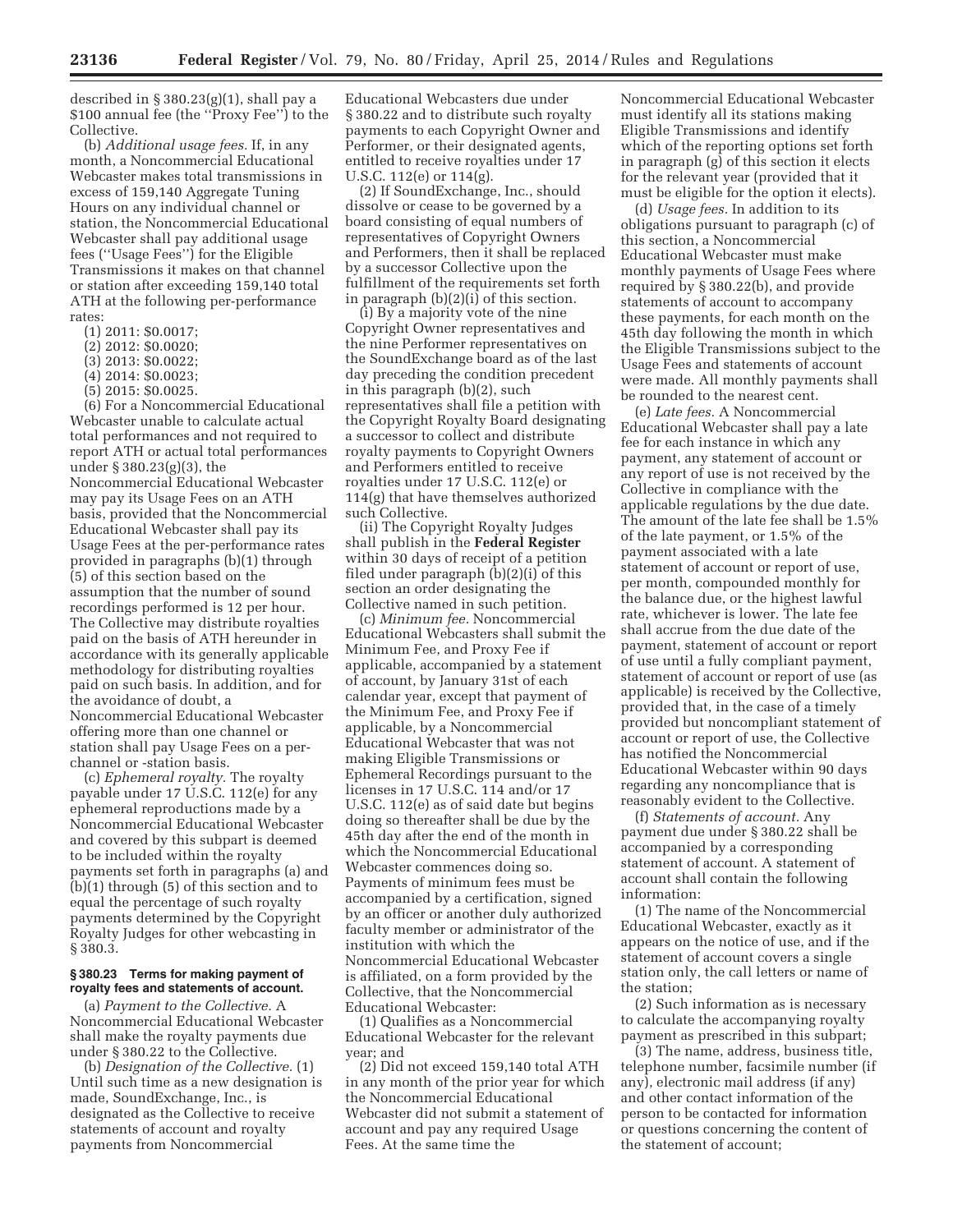described in § 380.23(g)(1), shall pay a \$100 annual fee (the ''Proxy Fee'') to the Collective.

(b) *Additional usage fees.* If, in any month, a Noncommercial Educational Webcaster makes total transmissions in excess of 159,140 Aggregate Tuning Hours on any individual channel or station, the Noncommercial Educational Webcaster shall pay additional usage fees (''Usage Fees'') for the Eligible Transmissions it makes on that channel or station after exceeding 159,140 total ATH at the following per-performance rates:

- (1) 2011: \$0.0017;
- (2) 2012: \$0.0020;
- (3) 2013: \$0.0022;
- (4) 2014: \$0.0023;
- (5) 2015: \$0.0025.

(6) For a Noncommercial Educational Webcaster unable to calculate actual total performances and not required to report ATH or actual total performances under § 380.23(g)(3), the Noncommercial Educational Webcaster may pay its Usage Fees on an ATH basis, provided that the Noncommercial Educational Webcaster shall pay its Usage Fees at the per-performance rates provided in paragraphs (b)(1) through (5) of this section based on the assumption that the number of sound recordings performed is 12 per hour. The Collective may distribute royalties paid on the basis of ATH hereunder in accordance with its generally applicable methodology for distributing royalties paid on such basis. In addition, and for the avoidance of doubt, a Noncommercial Educational Webcaster offering more than one channel or station shall pay Usage Fees on a perchannel or -station basis.

(c) *Ephemeral royalty.* The royalty payable under 17 U.S.C. 112(e) for any ephemeral reproductions made by a Noncommercial Educational Webcaster and covered by this subpart is deemed to be included within the royalty payments set forth in paragraphs (a) and (b)(1) through (5) of this section and to equal the percentage of such royalty payments determined by the Copyright Royalty Judges for other webcasting in § 380.3.

# **§ 380.23 Terms for making payment of royalty fees and statements of account.**

(a) *Payment to the Collective.* A Noncommercial Educational Webcaster shall make the royalty payments due under § 380.22 to the Collective.

(b) *Designation of the Collective.* (1) Until such time as a new designation is made, SoundExchange, Inc., is designated as the Collective to receive statements of account and royalty payments from Noncommercial

Educational Webcasters due under § 380.22 and to distribute such royalty payments to each Copyright Owner and Performer, or their designated agents, entitled to receive royalties under 17 U.S.C. 112(e) or 114(g).

(2) If SoundExchange, Inc., should dissolve or cease to be governed by a board consisting of equal numbers of representatives of Copyright Owners and Performers, then it shall be replaced by a successor Collective upon the fulfillment of the requirements set forth in paragraph (b)(2)(i) of this section.

 $(i)$  By a majority vote of the nine Copyright Owner representatives and the nine Performer representatives on the SoundExchange board as of the last day preceding the condition precedent in this paragraph (b)(2), such representatives shall file a petition with the Copyright Royalty Board designating a successor to collect and distribute royalty payments to Copyright Owners and Performers entitled to receive royalties under 17 U.S.C. 112(e) or 114(g) that have themselves authorized such Collective.

(ii) The Copyright Royalty Judges shall publish in the **Federal Register**  within 30 days of receipt of a petition filed under paragraph (b)(2)(i) of this section an order designating the Collective named in such petition.

(c) *Minimum fee.* Noncommercial Educational Webcasters shall submit the Minimum Fee, and Proxy Fee if applicable, accompanied by a statement of account, by January 31st of each calendar year, except that payment of the Minimum Fee, and Proxy Fee if applicable, by a Noncommercial Educational Webcaster that was not making Eligible Transmissions or Ephemeral Recordings pursuant to the licenses in 17 U.S.C. 114 and/or 17 U.S.C. 112(e) as of said date but begins doing so thereafter shall be due by the 45th day after the end of the month in which the Noncommercial Educational Webcaster commences doing so. Payments of minimum fees must be accompanied by a certification, signed by an officer or another duly authorized faculty member or administrator of the institution with which the Noncommercial Educational Webcaster is affiliated, on a form provided by the Collective, that the Noncommercial Educational Webcaster:

(1) Qualifies as a Noncommercial Educational Webcaster for the relevant year; and

(2) Did not exceed 159,140 total ATH in any month of the prior year for which the Noncommercial Educational Webcaster did not submit a statement of account and pay any required Usage Fees. At the same time the

Noncommercial Educational Webcaster must identify all its stations making Eligible Transmissions and identify which of the reporting options set forth in paragraph (g) of this section it elects for the relevant year (provided that it must be eligible for the option it elects).

(d) *Usage fees.* In addition to its obligations pursuant to paragraph (c) of this section, a Noncommercial Educational Webcaster must make monthly payments of Usage Fees where required by § 380.22(b), and provide statements of account to accompany these payments, for each month on the 45th day following the month in which the Eligible Transmissions subject to the Usage Fees and statements of account were made. All monthly payments shall be rounded to the nearest cent.

(e) *Late fees.* A Noncommercial Educational Webcaster shall pay a late fee for each instance in which any payment, any statement of account or any report of use is not received by the Collective in compliance with the applicable regulations by the due date. The amount of the late fee shall be 1.5% of the late payment, or 1.5% of the payment associated with a late statement of account or report of use, per month, compounded monthly for the balance due, or the highest lawful rate, whichever is lower. The late fee shall accrue from the due date of the payment, statement of account or report of use until a fully compliant payment, statement of account or report of use (as applicable) is received by the Collective, provided that, in the case of a timely provided but noncompliant statement of account or report of use, the Collective has notified the Noncommercial Educational Webcaster within 90 days regarding any noncompliance that is reasonably evident to the Collective.

(f) *Statements of account.* Any payment due under § 380.22 shall be accompanied by a corresponding statement of account. A statement of account shall contain the following information:

(1) The name of the Noncommercial Educational Webcaster, exactly as it appears on the notice of use, and if the statement of account covers a single station only, the call letters or name of the station;

(2) Such information as is necessary to calculate the accompanying royalty payment as prescribed in this subpart;

(3) The name, address, business title, telephone number, facsimile number (if any), electronic mail address (if any) and other contact information of the person to be contacted for information or questions concerning the content of the statement of account;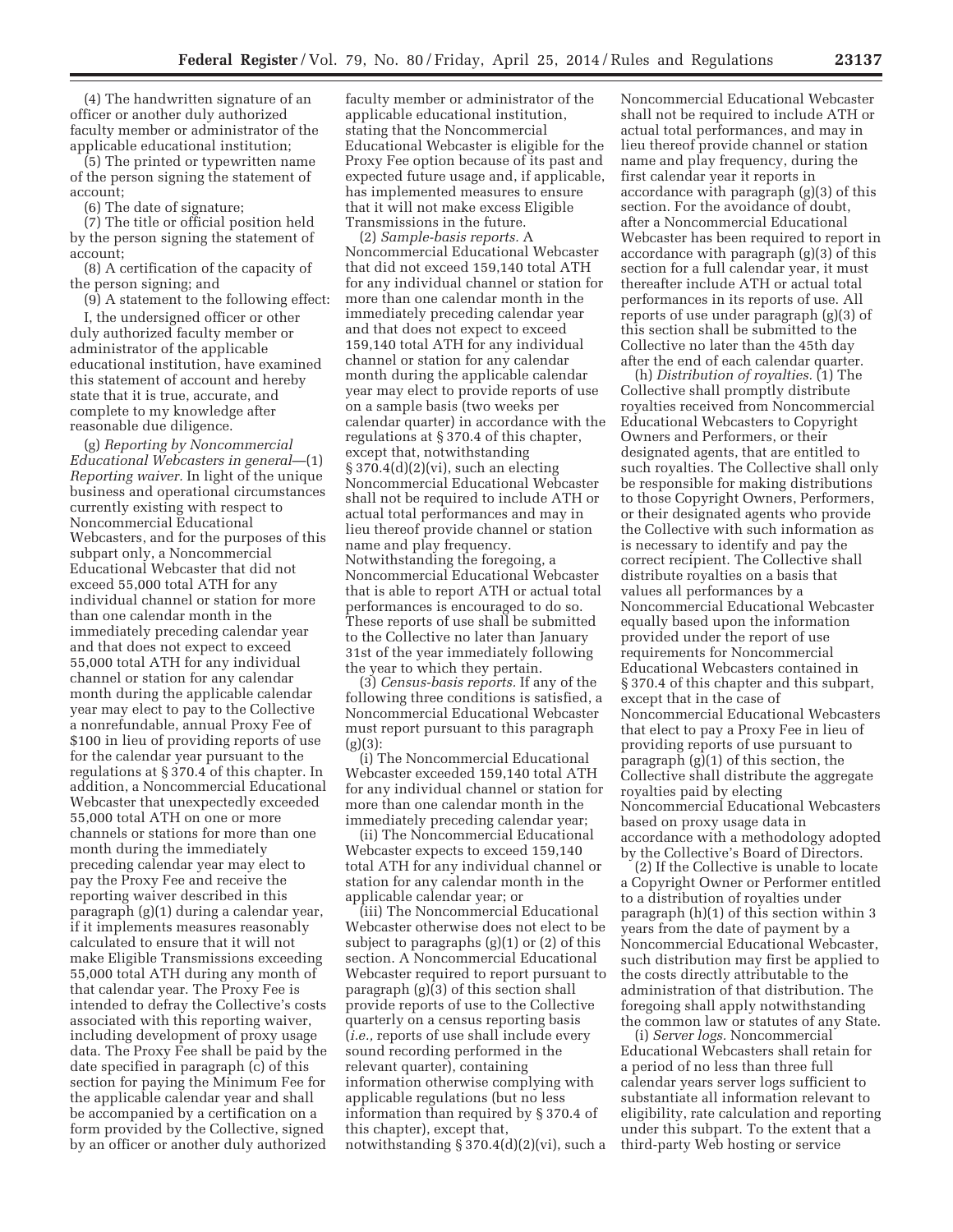(4) The handwritten signature of an officer or another duly authorized faculty member or administrator of the applicable educational institution;

(5) The printed or typewritten name of the person signing the statement of account;

(6) The date of signature;

(7) The title or official position held by the person signing the statement of account;

(8) A certification of the capacity of the person signing; and

(9) A statement to the following effect: I, the undersigned officer or other

duly authorized faculty member or administrator of the applicable educational institution, have examined this statement of account and hereby state that it is true, accurate, and complete to my knowledge after reasonable due diligence.

(g) *Reporting by Noncommercial Educational Webcasters in general*—(1) *Reporting waiver.* In light of the unique business and operational circumstances currently existing with respect to Noncommercial Educational Webcasters, and for the purposes of this subpart only, a Noncommercial Educational Webcaster that did not exceed 55,000 total ATH for any individual channel or station for more than one calendar month in the immediately preceding calendar year and that does not expect to exceed 55,000 total ATH for any individual channel or station for any calendar month during the applicable calendar year may elect to pay to the Collective a nonrefundable, annual Proxy Fee of \$100 in lieu of providing reports of use for the calendar year pursuant to the regulations at § 370.4 of this chapter. In addition, a Noncommercial Educational Webcaster that unexpectedly exceeded 55,000 total ATH on one or more channels or stations for more than one month during the immediately preceding calendar year may elect to pay the Proxy Fee and receive the reporting waiver described in this paragraph (g)(1) during a calendar year, if it implements measures reasonably calculated to ensure that it will not make Eligible Transmissions exceeding 55,000 total ATH during any month of that calendar year. The Proxy Fee is intended to defray the Collective's costs associated with this reporting waiver, including development of proxy usage data. The Proxy Fee shall be paid by the date specified in paragraph (c) of this section for paying the Minimum Fee for the applicable calendar year and shall be accompanied by a certification on a form provided by the Collective, signed by an officer or another duly authorized

faculty member or administrator of the applicable educational institution, stating that the Noncommercial Educational Webcaster is eligible for the Proxy Fee option because of its past and expected future usage and, if applicable, has implemented measures to ensure that it will not make excess Eligible Transmissions in the future.

(2) *Sample-basis reports.* A Noncommercial Educational Webcaster that did not exceed 159,140 total ATH for any individual channel or station for more than one calendar month in the immediately preceding calendar year and that does not expect to exceed 159,140 total ATH for any individual channel or station for any calendar month during the applicable calendar year may elect to provide reports of use on a sample basis (two weeks per calendar quarter) in accordance with the regulations at § 370.4 of this chapter, except that, notwithstanding § 370.4(d)(2)(vi), such an electing Noncommercial Educational Webcaster shall not be required to include ATH or actual total performances and may in lieu thereof provide channel or station name and play frequency. Notwithstanding the foregoing, a Noncommercial Educational Webcaster that is able to report ATH or actual total performances is encouraged to do so. These reports of use shall be submitted to the Collective no later than January 31st of the year immediately following the year to which they pertain.

(3) *Census-basis reports.* If any of the following three conditions is satisfied, a Noncommercial Educational Webcaster must report pursuant to this paragraph  $(g)(3)$ :

(i) The Noncommercial Educational Webcaster exceeded 159,140 total ATH for any individual channel or station for more than one calendar month in the immediately preceding calendar year;

(ii) The Noncommercial Educational Webcaster expects to exceed 159,140 total ATH for any individual channel or station for any calendar month in the applicable calendar year; or

(iii) The Noncommercial Educational Webcaster otherwise does not elect to be subject to paragraphs (g)(1) or (2) of this section. A Noncommercial Educational Webcaster required to report pursuant to paragraph (g)(3) of this section shall provide reports of use to the Collective quarterly on a census reporting basis (*i.e.,* reports of use shall include every sound recording performed in the relevant quarter), containing information otherwise complying with applicable regulations (but no less information than required by § 370.4 of this chapter), except that, notwithstanding § 370.4(d)(2)(vi), such a

Noncommercial Educational Webcaster shall not be required to include ATH or actual total performances, and may in lieu thereof provide channel or station name and play frequency, during the first calendar year it reports in accordance with paragraph (g)(3) of this section. For the avoidance of doubt, after a Noncommercial Educational Webcaster has been required to report in accordance with paragraph (g)(3) of this section for a full calendar year, it must thereafter include ATH or actual total performances in its reports of use. All reports of use under paragraph (g)(3) of this section shall be submitted to the Collective no later than the 45th day after the end of each calendar quarter.

(h) *Distribution of royalties.* (1) The Collective shall promptly distribute royalties received from Noncommercial Educational Webcasters to Copyright Owners and Performers, or their designated agents, that are entitled to such royalties. The Collective shall only be responsible for making distributions to those Copyright Owners, Performers, or their designated agents who provide the Collective with such information as is necessary to identify and pay the correct recipient. The Collective shall distribute royalties on a basis that values all performances by a Noncommercial Educational Webcaster equally based upon the information provided under the report of use requirements for Noncommercial Educational Webcasters contained in § 370.4 of this chapter and this subpart, except that in the case of Noncommercial Educational Webcasters that elect to pay a Proxy Fee in lieu of providing reports of use pursuant to paragraph (g)(1) of this section, the Collective shall distribute the aggregate royalties paid by electing Noncommercial Educational Webcasters based on proxy usage data in accordance with a methodology adopted by the Collective's Board of Directors.

(2) If the Collective is unable to locate a Copyright Owner or Performer entitled to a distribution of royalties under paragraph (h)(1) of this section within 3 years from the date of payment by a Noncommercial Educational Webcaster, such distribution may first be applied to the costs directly attributable to the administration of that distribution. The foregoing shall apply notwithstanding the common law or statutes of any State.

(i) *Server logs.* Noncommercial Educational Webcasters shall retain for a period of no less than three full calendar years server logs sufficient to substantiate all information relevant to eligibility, rate calculation and reporting under this subpart. To the extent that a third-party Web hosting or service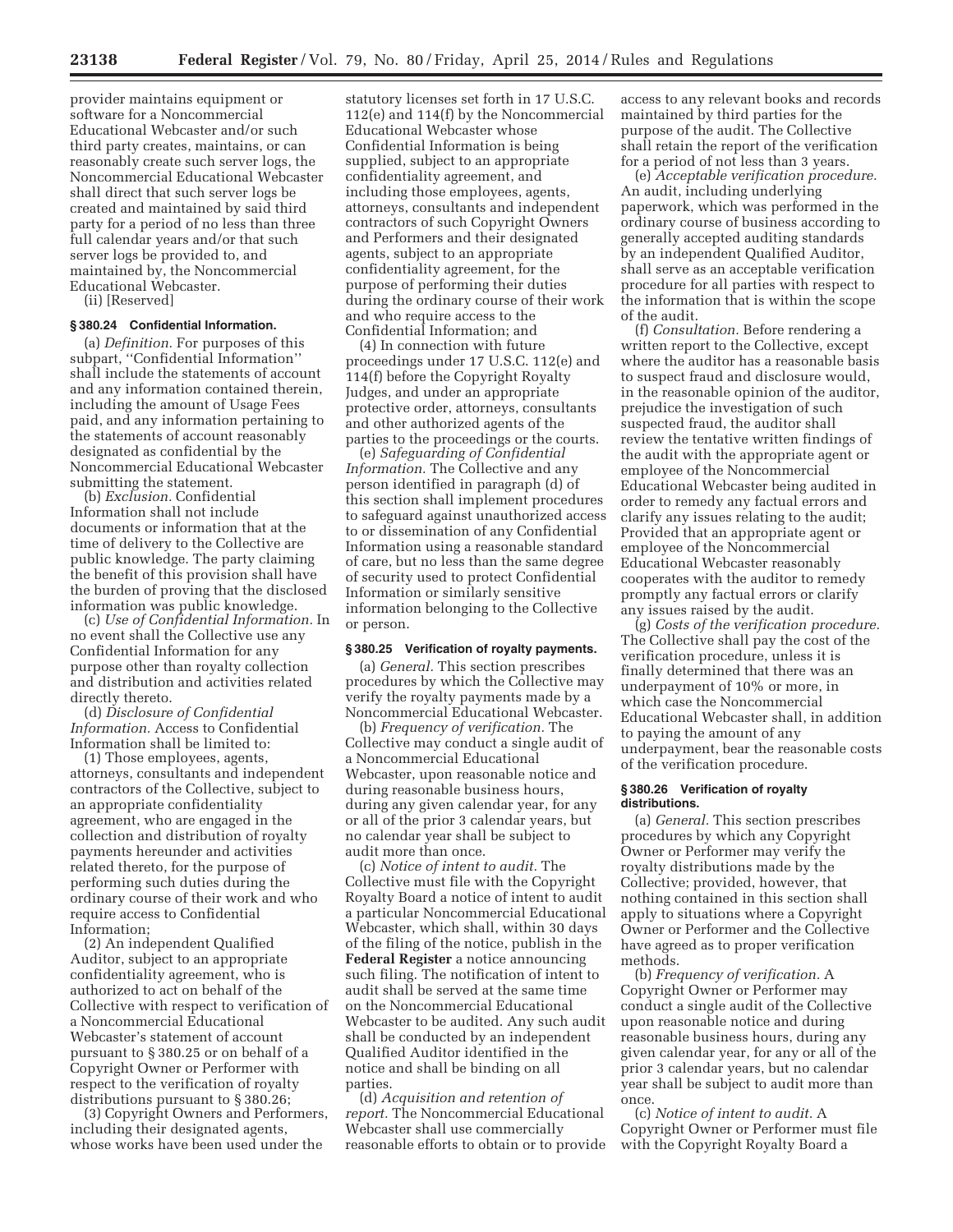provider maintains equipment or software for a Noncommercial Educational Webcaster and/or such third party creates, maintains, or can reasonably create such server logs, the Noncommercial Educational Webcaster shall direct that such server logs be created and maintained by said third party for a period of no less than three full calendar years and/or that such server logs be provided to, and maintained by, the Noncommercial Educational Webcaster.

(ii) [Reserved]

# **§ 380.24 Confidential Information.**

(a) *Definition.* For purposes of this subpart, ''Confidential Information'' shall include the statements of account and any information contained therein, including the amount of Usage Fees paid, and any information pertaining to the statements of account reasonably designated as confidential by the Noncommercial Educational Webcaster submitting the statement.

(b) *Exclusion.* Confidential Information shall not include documents or information that at the time of delivery to the Collective are public knowledge. The party claiming the benefit of this provision shall have the burden of proving that the disclosed information was public knowledge.

(c) *Use of Confidential Information.* In no event shall the Collective use any Confidential Information for any purpose other than royalty collection and distribution and activities related directly thereto.

(d) *Disclosure of Confidential Information.* Access to Confidential Information shall be limited to:

(1) Those employees, agents, attorneys, consultants and independent contractors of the Collective, subject to an appropriate confidentiality agreement, who are engaged in the collection and distribution of royalty payments hereunder and activities related thereto, for the purpose of performing such duties during the ordinary course of their work and who require access to Confidential Information;

(2) An independent Qualified Auditor, subject to an appropriate confidentiality agreement, who is authorized to act on behalf of the Collective with respect to verification of a Noncommercial Educational Webcaster's statement of account pursuant to § 380.25 or on behalf of a Copyright Owner or Performer with respect to the verification of royalty distributions pursuant to § 380.26;

(3) Copyright Owners and Performers, including their designated agents, whose works have been used under the

statutory licenses set forth in 17 U.S.C. 112(e) and 114(f) by the Noncommercial Educational Webcaster whose Confidential Information is being supplied, subject to an appropriate confidentiality agreement, and including those employees, agents, attorneys, consultants and independent contractors of such Copyright Owners and Performers and their designated agents, subject to an appropriate confidentiality agreement, for the purpose of performing their duties during the ordinary course of their work and who require access to the Confidential Information; and

(4) In connection with future proceedings under 17 U.S.C. 112(e) and 114(f) before the Copyright Royalty Judges, and under an appropriate protective order, attorneys, consultants and other authorized agents of the parties to the proceedings or the courts.

(e) *Safeguarding of Confidential Information.* The Collective and any person identified in paragraph (d) of this section shall implement procedures to safeguard against unauthorized access to or dissemination of any Confidential Information using a reasonable standard of care, but no less than the same degree of security used to protect Confidential Information or similarly sensitive information belonging to the Collective or person.

#### **§ 380.25 Verification of royalty payments.**

(a) *General.* This section prescribes procedures by which the Collective may verify the royalty payments made by a Noncommercial Educational Webcaster.

(b) *Frequency of verification.* The Collective may conduct a single audit of a Noncommercial Educational Webcaster, upon reasonable notice and during reasonable business hours, during any given calendar year, for any or all of the prior 3 calendar years, but no calendar year shall be subject to audit more than once.

(c) *Notice of intent to audit.* The Collective must file with the Copyright Royalty Board a notice of intent to audit a particular Noncommercial Educational Webcaster, which shall, within 30 days of the filing of the notice, publish in the **Federal Register** a notice announcing such filing. The notification of intent to audit shall be served at the same time on the Noncommercial Educational Webcaster to be audited. Any such audit shall be conducted by an independent Qualified Auditor identified in the notice and shall be binding on all parties.

(d) *Acquisition and retention of report.* The Noncommercial Educational Webcaster shall use commercially reasonable efforts to obtain or to provide

access to any relevant books and records maintained by third parties for the purpose of the audit. The Collective shall retain the report of the verification for a period of not less than 3 years.

(e) *Acceptable verification procedure.*  An audit, including underlying paperwork, which was performed in the ordinary course of business according to generally accepted auditing standards by an independent Qualified Auditor, shall serve as an acceptable verification procedure for all parties with respect to the information that is within the scope of the audit.

(f) *Consultation.* Before rendering a written report to the Collective, except where the auditor has a reasonable basis to suspect fraud and disclosure would, in the reasonable opinion of the auditor, prejudice the investigation of such suspected fraud, the auditor shall review the tentative written findings of the audit with the appropriate agent or employee of the Noncommercial Educational Webcaster being audited in order to remedy any factual errors and clarify any issues relating to the audit; Provided that an appropriate agent or employee of the Noncommercial Educational Webcaster reasonably cooperates with the auditor to remedy promptly any factual errors or clarify any issues raised by the audit.

(g) *Costs of the verification procedure.*  The Collective shall pay the cost of the verification procedure, unless it is finally determined that there was an underpayment of 10% or more, in which case the Noncommercial Educational Webcaster shall, in addition to paying the amount of any underpayment, bear the reasonable costs of the verification procedure.

#### **§ 380.26 Verification of royalty distributions.**

(a) *General.* This section prescribes procedures by which any Copyright Owner or Performer may verify the royalty distributions made by the Collective; provided, however, that nothing contained in this section shall apply to situations where a Copyright Owner or Performer and the Collective have agreed as to proper verification methods.

(b) *Frequency of verification.* A Copyright Owner or Performer may conduct a single audit of the Collective upon reasonable notice and during reasonable business hours, during any given calendar year, for any or all of the prior 3 calendar years, but no calendar year shall be subject to audit more than once.

(c) *Notice of intent to audit.* A Copyright Owner or Performer must file with the Copyright Royalty Board a